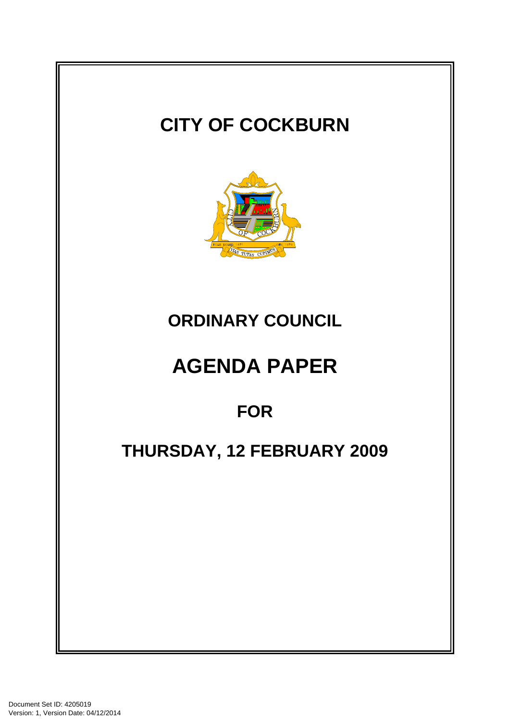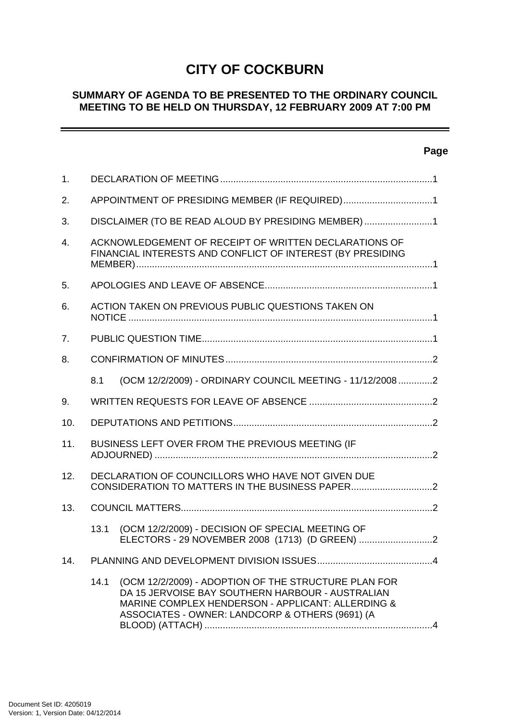# **CITY OF COCKBURN**

#### **SUMMARY OF AGENDA TO BE PRESENTED TO THE ORDINARY COUNCIL MEETING TO BE HELD ON THURSDAY, 12 FEBRUARY 2009 AT 7:00 PM**

#### **Page**

-

| 1.               |                                                                                                                                                                                                                          |  |  |
|------------------|--------------------------------------------------------------------------------------------------------------------------------------------------------------------------------------------------------------------------|--|--|
| 2.               | APPOINTMENT OF PRESIDING MEMBER (IF REQUIRED)1                                                                                                                                                                           |  |  |
| 3.               | DISCLAIMER (TO BE READ ALOUD BY PRESIDING MEMBER)1                                                                                                                                                                       |  |  |
| $\overline{4}$ . | ACKNOWLEDGEMENT OF RECEIPT OF WRITTEN DECLARATIONS OF<br>FINANCIAL INTERESTS AND CONFLICT OF INTEREST (BY PRESIDING                                                                                                      |  |  |
| 5.               |                                                                                                                                                                                                                          |  |  |
| 6.               | ACTION TAKEN ON PREVIOUS PUBLIC QUESTIONS TAKEN ON                                                                                                                                                                       |  |  |
| 7.               |                                                                                                                                                                                                                          |  |  |
| 8.               |                                                                                                                                                                                                                          |  |  |
|                  | (OCM 12/2/2009) - ORDINARY COUNCIL MEETING - 11/12/20082<br>8.1                                                                                                                                                          |  |  |
| 9.               |                                                                                                                                                                                                                          |  |  |
| 10.              |                                                                                                                                                                                                                          |  |  |
| 11.              | BUSINESS LEFT OVER FROM THE PREVIOUS MEETING (IF                                                                                                                                                                         |  |  |
| 12.              | DECLARATION OF COUNCILLORS WHO HAVE NOT GIVEN DUE                                                                                                                                                                        |  |  |
| 13.              |                                                                                                                                                                                                                          |  |  |
|                  | (OCM 12/2/2009) - DECISION OF SPECIAL MEETING OF<br>13.1                                                                                                                                                                 |  |  |
| 14.              |                                                                                                                                                                                                                          |  |  |
|                  | (OCM 12/2/2009) - ADOPTION OF THE STRUCTURE PLAN FOR<br>14.1<br>DA 15 JERVOISE BAY SOUTHERN HARBOUR - AUSTRALIAN<br>MARINE COMPLEX HENDERSON - APPLICANT: ALLERDING &<br>ASSOCIATES - OWNER: LANDCORP & OTHERS (9691) (A |  |  |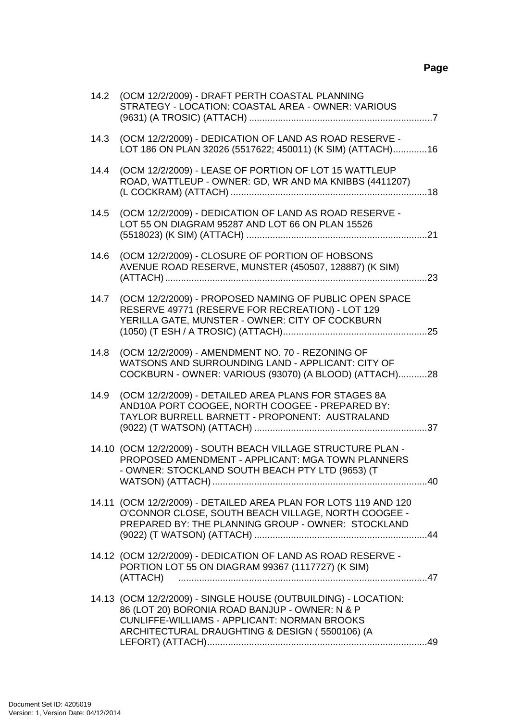# **Page**

| 14.2 | (OCM 12/2/2009) - DRAFT PERTH COASTAL PLANNING<br>STRATEGY - LOCATION: COASTAL AREA - OWNER: VARIOUS                                                                                                               |  |
|------|--------------------------------------------------------------------------------------------------------------------------------------------------------------------------------------------------------------------|--|
| 14.3 | (OCM 12/2/2009) - DEDICATION OF LAND AS ROAD RESERVE -<br>LOT 186 ON PLAN 32026 (5517622; 450011) (K SIM) (ATTACH)16                                                                                               |  |
| 14.4 | (OCM 12/2/2009) - LEASE OF PORTION OF LOT 15 WATTLEUP<br>ROAD, WATTLEUP - OWNER: GD, WR AND MA KNIBBS (4411207)                                                                                                    |  |
| 14.5 | (OCM 12/2/2009) - DEDICATION OF LAND AS ROAD RESERVE -<br>LOT 55 ON DIAGRAM 95287 AND LOT 66 ON PLAN 15526                                                                                                         |  |
| 14.6 | (OCM 12/2/2009) - CLOSURE OF PORTION OF HOBSONS<br>AVENUE ROAD RESERVE, MUNSTER (450507, 128887) (K SIM)                                                                                                           |  |
| 14.7 | (OCM 12/2/2009) - PROPOSED NAMING OF PUBLIC OPEN SPACE<br>RESERVE 49771 (RESERVE FOR RECREATION) - LOT 129<br>YERILLA GATE, MUNSTER - OWNER: CITY OF COCKBURN                                                      |  |
| 14.8 | (OCM 12/2/2009) - AMENDMENT NO. 70 - REZONING OF<br>WATSONS AND SURROUNDING LAND - APPLICANT: CITY OF<br>COCKBURN - OWNER: VARIOUS (93070) (A BLOOD) (ATTACH)28                                                    |  |
| 14.9 | (OCM 12/2/2009) - DETAILED AREA PLANS FOR STAGES 8A<br>AND10A PORT COOGEE, NORTH COOGEE - PREPARED BY:<br>TAYLOR BURRELL BARNETT - PROPONENT: AUSTRALAND                                                           |  |
|      | 14.10 (OCM 12/2/2009) - SOUTH BEACH VILLAGE STRUCTURE PLAN -<br>PROPOSED AMENDMENT - APPLICANT: MGA TOWN PLANNERS<br>- OWNER: STOCKLAND SOUTH BEACH PTY LTD (9653) (T                                              |  |
|      | 14.11 (OCM 12/2/2009) - DETAILED AREA PLAN FOR LOTS 119 AND 120<br>O'CONNOR CLOSE, SOUTH BEACH VILLAGE, NORTH COOGEE -<br>PREPARED BY: THE PLANNING GROUP - OWNER: STOCKLAND                                       |  |
|      | 14.12 (OCM 12/2/2009) - DEDICATION OF LAND AS ROAD RESERVE -<br>PORTION LOT 55 ON DIAGRAM 99367 (1117727) (K SIM)<br>(ATTACH)                                                                                      |  |
|      | 14.13 (OCM 12/2/2009) - SINGLE HOUSE (OUTBUILDING) - LOCATION:<br>86 (LOT 20) BORONIA ROAD BANJUP - OWNER: N & P<br>CUNLIFFE-WILLIAMS - APPLICANT: NORMAN BROOKS<br>ARCHITECTURAL DRAUGHTING & DESIGN (5500106) (A |  |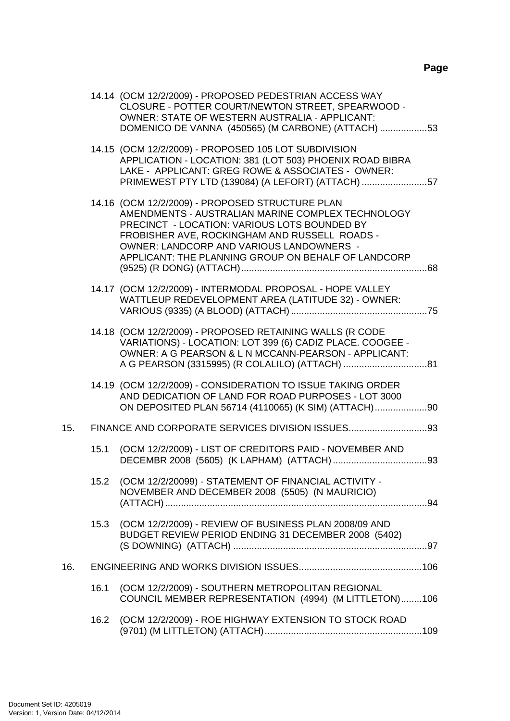|     |      | 14.14 (OCM 12/2/2009) - PROPOSED PEDESTRIAN ACCESS WAY<br>CLOSURE - POTTER COURT/NEWTON STREET, SPEARWOOD -<br>OWNER: STATE OF WESTERN AUSTRALIA - APPLICANT:<br>DOMENICO DE VANNA (450565) (M CARBONE) (ATTACH) 53                                                                                      |
|-----|------|----------------------------------------------------------------------------------------------------------------------------------------------------------------------------------------------------------------------------------------------------------------------------------------------------------|
|     |      | 14.15 (OCM 12/2/2009) - PROPOSED 105 LOT SUBDIVISION<br>APPLICATION - LOCATION: 381 (LOT 503) PHOENIX ROAD BIBRA<br>LAKE - APPLICANT: GREG ROWE & ASSOCIATES - OWNER:<br>PRIMEWEST PTY LTD (139084) (A LEFORT) (ATTACH) 57                                                                               |
|     |      | 14.16 (OCM 12/2/2009) - PROPOSED STRUCTURE PLAN<br>AMENDMENTS - AUSTRALIAN MARINE COMPLEX TECHNOLOGY<br>PRECINCT - LOCATION: VARIOUS LOTS BOUNDED BY<br>FROBISHER AVE, ROCKINGHAM AND RUSSELL ROADS -<br>OWNER: LANDCORP AND VARIOUS LANDOWNERS -<br>APPLICANT: THE PLANNING GROUP ON BEHALF OF LANDCORP |
|     |      | 14.17 (OCM 12/2/2009) - INTERMODAL PROPOSAL - HOPE VALLEY<br>WATTLEUP REDEVELOPMENT AREA (LATITUDE 32) - OWNER:                                                                                                                                                                                          |
|     |      | 14.18 (OCM 12/2/2009) - PROPOSED RETAINING WALLS (R CODE<br>VARIATIONS) - LOCATION: LOT 399 (6) CADIZ PLACE. COOGEE -<br>OWNER: A G PEARSON & L N MCCANN-PEARSON - APPLICANT:                                                                                                                            |
|     |      | 14.19 (OCM 12/2/2009) - CONSIDERATION TO ISSUE TAKING ORDER<br>AND DEDICATION OF LAND FOR ROAD PURPOSES - LOT 3000<br>ON DEPOSITED PLAN 56714 (4110065) (K SIM) (ATTACH)90                                                                                                                               |
| 15. |      |                                                                                                                                                                                                                                                                                                          |
|     | 15.1 | (OCM 12/2/2009) - LIST OF CREDITORS PAID - NOVEMBER AND                                                                                                                                                                                                                                                  |
|     | 15.2 | (OCM 12/2/20099) - STATEMENT OF FINANCIAL ACTIVITY -<br>NOVEMBER AND DECEMBER 2008 (5505) (N MAURICIO)                                                                                                                                                                                                   |
|     |      | 15.3 (OCM 12/2/2009) - REVIEW OF BUSINESS PLAN 2008/09 AND<br>BUDGET REVIEW PERIOD ENDING 31 DECEMBER 2008 (5402)                                                                                                                                                                                        |
| 16. |      |                                                                                                                                                                                                                                                                                                          |
|     | 16.1 | (OCM 12/2/2009) - SOUTHERN METROPOLITAN REGIONAL<br>COUNCIL MEMBER REPRESENTATION (4994) (M LITTLETON)106                                                                                                                                                                                                |
|     | 16.2 | (OCM 12/2/2009) - ROE HIGHWAY EXTENSION TO STOCK ROAD                                                                                                                                                                                                                                                    |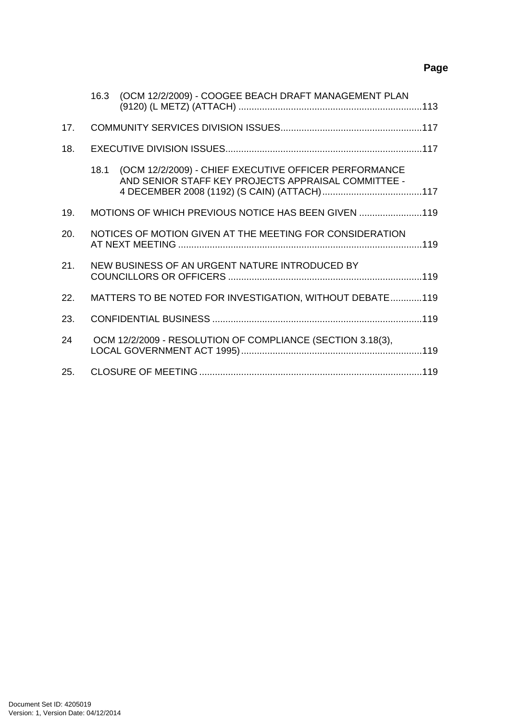# **Page**

|     |                                                            | 16.3 (OCM 12/2/2009) - COOGEE BEACH DRAFT MANAGEMENT PLAN                                                    |  |  |
|-----|------------------------------------------------------------|--------------------------------------------------------------------------------------------------------------|--|--|
| 17. |                                                            |                                                                                                              |  |  |
| 18. |                                                            |                                                                                                              |  |  |
|     | 18.1                                                       | (OCM 12/2/2009) - CHIEF EXECUTIVE OFFICER PERFORMANCE<br>AND SENIOR STAFF KEY PROJECTS APPRAISAL COMMITTEE - |  |  |
| 19. |                                                            | MOTIONS OF WHICH PREVIOUS NOTICE HAS BEEN GIVEN 119                                                          |  |  |
| 20. | NOTICES OF MOTION GIVEN AT THE MEETING FOR CONSIDERATION   |                                                                                                              |  |  |
| 21. | NEW BUSINESS OF AN URGENT NATURE INTRODUCED BY             |                                                                                                              |  |  |
| 22. | MATTERS TO BE NOTED FOR INVESTIGATION, WITHOUT DEBATE119   |                                                                                                              |  |  |
| 23. |                                                            |                                                                                                              |  |  |
| 24  | OCM 12/2/2009 - RESOLUTION OF COMPLIANCE (SECTION 3.18(3), |                                                                                                              |  |  |
| 25. |                                                            |                                                                                                              |  |  |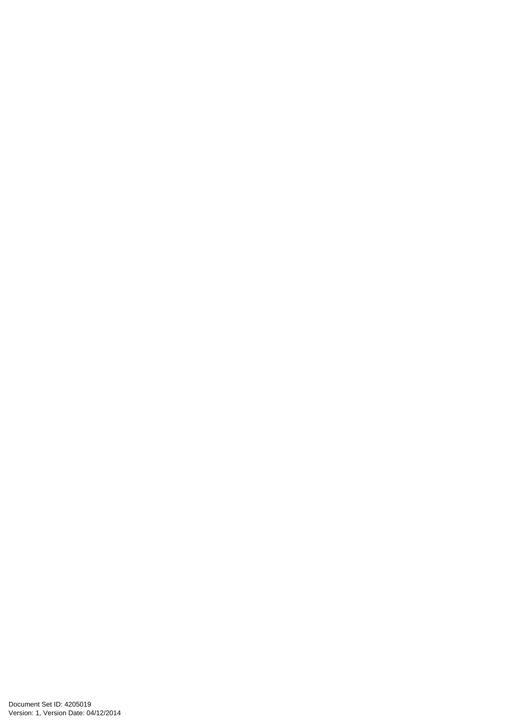Document Set ID: 4205019<br>Version: 1, Version Date: 04/12/2014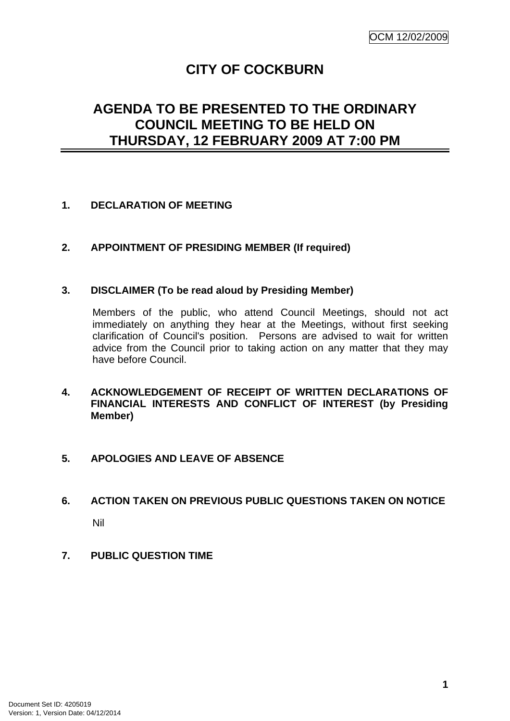# **CITY OF COCKBURN**

# <span id="page-6-0"></span>**AGENDA TO BE PRESENTED TO THE ORDINARY COUNCIL MEETING TO BE HELD ON THURSDAY, 12 FEBRUARY 2009 AT 7:00 PM**

## **1. DECLARATION OF MEETING**

## **2. APPOINTMENT OF PRESIDING MEMBER (If required)**

#### **3. DISCLAIMER (To be read aloud by Presiding Member)**

Members of the public, who attend Council Meetings, should not act immediately on anything they hear at the Meetings, without first seeking clarification of Council's position. Persons are advised to wait for written advice from the Council prior to taking action on any matter that they may have before Council.

#### **4. ACKNOWLEDGEMENT OF RECEIPT OF WRITTEN DECLARATIONS OF FINANCIAL INTERESTS AND CONFLICT OF INTEREST (by Presiding Member)**

# **5. APOLOGIES AND LEAVE OF ABSENCE**

# **6. ACTION TAKEN ON PREVIOUS PUBLIC QUESTIONS TAKEN ON NOTICE**

Nil

**7. PUBLIC QUESTION TIME**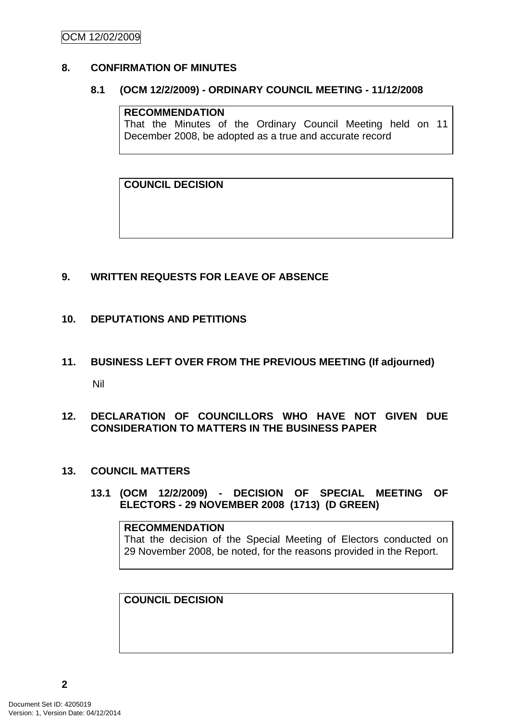#### <span id="page-7-0"></span>OCM 12/02/2009

#### **8. CONFIRMATION OF MINUTES**

#### **8.1 (OCM 12/2/2009) - ORDINARY COUNCIL MEETING - 11/12/2008**

#### **RECOMMENDATION**

That the Minutes of the Ordinary Council Meeting held on 11 December 2008, be adopted as a true and accurate record

**COUNCIL DECISION** 

# **9. WRITTEN REQUESTS FOR LEAVE OF ABSENCE**

#### **10. DEPUTATIONS AND PETITIONS**

**11. BUSINESS LEFT OVER FROM THE PREVIOUS MEETING (If adjourned)** 

Nil

## **12. DECLARATION OF COUNCILLORS WHO HAVE NOT GIVEN DUE CONSIDERATION TO MATTERS IN THE BUSINESS PAPER**

#### **13. COUNCIL MATTERS**

**13.1 (OCM 12/2/2009) - DECISION OF SPECIAL MEETING OF ELECTORS - 29 NOVEMBER 2008 (1713) (D GREEN)** 

**RECOMMENDATION** That the decision of the Special Meeting of Electors conducted on 29 November 2008, be noted, for the reasons provided in the Report.

**COUNCIL DECISION**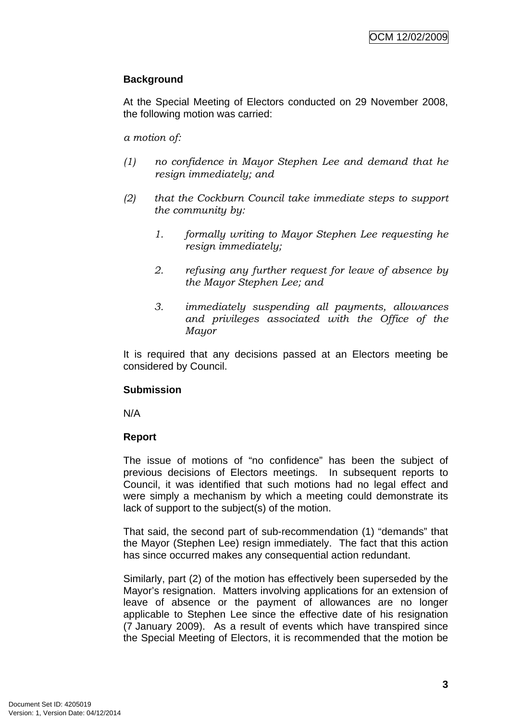#### **Background**

At the Special Meeting of Electors conducted on 29 November 2008, the following motion was carried:

*a motion of:* 

- *(1) no confidence in Mayor Stephen Lee and demand that he resign immediately; and*
- *(2) that the Cockburn Council take immediate steps to support the community by:* 
	- *1. formally writing to Mayor Stephen Lee requesting he resign immediately;*
	- *2. refusing any further request for leave of absence by the Mayor Stephen Lee; and*
	- *3. immediately suspending all payments, allowances and privileges associated with the Office of the Mayor*

It is required that any decisions passed at an Electors meeting be considered by Council.

#### **Submission**

N/A

#### **Report**

The issue of motions of "no confidence" has been the subject of previous decisions of Electors meetings. In subsequent reports to Council, it was identified that such motions had no legal effect and were simply a mechanism by which a meeting could demonstrate its lack of support to the subject(s) of the motion.

That said, the second part of sub-recommendation (1) "demands" that the Mayor (Stephen Lee) resign immediately. The fact that this action has since occurred makes any consequential action redundant.

Similarly, part (2) of the motion has effectively been superseded by the Mayor's resignation. Matters involving applications for an extension of leave of absence or the payment of allowances are no longer applicable to Stephen Lee since the effective date of his resignation (7 January 2009). As a result of events which have transpired since the Special Meeting of Electors, it is recommended that the motion be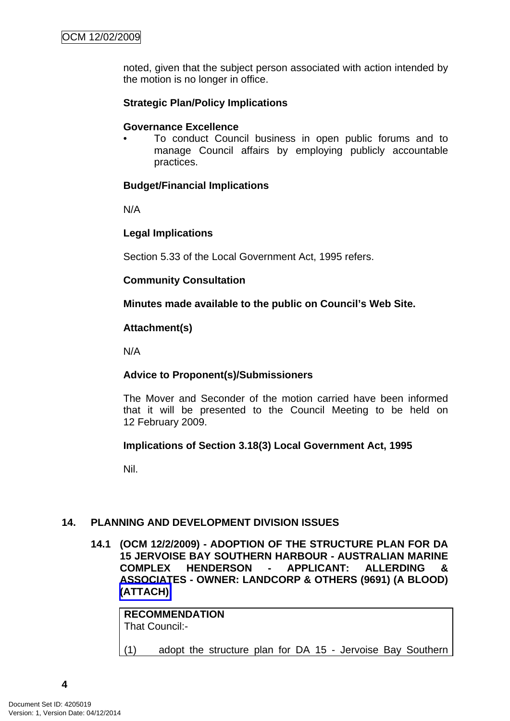<span id="page-9-0"></span>noted, given that the subject person associated with action intended by the motion is no longer in office.

## **Strategic Plan/Policy Implications**

#### **Governance Excellence**

• To conduct Council business in open public forums and to manage Council affairs by employing publicly accountable practices.

#### **Budget/Financial Implications**

N/A

## **Legal Implications**

Section 5.33 of the Local Government Act, 1995 refers.

#### **Community Consultation**

**Minutes made available to the public on Council's Web Site.** 

#### **Attachment(s)**

N/A

#### **Advice to Proponent(s)/Submissioners**

The Mover and Seconder of the motion carried have been informed that it will be presented to the Council Meeting to be held on 12 February 2009.

#### **Implications of Section 3.18(3) Local Government Act, 1995**

Nil.

#### **14. PLANNING AND DEVELOPMENT DIVISION ISSUES**

**14.1 (OCM 12/2/2009) - ADOPTION OF THE STRUCTURE PLAN FOR DA 15 JERVOISE BAY SOUTHERN HARBOUR - AUSTRALIAN MARINE COMPLEX HENDERSON - APPLICANT: ALLERDING & ASSOCIATES - OWNER: LANDCORP & OTHERS (9691) (A BLOOD) (ATTACH)** 

**RECOMMENDATION** That Council:-

(1) adopt the structure plan for DA 15 - Jervoise Bay Southern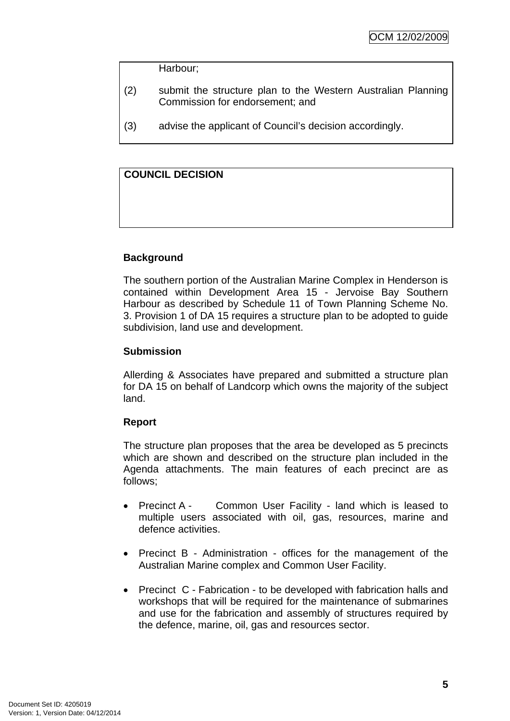Harbour;

- (2) submit the structure plan to the Western Australian Planning Commission for endorsement; and
- (3) advise the applicant of Council's decision accordingly.

# **COUNCIL DECISION**

# **Background**

The southern portion of the Australian Marine Complex in Henderson is contained within Development Area 15 - Jervoise Bay Southern Harbour as described by Schedule 11 of Town Planning Scheme No. 3. Provision 1 of DA 15 requires a structure plan to be adopted to guide subdivision, land use and development.

## **Submission**

Allerding & Associates have prepared and submitted a structure plan for DA 15 on behalf of Landcorp which owns the majority of the subject land.

# **Report**

The structure plan proposes that the area be developed as 5 precincts which are shown and described on the structure plan included in the Agenda attachments. The main features of each precinct are as follows;

- Precinct A Common User Facility land which is leased to multiple users associated with oil, gas, resources, marine and defence activities.
- Precinct B Administration offices for the management of the Australian Marine complex and Common User Facility.
- Precinct C Fabrication to be developed with fabrication halls and workshops that will be required for the maintenance of submarines and use for the fabrication and assembly of structures required by the defence, marine, oil, gas and resources sector.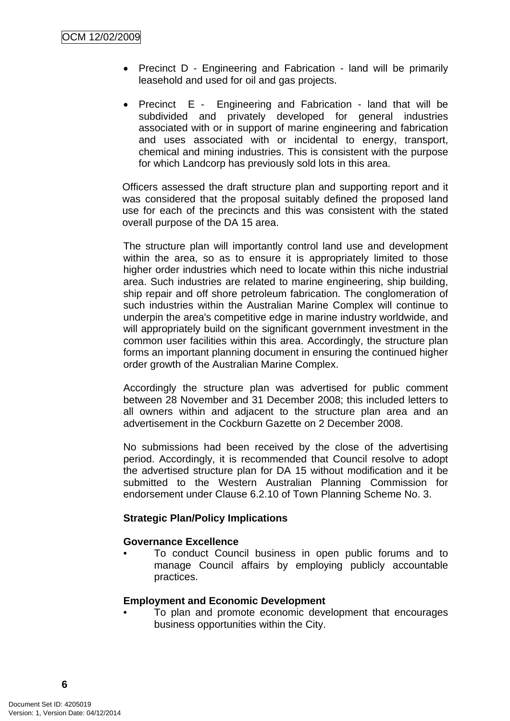- Precinct D Engineering and Fabrication land will be primarily leasehold and used for oil and gas projects.
- Precinct E Engineering and Fabrication land that will be subdivided and privately developed for general industries associated with or in support of marine engineering and fabrication and uses associated with or incidental to energy, transport, chemical and mining industries. This is consistent with the purpose for which Landcorp has previously sold lots in this area.

Officers assessed the draft structure plan and supporting report and it was considered that the proposal suitably defined the proposed land use for each of the precincts and this was consistent with the stated overall purpose of the DA 15 area.

The structure plan will importantly control land use and development within the area, so as to ensure it is appropriately limited to those higher order industries which need to locate within this niche industrial area. Such industries are related to marine engineering, ship building, ship repair and off shore petroleum fabrication. The conglomeration of such industries within the Australian Marine Complex will continue to underpin the area's competitive edge in marine industry worldwide, and will appropriately build on the significant government investment in the common user facilities within this area. Accordingly, the structure plan forms an important planning document in ensuring the continued higher order growth of the Australian Marine Complex.

Accordingly the structure plan was advertised for public comment between 28 November and 31 December 2008; this included letters to all owners within and adjacent to the structure plan area and an advertisement in the Cockburn Gazette on 2 December 2008.

No submissions had been received by the close of the advertising period. Accordingly, it is recommended that Council resolve to adopt the advertised structure plan for DA 15 without modification and it be submitted to the Western Australian Planning Commission for endorsement under Clause 6.2.10 of Town Planning Scheme No. 3.

#### **Strategic Plan/Policy Implications**

#### **Governance Excellence**

• To conduct Council business in open public forums and to manage Council affairs by employing publicly accountable practices.

#### **Employment and Economic Development**

• To plan and promote economic development that encourages business opportunities within the City.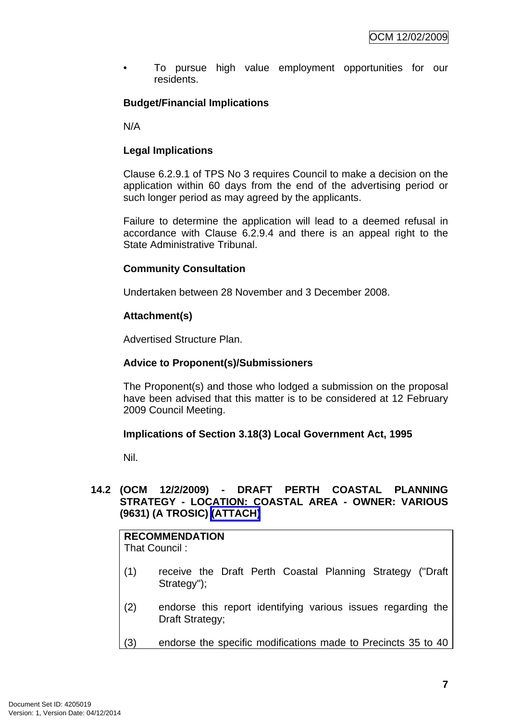<span id="page-12-0"></span>• To pursue high value employment opportunities for our residents.

# **Budget/Financial Implications**

N/A

## **Legal Implications**

Clause 6.2.9.1 of TPS No 3 requires Council to make a decision on the application within 60 days from the end of the advertising period or such longer period as may agreed by the applicants.

Failure to determine the application will lead to a deemed refusal in accordance with Clause 6.2.9.4 and there is an appeal right to the State Administrative Tribunal.

## **Community Consultation**

Undertaken between 28 November and 3 December 2008.

## **Attachment(s)**

Advertised Structure Plan.

#### **Advice to Proponent(s)/Submissioners**

The Proponent(s) and those who lodged a submission on the proposal have been advised that this matter is to be considered at 12 February 2009 Council Meeting.

#### **Implications of Section 3.18(3) Local Government Act, 1995**

Nil.

#### **14.2 (OCM 12/2/2009) - DRAFT PERTH COASTAL PLANNING STRATEGY - LOCATION: COASTAL AREA - OWNER: VARIOUS (9631) (A TROSIC) (ATTACH)**

# **RECOMMENDATION**

That Council :

- (1) receive the Draft Perth Coastal Planning Strategy ("Draft Strategy"):
- (2) endorse this report identifying various issues regarding the Draft Strategy;
- (3) endorse the specific modifications made to Precincts 35 to 40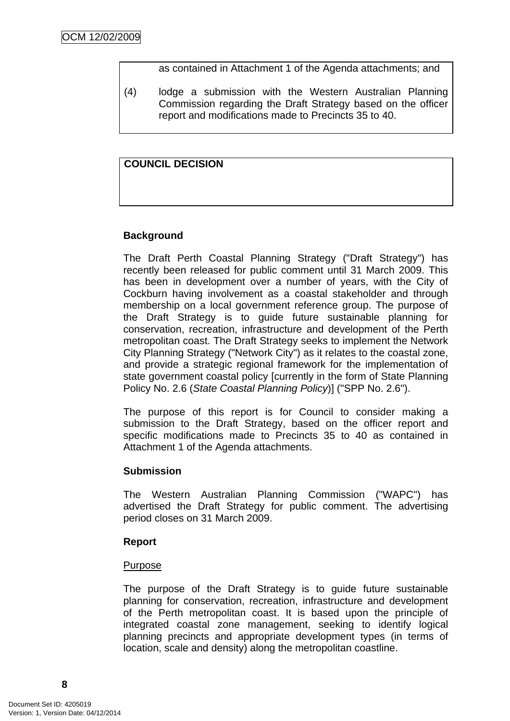as contained in Attachment 1 of the Agenda attachments; and

(4) lodge a submission with the Western Australian Planning Commission regarding the Draft Strategy based on the officer report and modifications made to Precincts 35 to 40.

## **COUNCIL DECISION**

## **Background**

The Draft Perth Coastal Planning Strategy ("Draft Strategy") has recently been released for public comment until 31 March 2009. This has been in development over a number of years, with the City of Cockburn having involvement as a coastal stakeholder and through membership on a local government reference group. The purpose of the Draft Strategy is to guide future sustainable planning for conservation, recreation, infrastructure and development of the Perth metropolitan coast. The Draft Strategy seeks to implement the Network City Planning Strategy ("Network City") as it relates to the coastal zone, and provide a strategic regional framework for the implementation of state government coastal policy [currently in the form of State Planning Policy No. 2.6 (*State Coastal Planning Policy*)] ("SPP No. 2.6").

The purpose of this report is for Council to consider making a submission to the Draft Strategy, based on the officer report and specific modifications made to Precincts 35 to 40 as contained in Attachment 1 of the Agenda attachments.

#### **Submission**

The Western Australian Planning Commission ("WAPC") has advertised the Draft Strategy for public comment. The advertising period closes on 31 March 2009.

#### **Report**

#### Purpose

The purpose of the Draft Strategy is to guide future sustainable planning for conservation, recreation, infrastructure and development of the Perth metropolitan coast. It is based upon the principle of integrated coastal zone management, seeking to identify logical planning precincts and appropriate development types (in terms of location, scale and density) along the metropolitan coastline.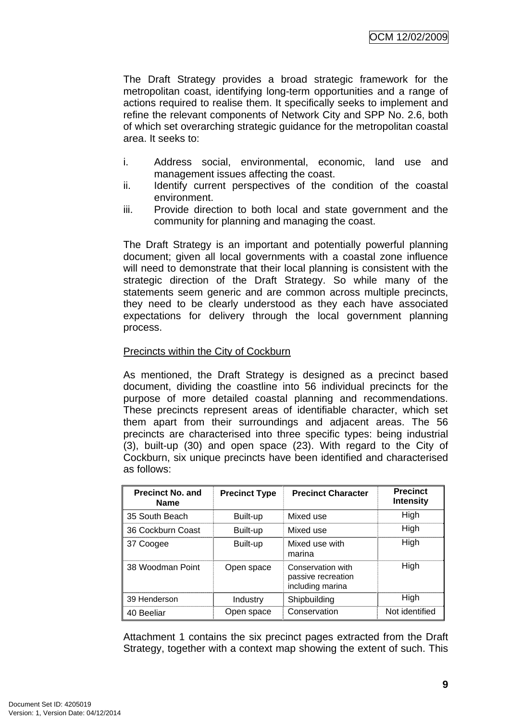The Draft Strategy provides a broad strategic framework for the metropolitan coast, identifying long-term opportunities and a range of actions required to realise them. It specifically seeks to implement and refine the relevant components of Network City and SPP No. 2.6, both of which set overarching strategic guidance for the metropolitan coastal area. It seeks to:

- i. Address social, environmental, economic, land use and management issues affecting the coast.
- ii. Identify current perspectives of the condition of the coastal environment.
- iii. Provide direction to both local and state government and the community for planning and managing the coast.

The Draft Strategy is an important and potentially powerful planning document; given all local governments with a coastal zone influence will need to demonstrate that their local planning is consistent with the strategic direction of the Draft Strategy. So while many of the statements seem generic and are common across multiple precincts, they need to be clearly understood as they each have associated expectations for delivery through the local government planning process.

#### Precincts within the City of Cockburn

As mentioned, the Draft Strategy is designed as a precinct based document, dividing the coastline into 56 individual precincts for the purpose of more detailed coastal planning and recommendations. These precincts represent areas of identifiable character, which set them apart from their surroundings and adjacent areas. The 56 precincts are characterised into three specific types: being industrial (3), built-up (30) and open space (23). With regard to the City of Cockburn, six unique precincts have been identified and characterised as follows:

| <b>Precinct No. and</b><br><b>Name</b> | <b>Precinct Type</b> | <b>Precinct Character</b>                                   | <b>Precinct</b><br><b>Intensity</b> |
|----------------------------------------|----------------------|-------------------------------------------------------------|-------------------------------------|
| 35 South Beach                         | Built-up             | Mixed use                                                   | High                                |
| 36 Cockburn Coast                      | Built-up             | Mixed use                                                   | High                                |
| 37 Coogee                              | Built-up             | Mixed use with<br>marina                                    | High                                |
| 38 Woodman Point                       | Open space           | Conservation with<br>passive recreation<br>including marina | High                                |
| 39 Henderson                           | Industry             | Shipbuilding                                                | High                                |
| 40 Beeliar                             | Open space           | Conservation                                                | Not identified                      |

Attachment 1 contains the six precinct pages extracted from the Draft Strategy, together with a context map showing the extent of such. This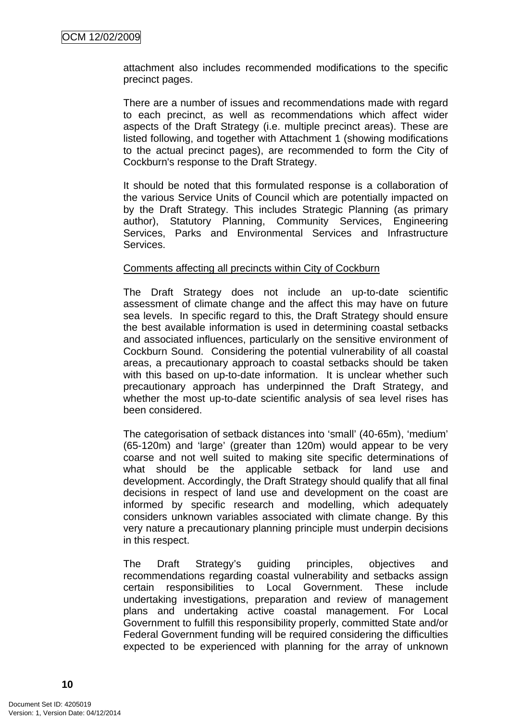attachment also includes recommended modifications to the specific precinct pages.

There are a number of issues and recommendations made with regard to each precinct, as well as recommendations which affect wider aspects of the Draft Strategy (i.e. multiple precinct areas). These are listed following, and together with Attachment 1 (showing modifications to the actual precinct pages), are recommended to form the City of Cockburn's response to the Draft Strategy.

It should be noted that this formulated response is a collaboration of the various Service Units of Council which are potentially impacted on by the Draft Strategy. This includes Strategic Planning (as primary author), Statutory Planning, Community Services, Engineering Services, Parks and Environmental Services and Infrastructure Services.

#### Comments affecting all precincts within City of Cockburn

The Draft Strategy does not include an up-to-date scientific assessment of climate change and the affect this may have on future sea levels. In specific regard to this, the Draft Strategy should ensure the best available information is used in determining coastal setbacks and associated influences, particularly on the sensitive environment of Cockburn Sound. Considering the potential vulnerability of all coastal areas, a precautionary approach to coastal setbacks should be taken with this based on up-to-date information. It is unclear whether such precautionary approach has underpinned the Draft Strategy, and whether the most up-to-date scientific analysis of sea level rises has been considered.

The categorisation of setback distances into 'small' (40-65m), 'medium' (65-120m) and 'large' (greater than 120m) would appear to be very coarse and not well suited to making site specific determinations of what should be the applicable setback for land use and development. Accordingly, the Draft Strategy should qualify that all final decisions in respect of land use and development on the coast are informed by specific research and modelling, which adequately considers unknown variables associated with climate change. By this very nature a precautionary planning principle must underpin decisions in this respect.

The Draft Strategy's guiding principles, objectives and recommendations regarding coastal vulnerability and setbacks assign certain responsibilities to Local Government. These include undertaking investigations, preparation and review of management plans and undertaking active coastal management. For Local Government to fulfill this responsibility properly, committed State and/or Federal Government funding will be required considering the difficulties expected to be experienced with planning for the array of unknown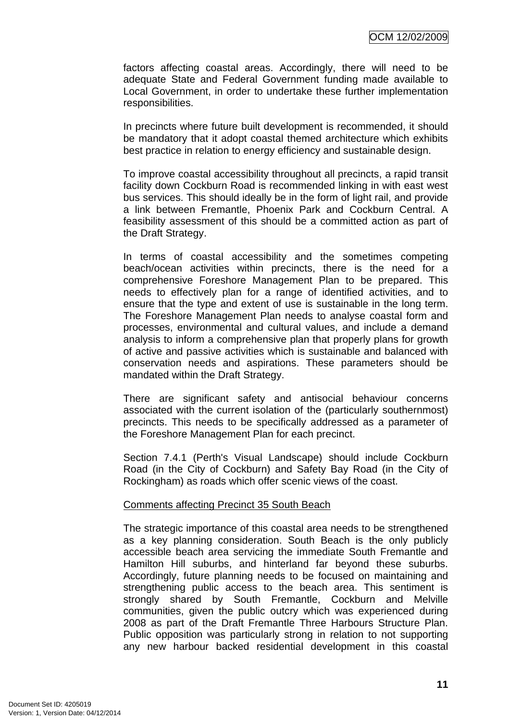factors affecting coastal areas. Accordingly, there will need to be adequate State and Federal Government funding made available to Local Government, in order to undertake these further implementation responsibilities.

In precincts where future built development is recommended, it should be mandatory that it adopt coastal themed architecture which exhibits best practice in relation to energy efficiency and sustainable design.

To improve coastal accessibility throughout all precincts, a rapid transit facility down Cockburn Road is recommended linking in with east west bus services. This should ideally be in the form of light rail, and provide a link between Fremantle, Phoenix Park and Cockburn Central. A feasibility assessment of this should be a committed action as part of the Draft Strategy.

In terms of coastal accessibility and the sometimes competing beach/ocean activities within precincts, there is the need for a comprehensive Foreshore Management Plan to be prepared. This needs to effectively plan for a range of identified activities, and to ensure that the type and extent of use is sustainable in the long term. The Foreshore Management Plan needs to analyse coastal form and processes, environmental and cultural values, and include a demand analysis to inform a comprehensive plan that properly plans for growth of active and passive activities which is sustainable and balanced with conservation needs and aspirations. These parameters should be mandated within the Draft Strategy.

There are significant safety and antisocial behaviour concerns associated with the current isolation of the (particularly southernmost) precincts. This needs to be specifically addressed as a parameter of the Foreshore Management Plan for each precinct.

Section 7.4.1 (Perth's Visual Landscape) should include Cockburn Road (in the City of Cockburn) and Safety Bay Road (in the City of Rockingham) as roads which offer scenic views of the coast.

#### Comments affecting Precinct 35 South Beach

The strategic importance of this coastal area needs to be strengthened as a key planning consideration. South Beach is the only publicly accessible beach area servicing the immediate South Fremantle and Hamilton Hill suburbs, and hinterland far beyond these suburbs. Accordingly, future planning needs to be focused on maintaining and strengthening public access to the beach area. This sentiment is strongly shared by South Fremantle, Cockburn and Melville communities, given the public outcry which was experienced during 2008 as part of the Draft Fremantle Three Harbours Structure Plan. Public opposition was particularly strong in relation to not supporting any new harbour backed residential development in this coastal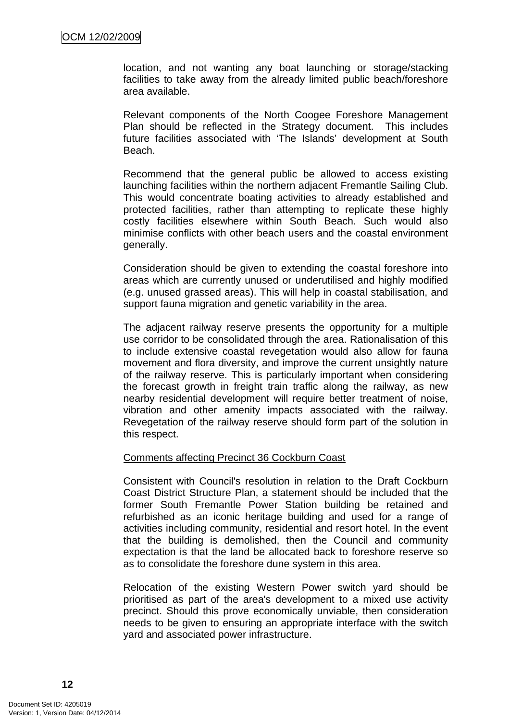location, and not wanting any boat launching or storage/stacking facilities to take away from the already limited public beach/foreshore area available.

Relevant components of the North Coogee Foreshore Management Plan should be reflected in the Strategy document. This includes future facilities associated with 'The Islands' development at South Beach.

Recommend that the general public be allowed to access existing launching facilities within the northern adjacent Fremantle Sailing Club. This would concentrate boating activities to already established and protected facilities, rather than attempting to replicate these highly costly facilities elsewhere within South Beach. Such would also minimise conflicts with other beach users and the coastal environment generally.

Consideration should be given to extending the coastal foreshore into areas which are currently unused or underutilised and highly modified (e.g. unused grassed areas). This will help in coastal stabilisation, and support fauna migration and genetic variability in the area.

The adjacent railway reserve presents the opportunity for a multiple use corridor to be consolidated through the area. Rationalisation of this to include extensive coastal revegetation would also allow for fauna movement and flora diversity, and improve the current unsightly nature of the railway reserve. This is particularly important when considering the forecast growth in freight train traffic along the railway, as new nearby residential development will require better treatment of noise, vibration and other amenity impacts associated with the railway. Revegetation of the railway reserve should form part of the solution in this respect.

#### Comments affecting Precinct 36 Cockburn Coast

Consistent with Council's resolution in relation to the Draft Cockburn Coast District Structure Plan, a statement should be included that the former South Fremantle Power Station building be retained and refurbished as an iconic heritage building and used for a range of activities including community, residential and resort hotel. In the event that the building is demolished, then the Council and community expectation is that the land be allocated back to foreshore reserve so as to consolidate the foreshore dune system in this area.

Relocation of the existing Western Power switch yard should be prioritised as part of the area's development to a mixed use activity precinct. Should this prove economically unviable, then consideration needs to be given to ensuring an appropriate interface with the switch yard and associated power infrastructure.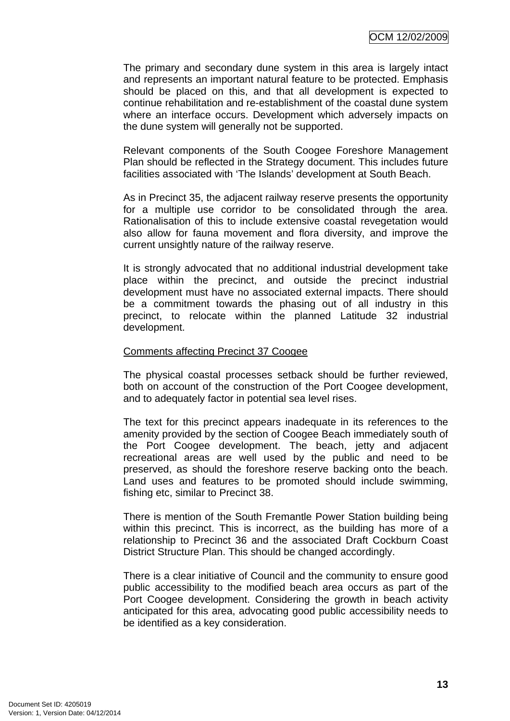The primary and secondary dune system in this area is largely intact and represents an important natural feature to be protected. Emphasis should be placed on this, and that all development is expected to continue rehabilitation and re-establishment of the coastal dune system where an interface occurs. Development which adversely impacts on the dune system will generally not be supported.

Relevant components of the South Coogee Foreshore Management Plan should be reflected in the Strategy document. This includes future facilities associated with 'The Islands' development at South Beach.

As in Precinct 35, the adjacent railway reserve presents the opportunity for a multiple use corridor to be consolidated through the area. Rationalisation of this to include extensive coastal revegetation would also allow for fauna movement and flora diversity, and improve the current unsightly nature of the railway reserve.

It is strongly advocated that no additional industrial development take place within the precinct, and outside the precinct industrial development must have no associated external impacts. There should be a commitment towards the phasing out of all industry in this precinct, to relocate within the planned Latitude 32 industrial development.

#### Comments affecting Precinct 37 Coogee

The physical coastal processes setback should be further reviewed, both on account of the construction of the Port Coogee development, and to adequately factor in potential sea level rises.

The text for this precinct appears inadequate in its references to the amenity provided by the section of Coogee Beach immediately south of the Port Coogee development. The beach, jetty and adjacent recreational areas are well used by the public and need to be preserved, as should the foreshore reserve backing onto the beach. Land uses and features to be promoted should include swimming, fishing etc, similar to Precinct 38.

There is mention of the South Fremantle Power Station building being within this precinct. This is incorrect, as the building has more of a relationship to Precinct 36 and the associated Draft Cockburn Coast District Structure Plan. This should be changed accordingly.

There is a clear initiative of Council and the community to ensure good public accessibility to the modified beach area occurs as part of the Port Coogee development. Considering the growth in beach activity anticipated for this area, advocating good public accessibility needs to be identified as a key consideration.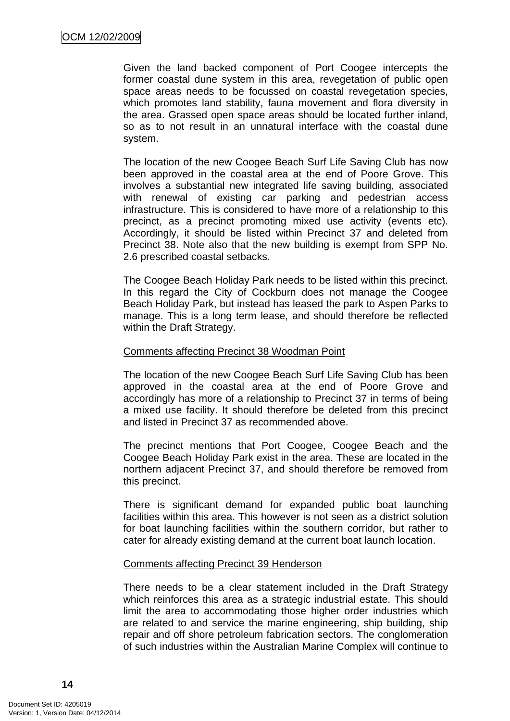Given the land backed component of Port Coogee intercepts the former coastal dune system in this area, revegetation of public open space areas needs to be focussed on coastal revegetation species, which promotes land stability, fauna movement and flora diversity in the area. Grassed open space areas should be located further inland, so as to not result in an unnatural interface with the coastal dune system.

The location of the new Coogee Beach Surf Life Saving Club has now been approved in the coastal area at the end of Poore Grove. This involves a substantial new integrated life saving building, associated with renewal of existing car parking and pedestrian access infrastructure. This is considered to have more of a relationship to this precinct, as a precinct promoting mixed use activity (events etc). Accordingly, it should be listed within Precinct 37 and deleted from Precinct 38. Note also that the new building is exempt from SPP No. 2.6 prescribed coastal setbacks.

The Coogee Beach Holiday Park needs to be listed within this precinct. In this regard the City of Cockburn does not manage the Coogee Beach Holiday Park, but instead has leased the park to Aspen Parks to manage. This is a long term lease, and should therefore be reflected within the Draft Strategy.

#### Comments affecting Precinct 38 Woodman Point

The location of the new Coogee Beach Surf Life Saving Club has been approved in the coastal area at the end of Poore Grove and accordingly has more of a relationship to Precinct 37 in terms of being a mixed use facility. It should therefore be deleted from this precinct and listed in Precinct 37 as recommended above.

The precinct mentions that Port Coogee, Coogee Beach and the Coogee Beach Holiday Park exist in the area. These are located in the northern adjacent Precinct 37, and should therefore be removed from this precinct.

There is significant demand for expanded public boat launching facilities within this area. This however is not seen as a district solution for boat launching facilities within the southern corridor, but rather to cater for already existing demand at the current boat launch location.

#### Comments affecting Precinct 39 Henderson

There needs to be a clear statement included in the Draft Strategy which reinforces this area as a strategic industrial estate. This should limit the area to accommodating those higher order industries which are related to and service the marine engineering, ship building, ship repair and off shore petroleum fabrication sectors. The conglomeration of such industries within the Australian Marine Complex will continue to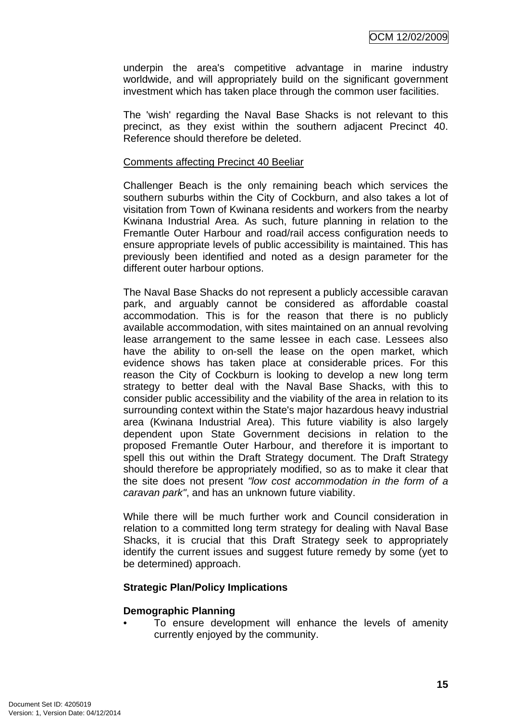underpin the area's competitive advantage in marine industry worldwide, and will appropriately build on the significant government investment which has taken place through the common user facilities.

The 'wish' regarding the Naval Base Shacks is not relevant to this precinct, as they exist within the southern adjacent Precinct 40. Reference should therefore be deleted.

#### Comments affecting Precinct 40 Beeliar

Challenger Beach is the only remaining beach which services the southern suburbs within the City of Cockburn, and also takes a lot of visitation from Town of Kwinana residents and workers from the nearby Kwinana Industrial Area. As such, future planning in relation to the Fremantle Outer Harbour and road/rail access configuration needs to ensure appropriate levels of public accessibility is maintained. This has previously been identified and noted as a design parameter for the different outer harbour options.

The Naval Base Shacks do not represent a publicly accessible caravan park, and arguably cannot be considered as affordable coastal accommodation. This is for the reason that there is no publicly available accommodation, with sites maintained on an annual revolving lease arrangement to the same lessee in each case. Lessees also have the ability to on-sell the lease on the open market, which evidence shows has taken place at considerable prices. For this reason the City of Cockburn is looking to develop a new long term strategy to better deal with the Naval Base Shacks, with this to consider public accessibility and the viability of the area in relation to its surrounding context within the State's major hazardous heavy industrial area (Kwinana Industrial Area). This future viability is also largely dependent upon State Government decisions in relation to the proposed Fremantle Outer Harbour, and therefore it is important to spell this out within the Draft Strategy document. The Draft Strategy should therefore be appropriately modified, so as to make it clear that the site does not present *"low cost accommodation in the form of a caravan park"*, and has an unknown future viability.

While there will be much further work and Council consideration in relation to a committed long term strategy for dealing with Naval Base Shacks, it is crucial that this Draft Strategy seek to appropriately identify the current issues and suggest future remedy by some (yet to be determined) approach.

#### **Strategic Plan/Policy Implications**

#### **Demographic Planning**

To ensure development will enhance the levels of amenity currently enjoyed by the community.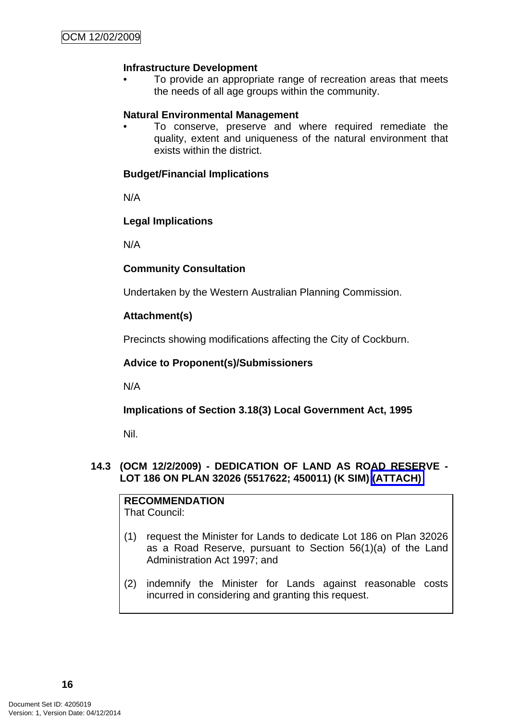## <span id="page-21-0"></span>**Infrastructure Development**

• To provide an appropriate range of recreation areas that meets the needs of all age groups within the community.

#### **Natural Environmental Management**

• To conserve, preserve and where required remediate the quality, extent and uniqueness of the natural environment that exists within the district.

#### **Budget/Financial Implications**

N/A

## **Legal Implications**

N/A

# **Community Consultation**

Undertaken by the Western Australian Planning Commission.

# **Attachment(s)**

Precincts showing modifications affecting the City of Cockburn.

## **Advice to Proponent(s)/Submissioners**

N/A

**Implications of Section 3.18(3) Local Government Act, 1995**

Nil.

## **14.3 (OCM 12/2/2009) - DEDICATION OF LAND AS ROAD RESERVE - LOT 186 ON PLAN 32026 (5517622; 450011) (K SIM) (ATTACH)**

**RECOMMENDATION** That Council:

- (1) request the Minister for Lands to dedicate Lot 186 on Plan 32026 as a Road Reserve, pursuant to Section 56(1)(a) of the Land Administration Act 1997; and
- (2) indemnify the Minister for Lands against reasonable costs incurred in considering and granting this request.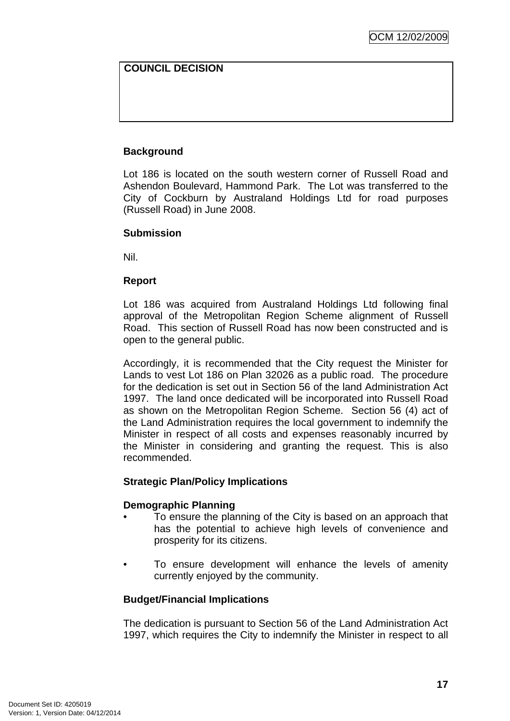# **COUNCIL DECISION**

## **Background**

Lot 186 is located on the south western corner of Russell Road and Ashendon Boulevard, Hammond Park. The Lot was transferred to the City of Cockburn by Australand Holdings Ltd for road purposes (Russell Road) in June 2008.

#### **Submission**

Nil.

#### **Report**

Lot 186 was acquired from Australand Holdings Ltd following final approval of the Metropolitan Region Scheme alignment of Russell Road. This section of Russell Road has now been constructed and is open to the general public.

Accordingly, it is recommended that the City request the Minister for Lands to vest Lot 186 on Plan 32026 as a public road. The procedure for the dedication is set out in Section 56 of the land Administration Act 1997. The land once dedicated will be incorporated into Russell Road as shown on the Metropolitan Region Scheme. Section 56 (4) act of the Land Administration requires the local government to indemnify the Minister in respect of all costs and expenses reasonably incurred by the Minister in considering and granting the request. This is also recommended.

#### **Strategic Plan/Policy Implications**

#### **Demographic Planning**

- To ensure the planning of the City is based on an approach that has the potential to achieve high levels of convenience and prosperity for its citizens.
- To ensure development will enhance the levels of amenity currently enjoyed by the community.

#### **Budget/Financial Implications**

The dedication is pursuant to Section 56 of the Land Administration Act 1997, which requires the City to indemnify the Minister in respect to all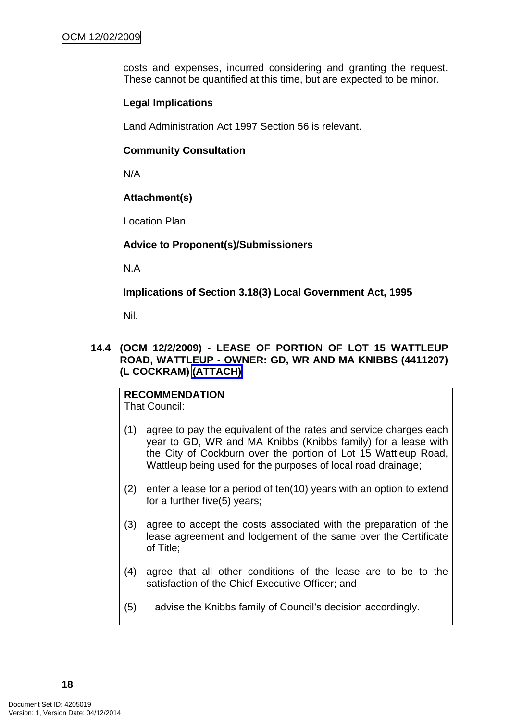<span id="page-23-0"></span>costs and expenses, incurred considering and granting the request. These cannot be quantified at this time, but are expected to be minor.

## **Legal Implications**

Land Administration Act 1997 Section 56 is relevant.

#### **Community Consultation**

N/A

## **Attachment(s)**

Location Plan.

## **Advice to Proponent(s)/Submissioners**

N.A

**Implications of Section 3.18(3) Local Government Act, 1995**

Nil.

#### **14.4 (OCM 12/2/2009) - LEASE OF PORTION OF LOT 15 WATTLEUP ROAD, WATTLEUP - OWNER: GD, WR AND MA KNIBBS (4411207) (L COCKRAM) (ATTACH)**

**RECOMMENDATION** That Council:

- (1) agree to pay the equivalent of the rates and service charges each year to GD, WR and MA Knibbs (Knibbs family) for a lease with the City of Cockburn over the portion of Lot 15 Wattleup Road, Wattleup being used for the purposes of local road drainage:
- (2) enter a lease for a period of ten(10) years with an option to extend for a further five(5) years;
- (3) agree to accept the costs associated with the preparation of the lease agreement and lodgement of the same over the Certificate of Title;
- (4) agree that all other conditions of the lease are to be to the satisfaction of the Chief Executive Officer; and
- (5) advise the Knibbs family of Council's decision accordingly.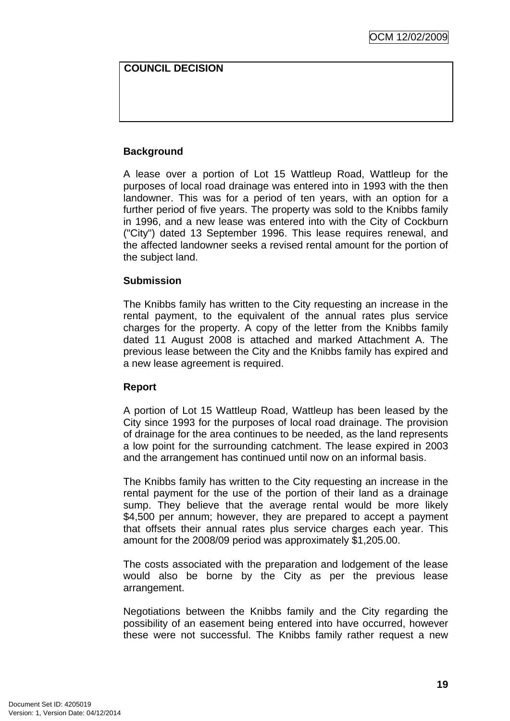## **COUNCIL DECISION**

# **Background**

A lease over a portion of Lot 15 Wattleup Road, Wattleup for the purposes of local road drainage was entered into in 1993 with the then landowner. This was for a period of ten years, with an option for a further period of five years. The property was sold to the Knibbs family in 1996, and a new lease was entered into with the City of Cockburn ("City") dated 13 September 1996. This lease requires renewal, and the affected landowner seeks a revised rental amount for the portion of the subject land.

#### **Submission**

The Knibbs family has written to the City requesting an increase in the rental payment, to the equivalent of the annual rates plus service charges for the property. A copy of the letter from the Knibbs family dated 11 August 2008 is attached and marked Attachment A. The previous lease between the City and the Knibbs family has expired and a new lease agreement is required.

#### **Report**

A portion of Lot 15 Wattleup Road, Wattleup has been leased by the City since 1993 for the purposes of local road drainage. The provision of drainage for the area continues to be needed, as the land represents a low point for the surrounding catchment. The lease expired in 2003 and the arrangement has continued until now on an informal basis.

The Knibbs family has written to the City requesting an increase in the rental payment for the use of the portion of their land as a drainage sump. They believe that the average rental would be more likely \$4,500 per annum; however, they are prepared to accept a payment that offsets their annual rates plus service charges each year. This amount for the 2008/09 period was approximately \$1,205.00.

The costs associated with the preparation and lodgement of the lease would also be borne by the City as per the previous lease arrangement.

Negotiations between the Knibbs family and the City regarding the possibility of an easement being entered into have occurred, however these were not successful. The Knibbs family rather request a new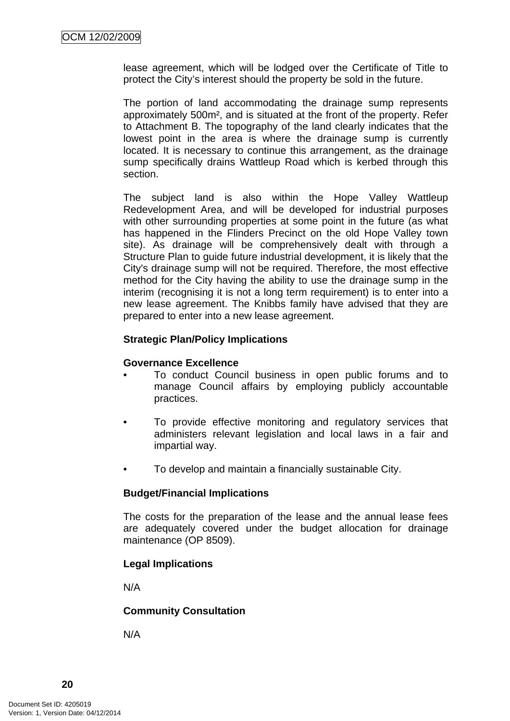lease agreement, which will be lodged over the Certificate of Title to protect the City's interest should the property be sold in the future.

The portion of land accommodating the drainage sump represents approximately 500m², and is situated at the front of the property. Refer to Attachment B. The topography of the land clearly indicates that the lowest point in the area is where the drainage sump is currently located. It is necessary to continue this arrangement, as the drainage sump specifically drains Wattleup Road which is kerbed through this section.

The subject land is also within the Hope Valley Wattleup Redevelopment Area, and will be developed for industrial purposes with other surrounding properties at some point in the future (as what has happened in the Flinders Precinct on the old Hope Valley town site). As drainage will be comprehensively dealt with through a Structure Plan to guide future industrial development, it is likely that the City's drainage sump will not be required. Therefore, the most effective method for the City having the ability to use the drainage sump in the interim (recognising it is not a long term requirement) is to enter into a new lease agreement. The Knibbs family have advised that they are prepared to enter into a new lease agreement.

#### **Strategic Plan/Policy Implications**

#### **Governance Excellence**

- To conduct Council business in open public forums and to manage Council affairs by employing publicly accountable practices.
- To provide effective monitoring and regulatory services that administers relevant legislation and local laws in a fair and impartial way.
- To develop and maintain a financially sustainable City.

#### **Budget/Financial Implications**

The costs for the preparation of the lease and the annual lease fees are adequately covered under the budget allocation for drainage maintenance (OP 8509).

#### **Legal Implications**

N/A

#### **Community Consultation**

N/A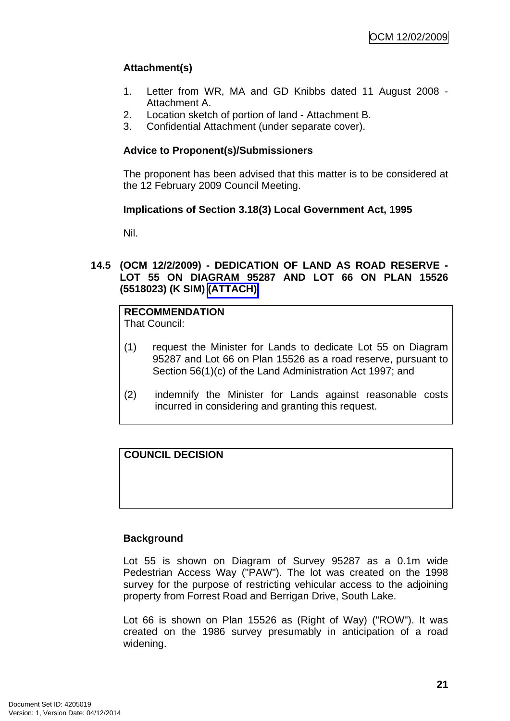# <span id="page-26-0"></span>**Attachment(s)**

- 1. Letter from WR, MA and GD Knibbs dated 11 August 2008 Attachment A.
- 2. Location sketch of portion of land Attachment B.
- 3. Confidential Attachment (under separate cover).

# **Advice to Proponent(s)/Submissioners**

The proponent has been advised that this matter is to be considered at the 12 February 2009 Council Meeting.

# **Implications of Section 3.18(3) Local Government Act, 1995**

Nil.

## **14.5 (OCM 12/2/2009) - DEDICATION OF LAND AS ROAD RESERVE - LOT 55 ON DIAGRAM 95287 AND LOT 66 ON PLAN 15526 (5518023) (K SIM) (ATTACH)**

# **RECOMMENDATION**

That Council:

- (1) request the Minister for Lands to dedicate Lot 55 on Diagram 95287 and Lot 66 on Plan 15526 as a road reserve, pursuant to Section 56(1)(c) of the Land Administration Act 1997; and
- (2) indemnify the Minister for Lands against reasonable costs incurred in considering and granting this request.

# **COUNCIL DECISION**

# **Background**

Lot 55 is shown on Diagram of Survey 95287 as a 0.1m wide Pedestrian Access Way ("PAW"). The lot was created on the 1998 survey for the purpose of restricting vehicular access to the adjoining property from Forrest Road and Berrigan Drive, South Lake.

Lot 66 is shown on Plan 15526 as (Right of Way) ("ROW"). It was created on the 1986 survey presumably in anticipation of a road widening.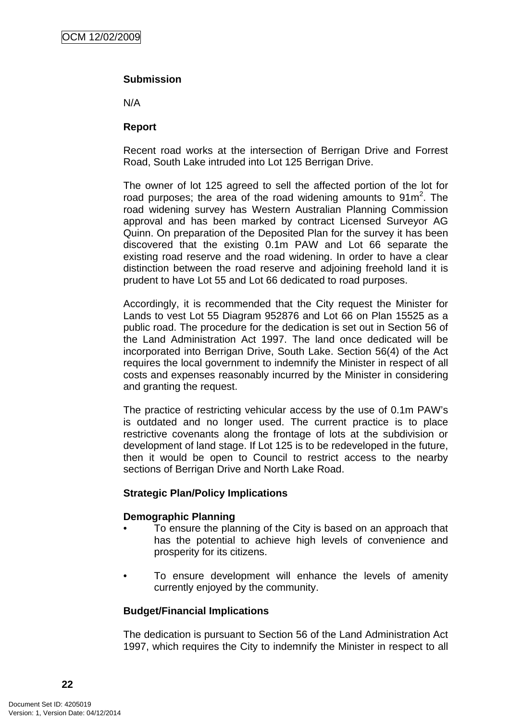#### **Submission**

N/A

#### **Report**

Recent road works at the intersection of Berrigan Drive and Forrest Road, South Lake intruded into Lot 125 Berrigan Drive.

The owner of lot 125 agreed to sell the affected portion of the lot for road purposes; the area of the road widening amounts to  $91m^2$ . The road widening survey has Western Australian Planning Commission approval and has been marked by contract Licensed Surveyor AG Quinn. On preparation of the Deposited Plan for the survey it has been discovered that the existing 0.1m PAW and Lot 66 separate the existing road reserve and the road widening. In order to have a clear distinction between the road reserve and adjoining freehold land it is prudent to have Lot 55 and Lot 66 dedicated to road purposes.

Accordingly, it is recommended that the City request the Minister for Lands to vest Lot 55 Diagram 952876 and Lot 66 on Plan 15525 as a public road. The procedure for the dedication is set out in Section 56 of the Land Administration Act 1997. The land once dedicated will be incorporated into Berrigan Drive, South Lake. Section 56(4) of the Act requires the local government to indemnify the Minister in respect of all costs and expenses reasonably incurred by the Minister in considering and granting the request.

The practice of restricting vehicular access by the use of 0.1m PAW's is outdated and no longer used. The current practice is to place restrictive covenants along the frontage of lots at the subdivision or development of land stage. If Lot 125 is to be redeveloped in the future, then it would be open to Council to restrict access to the nearby sections of Berrigan Drive and North Lake Road.

#### **Strategic Plan/Policy Implications**

#### **Demographic Planning**

- To ensure the planning of the City is based on an approach that has the potential to achieve high levels of convenience and prosperity for its citizens.
- To ensure development will enhance the levels of amenity currently enjoyed by the community.

#### **Budget/Financial Implications**

The dedication is pursuant to Section 56 of the Land Administration Act 1997, which requires the City to indemnify the Minister in respect to all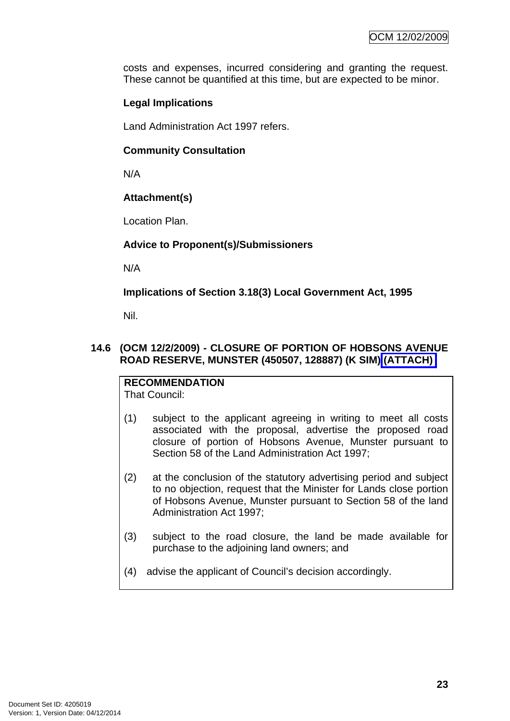<span id="page-28-0"></span>costs and expenses, incurred considering and granting the request. These cannot be quantified at this time, but are expected to be minor.

# **Legal Implications**

Land Administration Act 1997 refers.

#### **Community Consultation**

N/A

## **Attachment(s)**

Location Plan.

#### **Advice to Proponent(s)/Submissioners**

N/A

#### **Implications of Section 3.18(3) Local Government Act, 1995**

Nil.

#### **14.6 (OCM 12/2/2009) - CLOSURE OF PORTION OF HOBSONS AVENUE ROAD RESERVE, MUNSTER (450507, 128887) (K SIM) (ATTACH)**

#### **RECOMMENDATION** That Council:

- (1) subject to the applicant agreeing in writing to meet all costs associated with the proposal, advertise the proposed road closure of portion of Hobsons Avenue, Munster pursuant to Section 58 of the Land Administration Act 1997;
- (2) at the conclusion of the statutory advertising period and subject to no objection, request that the Minister for Lands close portion of Hobsons Avenue, Munster pursuant to Section 58 of the land Administration Act 1997;
- (3) subject to the road closure, the land be made available for purchase to the adjoining land owners; and
- (4) advise the applicant of Council's decision accordingly.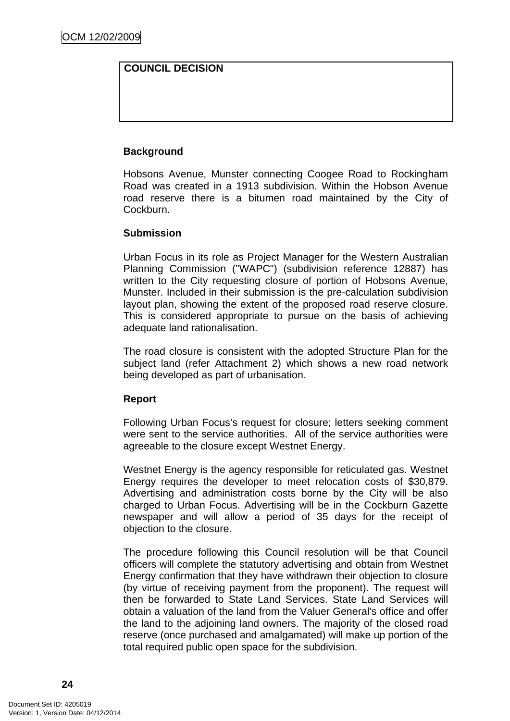## **COUNCIL DECISION**

#### **Background**

Hobsons Avenue, Munster connecting Coogee Road to Rockingham Road was created in a 1913 subdivision. Within the Hobson Avenue road reserve there is a bitumen road maintained by the City of Cockburn.

#### **Submission**

Urban Focus in its role as Project Manager for the Western Australian Planning Commission ("WAPC") (subdivision reference 12887) has written to the City requesting closure of portion of Hobsons Avenue, Munster. Included in their submission is the pre-calculation subdivision layout plan, showing the extent of the proposed road reserve closure. This is considered appropriate to pursue on the basis of achieving adequate land rationalisation.

The road closure is consistent with the adopted Structure Plan for the subject land (refer Attachment 2) which shows a new road network being developed as part of urbanisation.

#### **Report**

Following Urban Focus's request for closure; letters seeking comment were sent to the service authorities. All of the service authorities were agreeable to the closure except Westnet Energy.

Westnet Energy is the agency responsible for reticulated gas. Westnet Energy requires the developer to meet relocation costs of \$30,879. Advertising and administration costs borne by the City will be also charged to Urban Focus. Advertising will be in the Cockburn Gazette newspaper and will allow a period of 35 days for the receipt of objection to the closure.

The procedure following this Council resolution will be that Council officers will complete the statutory advertising and obtain from Westnet Energy confirmation that they have withdrawn their objection to closure (by virtue of receiving payment from the proponent). The request will then be forwarded to State Land Services. State Land Services will obtain a valuation of the land from the Valuer General's office and offer the land to the adjoining land owners. The majority of the closed road reserve (once purchased and amalgamated) will make up portion of the total required public open space for the subdivision.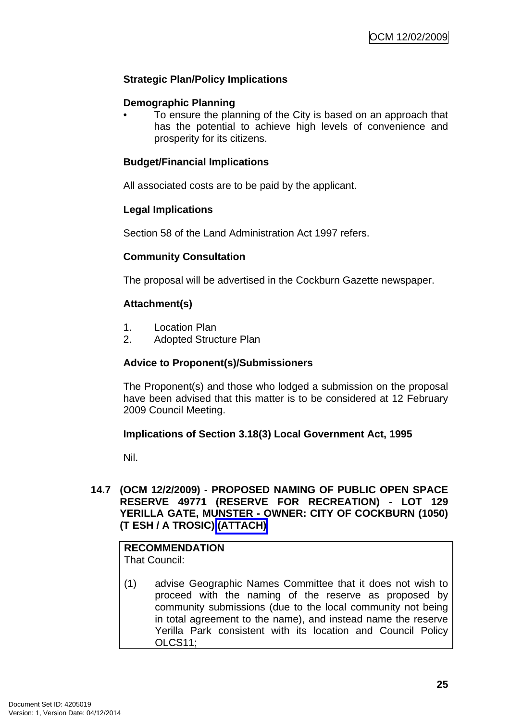## <span id="page-30-0"></span>**Strategic Plan/Policy Implications**

## **Demographic Planning**

To ensure the planning of the City is based on an approach that has the potential to achieve high levels of convenience and prosperity for its citizens.

#### **Budget/Financial Implications**

All associated costs are to be paid by the applicant.

#### **Legal Implications**

Section 58 of the Land Administration Act 1997 refers.

#### **Community Consultation**

The proposal will be advertised in the Cockburn Gazette newspaper.

#### **Attachment(s)**

- 1. Location Plan
- 2. Adopted Structure Plan

#### **Advice to Proponent(s)/Submissioners**

The Proponent(s) and those who lodged a submission on the proposal have been advised that this matter is to be considered at 12 February 2009 Council Meeting.

#### **Implications of Section 3.18(3) Local Government Act, 1995**

Nil.

#### **14.7 (OCM 12/2/2009) - PROPOSED NAMING OF PUBLIC OPEN SPACE RESERVE 49771 (RESERVE FOR RECREATION) - LOT 129 YERILLA GATE, MUNSTER - OWNER: CITY OF COCKBURN (1050) (T ESH / A TROSIC) (ATTACH)**

# **RECOMMENDATION**

That Council:

(1) advise Geographic Names Committee that it does not wish to proceed with the naming of the reserve as proposed by community submissions (due to the local community not being in total agreement to the name), and instead name the reserve Yerilla Park consistent with its location and Council Policy OLCS11;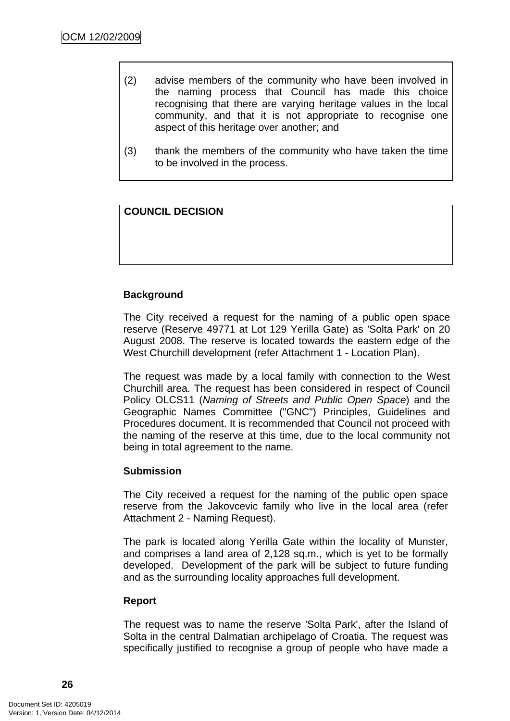- (2) advise members of the community who have been involved in the naming process that Council has made this choice recognising that there are varying heritage values in the local community, and that it is not appropriate to recognise one aspect of this heritage over another; and
- (3) thank the members of the community who have taken the time to be involved in the process.

# **COUNCIL DECISION**

# **Background**

The City received a request for the naming of a public open space reserve (Reserve 49771 at Lot 129 Yerilla Gate) as 'Solta Park' on 20 August 2008. The reserve is located towards the eastern edge of the West Churchill development (refer Attachment 1 - Location Plan).

The request was made by a local family with connection to the West Churchill area. The request has been considered in respect of Council Policy OLCS11 (*Naming of Streets and Public Open Space*) and the Geographic Names Committee ("GNC") Principles, Guidelines and Procedures document. It is recommended that Council not proceed with the naming of the reserve at this time, due to the local community not being in total agreement to the name.

#### **Submission**

The City received a request for the naming of the public open space reserve from the Jakovcevic family who live in the local area (refer Attachment 2 - Naming Request).

The park is located along Yerilla Gate within the locality of Munster, and comprises a land area of 2,128 sq.m., which is yet to be formally developed. Development of the park will be subject to future funding and as the surrounding locality approaches full development.

#### **Report**

The request was to name the reserve 'Solta Park', after the Island of Solta in the central Dalmatian archipelago of Croatia. The request was specifically justified to recognise a group of people who have made a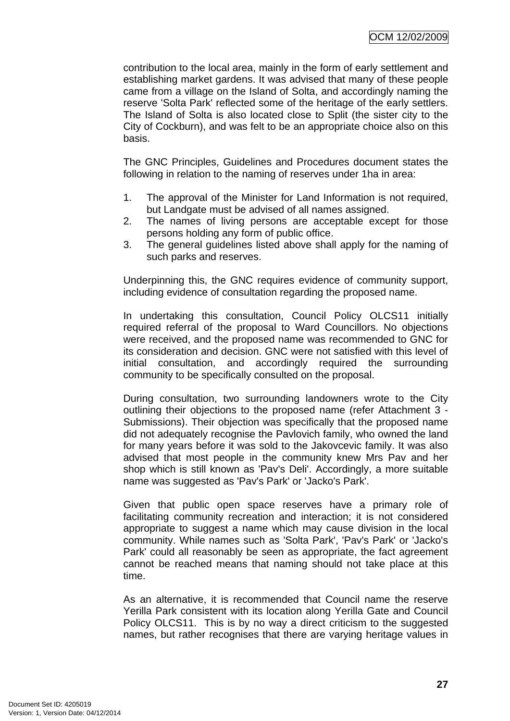contribution to the local area, mainly in the form of early settlement and establishing market gardens. It was advised that many of these people came from a village on the Island of Solta, and accordingly naming the reserve 'Solta Park' reflected some of the heritage of the early settlers. The Island of Solta is also located close to Split (the sister city to the City of Cockburn), and was felt to be an appropriate choice also on this basis.

The GNC Principles, Guidelines and Procedures document states the following in relation to the naming of reserves under 1ha in area:

- 1. The approval of the Minister for Land Information is not required, but Landgate must be advised of all names assigned.
- 2. The names of living persons are acceptable except for those persons holding any form of public office.
- 3. The general guidelines listed above shall apply for the naming of such parks and reserves.

Underpinning this, the GNC requires evidence of community support, including evidence of consultation regarding the proposed name.

In undertaking this consultation, Council Policy OLCS11 initially required referral of the proposal to Ward Councillors. No objections were received, and the proposed name was recommended to GNC for its consideration and decision. GNC were not satisfied with this level of initial consultation, and accordingly required the surrounding community to be specifically consulted on the proposal.

During consultation, two surrounding landowners wrote to the City outlining their objections to the proposed name (refer Attachment 3 - Submissions). Their objection was specifically that the proposed name did not adequately recognise the Pavlovich family, who owned the land for many years before it was sold to the Jakovcevic family. It was also advised that most people in the community knew Mrs Pav and her shop which is still known as 'Pav's Deli'. Accordingly, a more suitable name was suggested as 'Pav's Park' or 'Jacko's Park'.

Given that public open space reserves have a primary role of facilitating community recreation and interaction; it is not considered appropriate to suggest a name which may cause division in the local community. While names such as 'Solta Park', 'Pav's Park' or 'Jacko's Park' could all reasonably be seen as appropriate, the fact agreement cannot be reached means that naming should not take place at this time.

As an alternative, it is recommended that Council name the reserve Yerilla Park consistent with its location along Yerilla Gate and Council Policy OLCS11. This is by no way a direct criticism to the suggested names, but rather recognises that there are varying heritage values in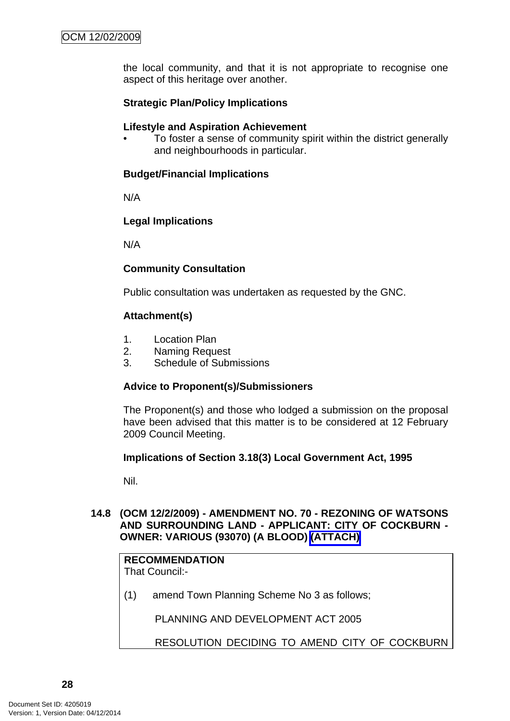<span id="page-33-0"></span>the local community, and that it is not appropriate to recognise one aspect of this heritage over another.

## **Strategic Plan/Policy Implications**

#### **Lifestyle and Aspiration Achievement**

To foster a sense of community spirit within the district generally and neighbourhoods in particular.

## **Budget/Financial Implications**

N/A

## **Legal Implications**

N/A

## **Community Consultation**

Public consultation was undertaken as requested by the GNC.

## **Attachment(s)**

- 1. Location Plan
- 2. Naming Request
- 3. Schedule of Submissions

#### **Advice to Proponent(s)/Submissioners**

The Proponent(s) and those who lodged a submission on the proposal have been advised that this matter is to be considered at 12 February 2009 Council Meeting.

#### **Implications of Section 3.18(3) Local Government Act, 1995**

Nil.

#### **14.8 (OCM 12/2/2009) - AMENDMENT NO. 70 - REZONING OF WATSONS AND SURROUNDING LAND - APPLICANT: CITY OF COCKBURN - OWNER: VARIOUS (93070) (A BLOOD) (ATTACH)**

# **RECOMMENDATION**

That Council:-

(1) amend Town Planning Scheme No 3 as follows;

PLANNING AND DEVELOPMENT ACT 2005

RESOLUTION DECIDING TO AMEND CITY OF COCKBURN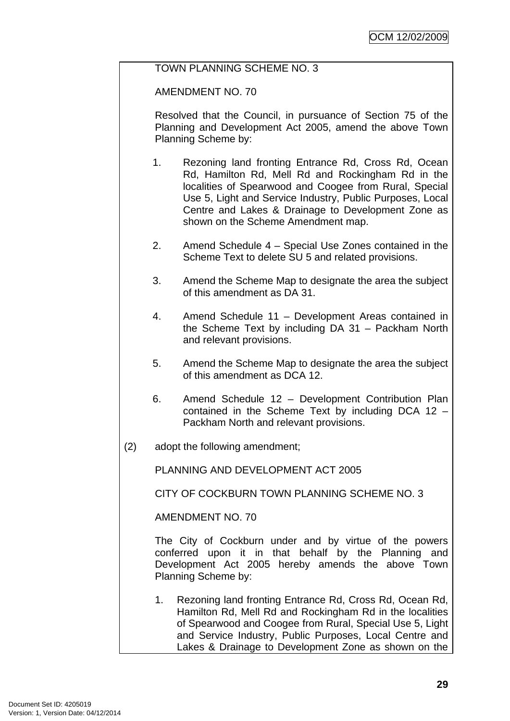# TOWN PLANNING SCHEME NO. 3

AMENDMENT NO. 70

Resolved that the Council, in pursuance of Section 75 of the Planning and Development Act 2005, amend the above Town Planning Scheme by:

- 1. Rezoning land fronting Entrance Rd, Cross Rd, Ocean Rd, Hamilton Rd, Mell Rd and Rockingham Rd in the localities of Spearwood and Coogee from Rural, Special Use 5, Light and Service Industry, Public Purposes, Local Centre and Lakes & Drainage to Development Zone as shown on the Scheme Amendment map.
- 2. Amend Schedule 4 Special Use Zones contained in the Scheme Text to delete SU 5 and related provisions.
- 3. Amend the Scheme Map to designate the area the subject of this amendment as DA 31.
- 4. Amend Schedule 11 Development Areas contained in the Scheme Text by including DA 31 – Packham North and relevant provisions.
- 5. Amend the Scheme Map to designate the area the subject of this amendment as DCA 12.
- 6. Amend Schedule 12 Development Contribution Plan contained in the Scheme Text by including DCA 12 – Packham North and relevant provisions.
- (2) adopt the following amendment;

PLANNING AND DEVELOPMENT ACT 2005

CITY OF COCKBURN TOWN PLANNING SCHEME NO. 3

AMENDMENT NO. 70

The City of Cockburn under and by virtue of the powers conferred upon it in that behalf by the Planning and Development Act 2005 hereby amends the above Town Planning Scheme by:

1. Rezoning land fronting Entrance Rd, Cross Rd, Ocean Rd, Hamilton Rd, Mell Rd and Rockingham Rd in the localities of Spearwood and Coogee from Rural, Special Use 5, Light and Service Industry, Public Purposes, Local Centre and Lakes & Drainage to Development Zone as shown on the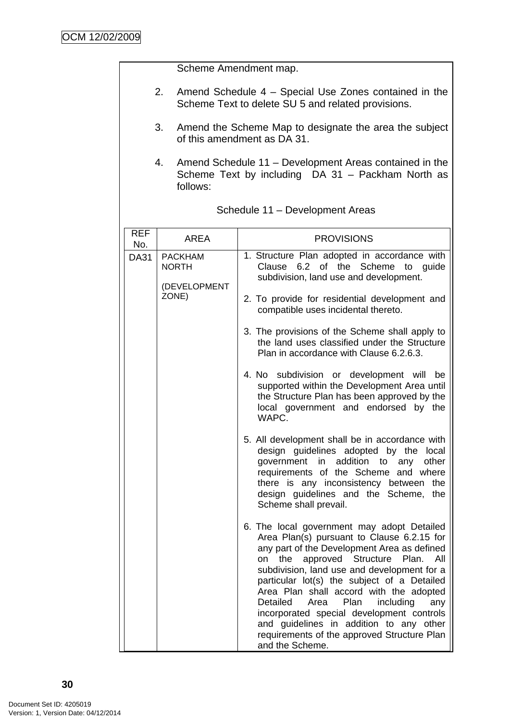|                |                   | Scheme Amendment map. |                                                                                       |                                                                                                                                                                                                                                                                                                                                                                                                                                                                                                                                         |
|----------------|-------------------|-----------------------|---------------------------------------------------------------------------------------|-----------------------------------------------------------------------------------------------------------------------------------------------------------------------------------------------------------------------------------------------------------------------------------------------------------------------------------------------------------------------------------------------------------------------------------------------------------------------------------------------------------------------------------------|
| 2.             |                   |                       |                                                                                       | Amend Schedule 4 – Special Use Zones contained in the<br>Scheme Text to delete SU 5 and related provisions.                                                                                                                                                                                                                                                                                                                                                                                                                             |
| 3.             |                   |                       | Amend the Scheme Map to designate the area the subject<br>of this amendment as DA 31. |                                                                                                                                                                                                                                                                                                                                                                                                                                                                                                                                         |
| 4.<br>follows: |                   |                       |                                                                                       | Amend Schedule 11 – Development Areas contained in the<br>Scheme Text by including DA 31 - Packham North as                                                                                                                                                                                                                                                                                                                                                                                                                             |
|                |                   |                       |                                                                                       | Schedule 11 - Development Areas                                                                                                                                                                                                                                                                                                                                                                                                                                                                                                         |
|                | <b>REF</b><br>No. |                       | <b>AREA</b>                                                                           | <b>PROVISIONS</b>                                                                                                                                                                                                                                                                                                                                                                                                                                                                                                                       |
|                | <b>DA31</b>       |                       | <b>PACKHAM</b><br><b>NORTH</b>                                                        | 1. Structure Plan adopted in accordance with<br>Clause 6.2 of the Scheme to guide<br>subdivision, land use and development.                                                                                                                                                                                                                                                                                                                                                                                                             |
|                |                   | (DEVELOPMENT<br>ZONE) | 2. To provide for residential development and<br>compatible uses incidental thereto.  |                                                                                                                                                                                                                                                                                                                                                                                                                                                                                                                                         |
|                |                   |                       |                                                                                       | 3. The provisions of the Scheme shall apply to<br>the land uses classified under the Structure<br>Plan in accordance with Clause 6.2.6.3.                                                                                                                                                                                                                                                                                                                                                                                               |
|                |                   |                       |                                                                                       | 4. No subdivision or development will be<br>supported within the Development Area until<br>the Structure Plan has been approved by the<br>local government and endorsed by the<br>WAPC.                                                                                                                                                                                                                                                                                                                                                 |
|                |                   |                       |                                                                                       | 5. All development shall be in accordance with<br>design guidelines adopted by the local<br>addition<br>government<br>other<br>in<br>to<br>any<br>requirements of the Scheme and where<br>there is any inconsistency between the<br>design guidelines and the Scheme, the<br>Scheme shall prevail.                                                                                                                                                                                                                                      |
|                |                   |                       |                                                                                       | 6. The local government may adopt Detailed<br>Area Plan(s) pursuant to Clause 6.2.15 for<br>any part of the Development Area as defined<br>the approved Structure Plan.<br>All<br>on<br>subdivision, land use and development for a<br>particular lot(s) the subject of a Detailed<br>Area Plan shall accord with the adopted<br>Detailed<br>Area<br>Plan<br>including<br>any<br>incorporated special development controls<br>and guidelines in addition to any other<br>requirements of the approved Structure Plan<br>and the Scheme. |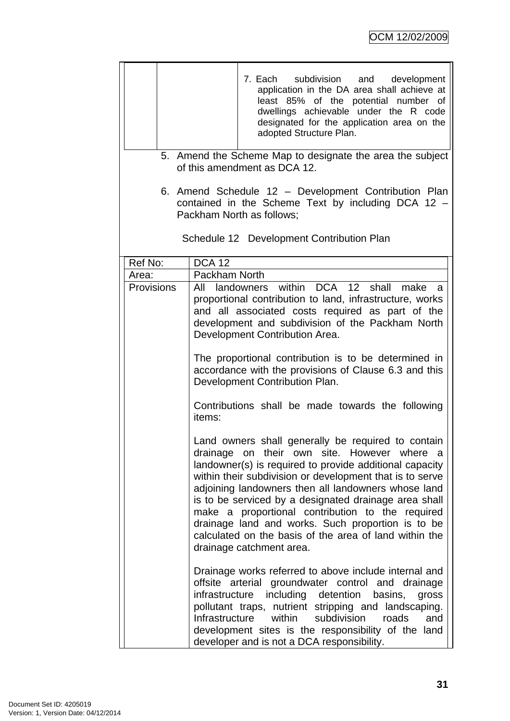|                                                                                                                                         | 7. Each<br>subdivision and development<br>application in the DA area shall achieve at<br>least 85% of the potential number of<br>dwellings achievable under the R code<br>designated for the application area on the<br>adopted Structure Plan.<br>5. Amend the Scheme Map to designate the area the subject                                                                                                                                                                                                                            |  |  |  |
|-----------------------------------------------------------------------------------------------------------------------------------------|-----------------------------------------------------------------------------------------------------------------------------------------------------------------------------------------------------------------------------------------------------------------------------------------------------------------------------------------------------------------------------------------------------------------------------------------------------------------------------------------------------------------------------------------|--|--|--|
| of this amendment as DCA 12.                                                                                                            |                                                                                                                                                                                                                                                                                                                                                                                                                                                                                                                                         |  |  |  |
| 6. Amend Schedule 12 - Development Contribution Plan<br>contained in the Scheme Text by including DCA 12 -<br>Packham North as follows; |                                                                                                                                                                                                                                                                                                                                                                                                                                                                                                                                         |  |  |  |
|                                                                                                                                         | Schedule 12 Development Contribution Plan                                                                                                                                                                                                                                                                                                                                                                                                                                                                                               |  |  |  |
| Ref No:                                                                                                                                 | <b>DCA 12</b>                                                                                                                                                                                                                                                                                                                                                                                                                                                                                                                           |  |  |  |
| Area:                                                                                                                                   | Packham North                                                                                                                                                                                                                                                                                                                                                                                                                                                                                                                           |  |  |  |
| Provisions                                                                                                                              | landowners within<br>DCA 12<br>shall<br>All<br>make<br>a<br>proportional contribution to land, infrastructure, works<br>and all associated costs required as part of the<br>development and subdivision of the Packham North<br>Development Contribution Area.                                                                                                                                                                                                                                                                          |  |  |  |
|                                                                                                                                         | The proportional contribution is to be determined in<br>accordance with the provisions of Clause 6.3 and this<br>Development Contribution Plan.                                                                                                                                                                                                                                                                                                                                                                                         |  |  |  |
| Contributions shall be made towards the following<br>items:                                                                             |                                                                                                                                                                                                                                                                                                                                                                                                                                                                                                                                         |  |  |  |
|                                                                                                                                         | Land owners shall generally be required to contain<br>drainage on their own site. However where a<br>landowner(s) is required to provide additional capacity<br>within their subdivision or development that is to serve<br>adjoining landowners then all landowners whose land<br>is to be serviced by a designated drainage area shall<br>make a proportional contribution to the required<br>drainage land and works. Such proportion is to be<br>calculated on the basis of the area of land within the<br>drainage catchment area. |  |  |  |
|                                                                                                                                         | Drainage works referred to above include internal and<br>offsite arterial<br>groundwater control and<br>drainage<br>infrastructure including detention<br>basins,<br>gross<br>pollutant traps, nutrient stripping and landscaping.<br>Infrastructure<br>subdivision<br>within<br>roads<br>and<br>development sites is the responsibility of the land<br>developer and is not a DCA responsibility.                                                                                                                                      |  |  |  |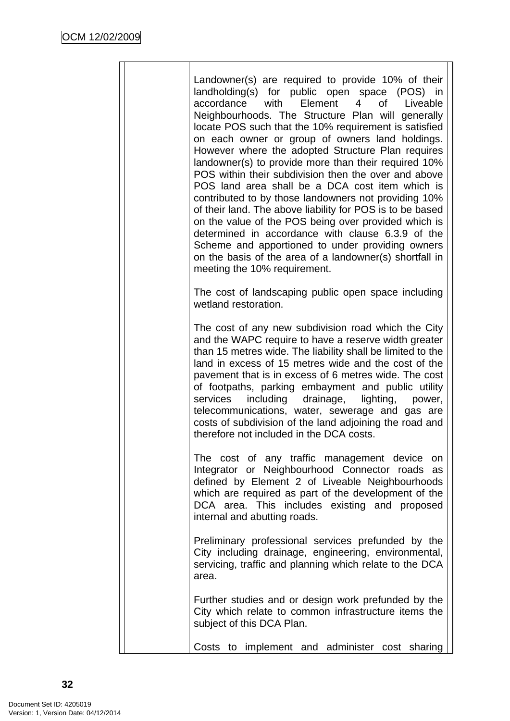|  | Landowner(s) are required to provide 10% of their<br>landholding(s) for public open space (POS) in<br>accordance with Element<br>$\overline{4}$<br>of Liveable<br>Neighbourhoods. The Structure Plan will generally<br>locate POS such that the 10% requirement is satisfied<br>on each owner or group of owners land holdings.<br>However where the adopted Structure Plan requires<br>landowner(s) to provide more than their required 10%<br>POS within their subdivision then the over and above<br>POS land area shall be a DCA cost item which is<br>contributed to by those landowners not providing 10%<br>of their land. The above liability for POS is to be based<br>on the value of the POS being over provided which is<br>determined in accordance with clause 6.3.9 of the<br>Scheme and apportioned to under providing owners<br>on the basis of the area of a landowner(s) shortfall in<br>meeting the 10% requirement. |
|--|------------------------------------------------------------------------------------------------------------------------------------------------------------------------------------------------------------------------------------------------------------------------------------------------------------------------------------------------------------------------------------------------------------------------------------------------------------------------------------------------------------------------------------------------------------------------------------------------------------------------------------------------------------------------------------------------------------------------------------------------------------------------------------------------------------------------------------------------------------------------------------------------------------------------------------------|
|  | The cost of landscaping public open space including<br>wetland restoration.                                                                                                                                                                                                                                                                                                                                                                                                                                                                                                                                                                                                                                                                                                                                                                                                                                                              |
|  | The cost of any new subdivision road which the City<br>and the WAPC require to have a reserve width greater<br>than 15 metres wide. The liability shall be limited to the<br>land in excess of 15 metres wide and the cost of the<br>pavement that is in excess of 6 metres wide. The cost<br>of footpaths, parking embayment and public utility<br>including<br>drainage,<br>lighting,<br>services<br>power,<br>telecommunications, water, sewerage and gas are<br>costs of subdivision of the land adjoining the road and<br>therefore not included in the DCA costs.                                                                                                                                                                                                                                                                                                                                                                  |
|  | The cost of any traffic management device on<br>Integrator or Neighbourhood Connector roads as<br>defined by Element 2 of Liveable Neighbourhoods<br>which are required as part of the development of the<br>DCA area. This includes existing and proposed<br>internal and abutting roads.                                                                                                                                                                                                                                                                                                                                                                                                                                                                                                                                                                                                                                               |
|  | Preliminary professional services prefunded by the<br>City including drainage, engineering, environmental,<br>servicing, traffic and planning which relate to the DCA<br>area.                                                                                                                                                                                                                                                                                                                                                                                                                                                                                                                                                                                                                                                                                                                                                           |
|  | Further studies and or design work prefunded by the<br>City which relate to common infrastructure items the<br>subject of this DCA Plan.                                                                                                                                                                                                                                                                                                                                                                                                                                                                                                                                                                                                                                                                                                                                                                                                 |
|  | Costs to implement and administer cost sharing                                                                                                                                                                                                                                                                                                                                                                                                                                                                                                                                                                                                                                                                                                                                                                                                                                                                                           |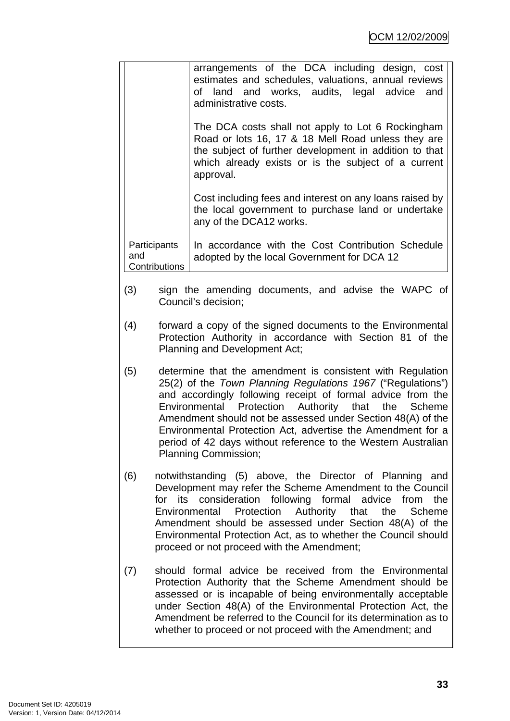|  |                                                                                                                                                                                                                                                                                                                                                                                                                                                                                                 | arrangements of the DCA including design, cost<br>estimates and schedules, valuations, annual reviews<br>and works, audits, legal<br>land<br>advice<br>and<br>of<br>administrative costs.                                                                                                                                                                                                                       |  |  |
|--|-------------------------------------------------------------------------------------------------------------------------------------------------------------------------------------------------------------------------------------------------------------------------------------------------------------------------------------------------------------------------------------------------------------------------------------------------------------------------------------------------|-----------------------------------------------------------------------------------------------------------------------------------------------------------------------------------------------------------------------------------------------------------------------------------------------------------------------------------------------------------------------------------------------------------------|--|--|
|  |                                                                                                                                                                                                                                                                                                                                                                                                                                                                                                 | The DCA costs shall not apply to Lot 6 Rockingham<br>Road or lots 16, 17 & 18 Mell Road unless they are<br>the subject of further development in addition to that<br>which already exists or is the subject of a current<br>approval.                                                                                                                                                                           |  |  |
|  |                                                                                                                                                                                                                                                                                                                                                                                                                                                                                                 | Cost including fees and interest on any loans raised by<br>the local government to purchase land or undertake<br>any of the DCA12 works.                                                                                                                                                                                                                                                                        |  |  |
|  | Participants<br>and<br>Contributions                                                                                                                                                                                                                                                                                                                                                                                                                                                            | In accordance with the Cost Contribution Schedule<br>adopted by the local Government for DCA 12                                                                                                                                                                                                                                                                                                                 |  |  |
|  | (3)<br>sign the amending documents, and advise the WAPC of<br>Council's decision;                                                                                                                                                                                                                                                                                                                                                                                                               |                                                                                                                                                                                                                                                                                                                                                                                                                 |  |  |
|  | (4)<br>forward a copy of the signed documents to the Environmental<br>Protection Authority in accordance with Section 81 of the<br>Planning and Development Act;                                                                                                                                                                                                                                                                                                                                |                                                                                                                                                                                                                                                                                                                                                                                                                 |  |  |
|  | (5)<br>determine that the amendment is consistent with Regulation<br>25(2) of the Town Planning Regulations 1967 ("Regulations")<br>and accordingly following receipt of formal advice from the<br>Protection<br>Authority that<br>Scheme<br>Environmental<br>the<br>Amendment should not be assessed under Section 48(A) of the<br>Environmental Protection Act, advertise the Amendment for a<br>period of 42 days without reference to the Western Australian<br><b>Planning Commission;</b> |                                                                                                                                                                                                                                                                                                                                                                                                                 |  |  |
|  | (6)                                                                                                                                                                                                                                                                                                                                                                                                                                                                                             | notwithstanding (5) above, the Director of Planning and<br>Development may refer the Scheme Amendment to the Council<br>for its consideration following formal advice from the<br>Environmental Protection Authority that the Scheme<br>Amendment should be assessed under Section 48(A) of the<br>Environmental Protection Act, as to whether the Council should<br>proceed or not proceed with the Amendment; |  |  |
|  | (7)                                                                                                                                                                                                                                                                                                                                                                                                                                                                                             | should formal advice be received from the Environmental<br>Protection Authority that the Scheme Amendment should be<br>assessed or is incapable of being environmentally acceptable<br>under Section 48(A) of the Environmental Protection Act, the<br>Amendment be referred to the Council for its determination as to<br>whether to proceed or not proceed with the Amendment; and                            |  |  |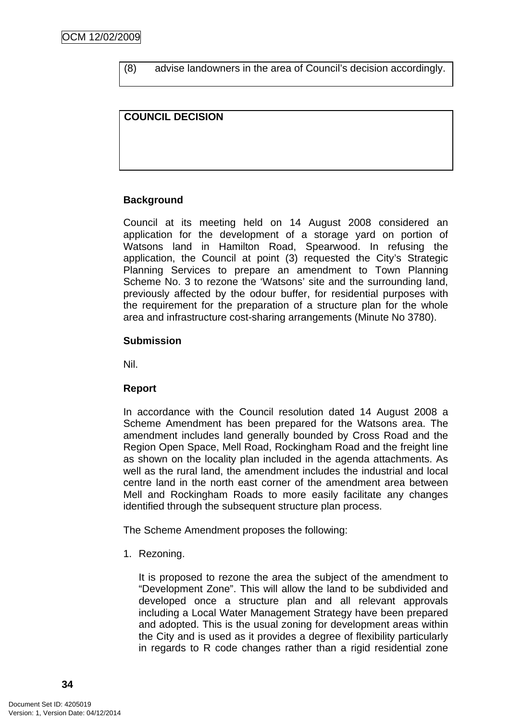(8) advise landowners in the area of Council's decision accordingly.

## **COUNCIL DECISION**

## **Background**

Council at its meeting held on 14 August 2008 considered an application for the development of a storage yard on portion of Watsons land in Hamilton Road, Spearwood. In refusing the application, the Council at point (3) requested the City's Strategic Planning Services to prepare an amendment to Town Planning Scheme No. 3 to rezone the 'Watsons' site and the surrounding land, previously affected by the odour buffer, for residential purposes with the requirement for the preparation of a structure plan for the whole area and infrastructure cost-sharing arrangements (Minute No 3780).

#### **Submission**

Nil.

## **Report**

In accordance with the Council resolution dated 14 August 2008 a Scheme Amendment has been prepared for the Watsons area. The amendment includes land generally bounded by Cross Road and the Region Open Space, Mell Road, Rockingham Road and the freight line as shown on the locality plan included in the agenda attachments. As well as the rural land, the amendment includes the industrial and local centre land in the north east corner of the amendment area between Mell and Rockingham Roads to more easily facilitate any changes identified through the subsequent structure plan process.

The Scheme Amendment proposes the following:

1. Rezoning.

It is proposed to rezone the area the subject of the amendment to "Development Zone". This will allow the land to be subdivided and developed once a structure plan and all relevant approvals including a Local Water Management Strategy have been prepared and adopted. This is the usual zoning for development areas within the City and is used as it provides a degree of flexibility particularly in regards to R code changes rather than a rigid residential zone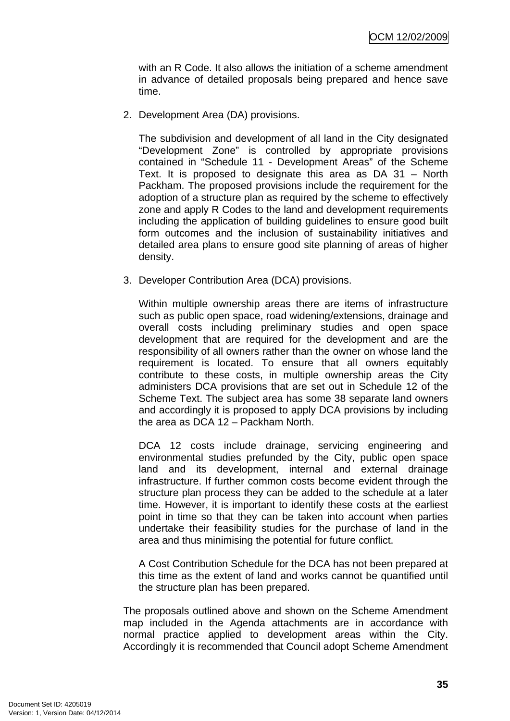with an R Code. It also allows the initiation of a scheme amendment in advance of detailed proposals being prepared and hence save time.

2. Development Area (DA) provisions.

The subdivision and development of all land in the City designated "Development Zone" is controlled by appropriate provisions contained in "Schedule 11 - Development Areas" of the Scheme Text. It is proposed to designate this area as DA 31 – North Packham. The proposed provisions include the requirement for the adoption of a structure plan as required by the scheme to effectively zone and apply R Codes to the land and development requirements including the application of building guidelines to ensure good built form outcomes and the inclusion of sustainability initiatives and detailed area plans to ensure good site planning of areas of higher density.

3. Developer Contribution Area (DCA) provisions.

Within multiple ownership areas there are items of infrastructure such as public open space, road widening/extensions, drainage and overall costs including preliminary studies and open space development that are required for the development and are the responsibility of all owners rather than the owner on whose land the requirement is located. To ensure that all owners equitably contribute to these costs, in multiple ownership areas the City administers DCA provisions that are set out in Schedule 12 of the Scheme Text. The subject area has some 38 separate land owners and accordingly it is proposed to apply DCA provisions by including the area as DCA 12 – Packham North.

DCA 12 costs include drainage, servicing engineering and environmental studies prefunded by the City, public open space land and its development, internal and external drainage infrastructure. If further common costs become evident through the structure plan process they can be added to the schedule at a later time. However, it is important to identify these costs at the earliest point in time so that they can be taken into account when parties undertake their feasibility studies for the purchase of land in the area and thus minimising the potential for future conflict.

A Cost Contribution Schedule for the DCA has not been prepared at this time as the extent of land and works cannot be quantified until the structure plan has been prepared.

The proposals outlined above and shown on the Scheme Amendment map included in the Agenda attachments are in accordance with normal practice applied to development areas within the City. Accordingly it is recommended that Council adopt Scheme Amendment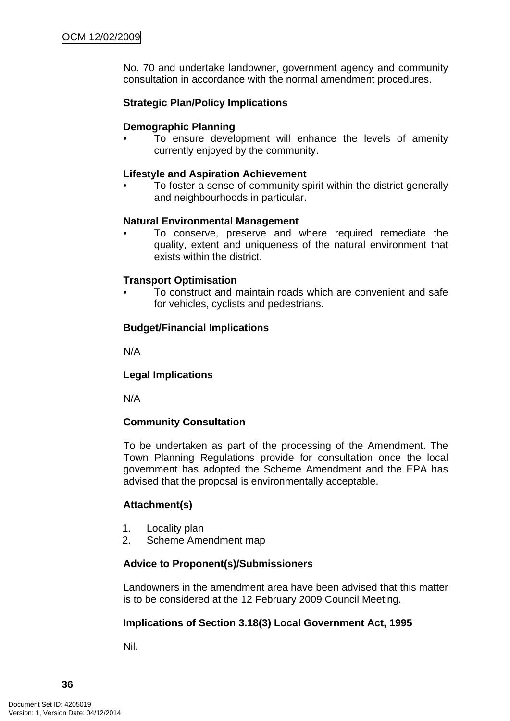No. 70 and undertake landowner, government agency and community consultation in accordance with the normal amendment procedures.

## **Strategic Plan/Policy Implications**

## **Demographic Planning**

• To ensure development will enhance the levels of amenity currently enjoyed by the community.

## **Lifestyle and Aspiration Achievement**

• To foster a sense of community spirit within the district generally and neighbourhoods in particular.

#### **Natural Environmental Management**

• To conserve, preserve and where required remediate the quality, extent and uniqueness of the natural environment that exists within the district.

## **Transport Optimisation**

• To construct and maintain roads which are convenient and safe for vehicles, cyclists and pedestrians.

#### **Budget/Financial Implications**

N/A

## **Legal Implications**

N/A

## **Community Consultation**

To be undertaken as part of the processing of the Amendment. The Town Planning Regulations provide for consultation once the local government has adopted the Scheme Amendment and the EPA has advised that the proposal is environmentally acceptable.

## **Attachment(s)**

- 1. Locality plan
- 2. Scheme Amendment map

## **Advice to Proponent(s)/Submissioners**

Landowners in the amendment area have been advised that this matter is to be considered at the 12 February 2009 Council Meeting.

## **Implications of Section 3.18(3) Local Government Act, 1995**

Nil.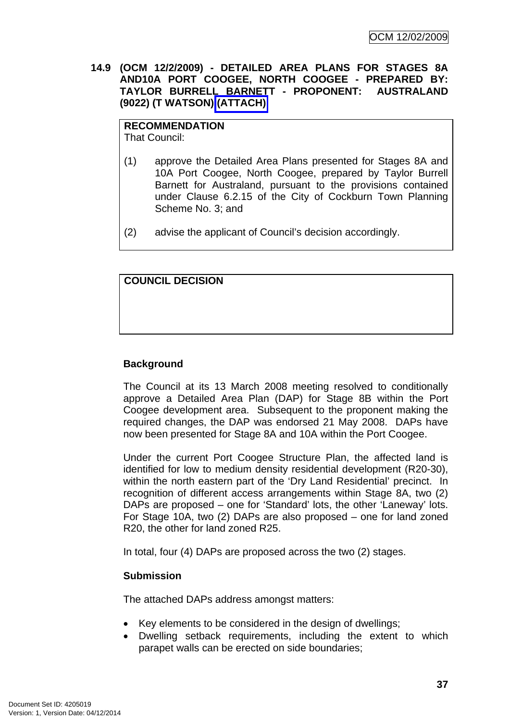**14.9 (OCM 12/2/2009) - DETAILED AREA PLANS FOR STAGES 8A AND10A PORT COOGEE, NORTH COOGEE - PREPARED BY: TAYLOR BURRELL BARNETT - PROPONENT: AUSTRALAND (9022) (T WATSON) (ATTACH)** 

## **RECOMMENDATION**

That Council:

- (1) approve the Detailed Area Plans presented for Stages 8A and 10A Port Coogee, North Coogee, prepared by Taylor Burrell Barnett for Australand, pursuant to the provisions contained under Clause 6.2.15 of the City of Cockburn Town Planning Scheme No. 3; and
- (2) advise the applicant of Council's decision accordingly.

## **COUNCIL DECISION**

## **Background**

The Council at its 13 March 2008 meeting resolved to conditionally approve a Detailed Area Plan (DAP) for Stage 8B within the Port Coogee development area. Subsequent to the proponent making the required changes, the DAP was endorsed 21 May 2008. DAPs have now been presented for Stage 8A and 10A within the Port Coogee.

Under the current Port Coogee Structure Plan, the affected land is identified for low to medium density residential development (R20-30), within the north eastern part of the 'Dry Land Residential' precinct. In recognition of different access arrangements within Stage 8A, two (2) DAPs are proposed – one for 'Standard' lots, the other 'Laneway' lots. For Stage 10A, two (2) DAPs are also proposed – one for land zoned R20, the other for land zoned R25.

In total, four (4) DAPs are proposed across the two (2) stages.

## **Submission**

The attached DAPs address amongst matters:

- Key elements to be considered in the design of dwellings;
- Dwelling setback requirements, including the extent to which parapet walls can be erected on side boundaries;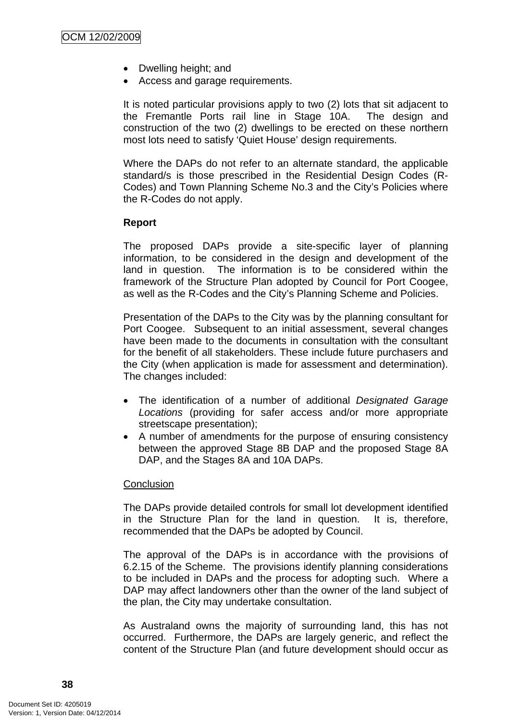- Dwelling height; and
- Access and garage requirements.

It is noted particular provisions apply to two (2) lots that sit adjacent to the Fremantle Ports rail line in Stage 10A. The design and construction of the two (2) dwellings to be erected on these northern most lots need to satisfy 'Quiet House' design requirements.

Where the DAPs do not refer to an alternate standard, the applicable standard/s is those prescribed in the Residential Design Codes (R-Codes) and Town Planning Scheme No.3 and the City's Policies where the R-Codes do not apply.

## **Report**

The proposed DAPs provide a site-specific layer of planning information, to be considered in the design and development of the land in question. The information is to be considered within the framework of the Structure Plan adopted by Council for Port Coogee, as well as the R-Codes and the City's Planning Scheme and Policies.

Presentation of the DAPs to the City was by the planning consultant for Port Coogee. Subsequent to an initial assessment, several changes have been made to the documents in consultation with the consultant for the benefit of all stakeholders. These include future purchasers and the City (when application is made for assessment and determination). The changes included:

- The identification of a number of additional *Designated Garage Locations* (providing for safer access and/or more appropriate streetscape presentation);
- A number of amendments for the purpose of ensuring consistency between the approved Stage 8B DAP and the proposed Stage 8A DAP, and the Stages 8A and 10A DAPs.

## **Conclusion**

The DAPs provide detailed controls for small lot development identified in the Structure Plan for the land in question. It is, therefore, recommended that the DAPs be adopted by Council.

The approval of the DAPs is in accordance with the provisions of 6.2.15 of the Scheme. The provisions identify planning considerations to be included in DAPs and the process for adopting such. Where a DAP may affect landowners other than the owner of the land subject of the plan, the City may undertake consultation.

As Australand owns the majority of surrounding land, this has not occurred. Furthermore, the DAPs are largely generic, and reflect the content of the Structure Plan (and future development should occur as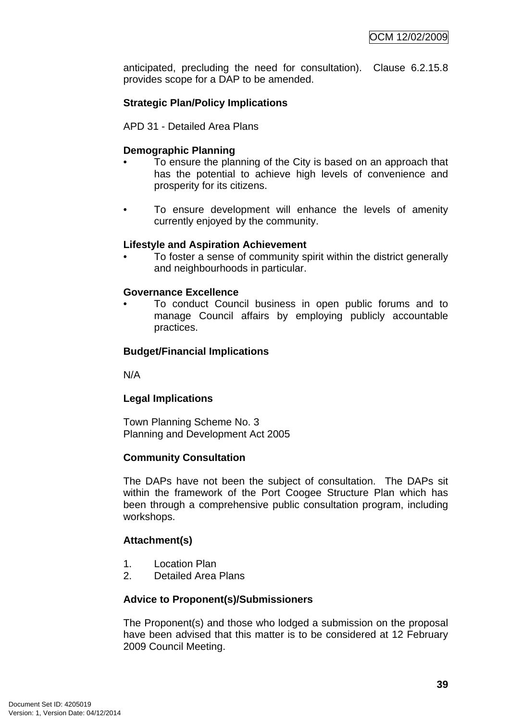anticipated, precluding the need for consultation). Clause 6.2.15.8 provides scope for a DAP to be amended.

## **Strategic Plan/Policy Implications**

APD 31 - Detailed Area Plans

### **Demographic Planning**

- To ensure the planning of the City is based on an approach that has the potential to achieve high levels of convenience and prosperity for its citizens.
- To ensure development will enhance the levels of amenity currently enjoyed by the community.

#### **Lifestyle and Aspiration Achievement**

• To foster a sense of community spirit within the district generally and neighbourhoods in particular.

#### **Governance Excellence**

• To conduct Council business in open public forums and to manage Council affairs by employing publicly accountable practices.

#### **Budget/Financial Implications**

N/A

## **Legal Implications**

Town Planning Scheme No. 3 Planning and Development Act 2005

## **Community Consultation**

The DAPs have not been the subject of consultation. The DAPs sit within the framework of the Port Coogee Structure Plan which has been through a comprehensive public consultation program, including workshops.

## **Attachment(s)**

- 1. Location Plan
- 2. Detailed Area Plans

#### **Advice to Proponent(s)/Submissioners**

The Proponent(s) and those who lodged a submission on the proposal have been advised that this matter is to be considered at 12 February 2009 Council Meeting.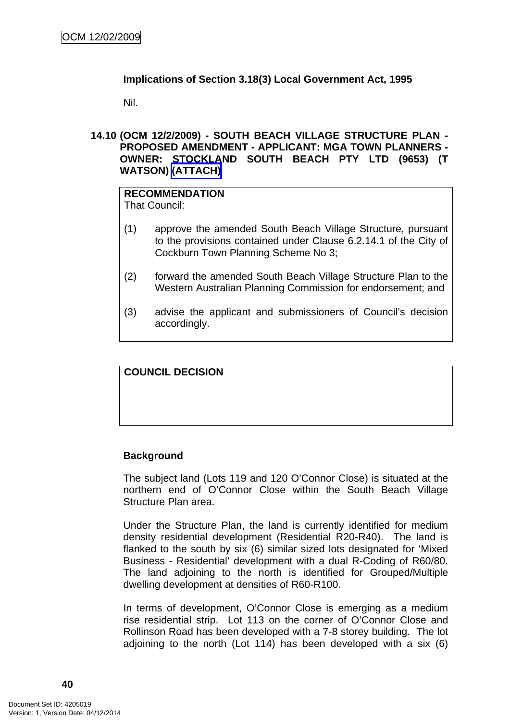## **Implications of Section 3.18(3) Local Government Act, 1995**

Nil.

## **14.10 (OCM 12/2/2009) - SOUTH BEACH VILLAGE STRUCTURE PLAN - PROPOSED AMENDMENT - APPLICANT: MGA TOWN PLANNERS - OWNER: STOCKLAND SOUTH BEACH PTY LTD (9653) (T WATSON) (ATTACH)**

## **RECOMMENDATION**

That Council:

- (1) approve the amended South Beach Village Structure, pursuant to the provisions contained under Clause 6.2.14.1 of the City of Cockburn Town Planning Scheme No 3;
- (2) forward the amended South Beach Village Structure Plan to the Western Australian Planning Commission for endorsement; and
- (3) advise the applicant and submissioners of Council's decision accordingly.

**COUNCIL DECISION** 

## **Background**

The subject land (Lots 119 and 120 O'Connor Close) is situated at the northern end of O'Connor Close within the South Beach Village Structure Plan area.

Under the Structure Plan, the land is currently identified for medium density residential development (Residential R20-R40). The land is flanked to the south by six (6) similar sized lots designated for 'Mixed Business - Residential' development with a dual R-Coding of R60/80. The land adjoining to the north is identified for Grouped/Multiple dwelling development at densities of R60-R100.

In terms of development, O'Connor Close is emerging as a medium rise residential strip. Lot 113 on the corner of O'Connor Close and Rollinson Road has been developed with a 7-8 storey building. The lot adjoining to the north (Lot 114) has been developed with a six (6)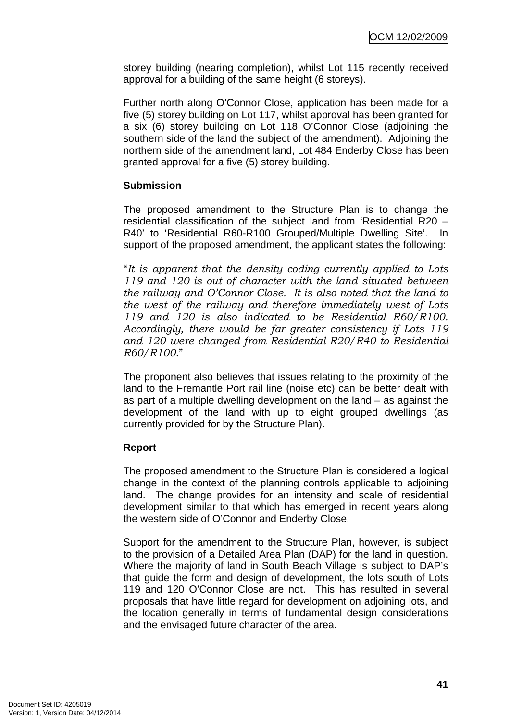storey building (nearing completion), whilst Lot 115 recently received approval for a building of the same height (6 storeys).

Further north along O'Connor Close, application has been made for a five (5) storey building on Lot 117, whilst approval has been granted for a six (6) storey building on Lot 118 O'Connor Close (adjoining the southern side of the land the subject of the amendment). Adjoining the northern side of the amendment land, Lot 484 Enderby Close has been granted approval for a five (5) storey building.

## **Submission**

The proposed amendment to the Structure Plan is to change the residential classification of the subject land from 'Residential R20 – R40' to 'Residential R60-R100 Grouped/Multiple Dwelling Site'. In support of the proposed amendment, the applicant states the following:

"*It is apparent that the density coding currently applied to Lots 119 and 120 is out of character with the land situated between the railway and O'Connor Close. It is also noted that the land to the west of the railway and therefore immediately west of Lots 119 and 120 is also indicated to be Residential R60/R100. Accordingly, there would be far greater consistency if Lots 119 and 120 were changed from Residential R20/R40 to Residential R60/R100.*"

The proponent also believes that issues relating to the proximity of the land to the Fremantle Port rail line (noise etc) can be better dealt with as part of a multiple dwelling development on the land – as against the development of the land with up to eight grouped dwellings (as currently provided for by the Structure Plan).

## **Report**

The proposed amendment to the Structure Plan is considered a logical change in the context of the planning controls applicable to adjoining land. The change provides for an intensity and scale of residential development similar to that which has emerged in recent years along the western side of O'Connor and Enderby Close.

Support for the amendment to the Structure Plan, however, is subject to the provision of a Detailed Area Plan (DAP) for the land in question. Where the majority of land in South Beach Village is subject to DAP's that guide the form and design of development, the lots south of Lots 119 and 120 O'Connor Close are not. This has resulted in several proposals that have little regard for development on adjoining lots, and the location generally in terms of fundamental design considerations and the envisaged future character of the area.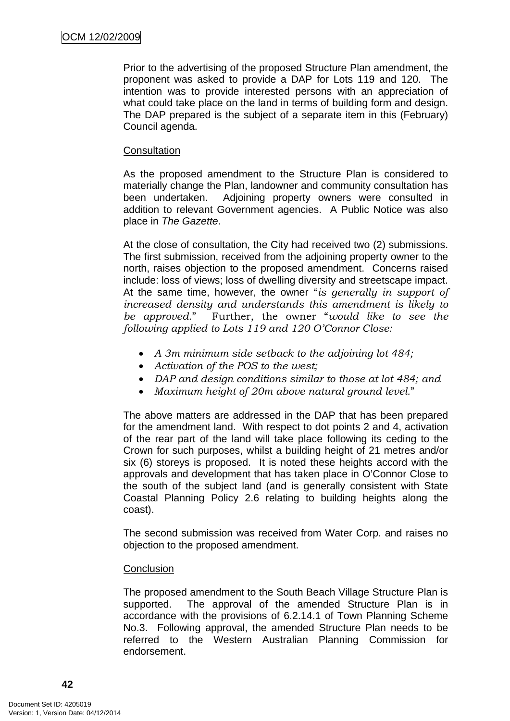Prior to the advertising of the proposed Structure Plan amendment, the proponent was asked to provide a DAP for Lots 119 and 120. The intention was to provide interested persons with an appreciation of what could take place on the land in terms of building form and design. The DAP prepared is the subject of a separate item in this (February) Council agenda.

## **Consultation**

As the proposed amendment to the Structure Plan is considered to materially change the Plan, landowner and community consultation has been undertaken. Adjoining property owners were consulted in addition to relevant Government agencies. A Public Notice was also place in *The Gazette*.

At the close of consultation, the City had received two (2) submissions. The first submission, received from the adjoining property owner to the north, raises objection to the proposed amendment. Concerns raised include: loss of views; loss of dwelling diversity and streetscape impact. At the same time, however, the owner "*is generally in support of increased density and understands this amendment is likely to be approved*." Further, the owner "*would like to see the following applied to Lots 119 and 120 O'Connor Close:* 

- *A 3m minimum side setback to the adjoining lot 484;*
- *Activation of the POS to the west;*
- *DAP and design conditions similar to those at lot 484; and*
- *Maximum height of 20m above natural ground level.*"

The above matters are addressed in the DAP that has been prepared for the amendment land. With respect to dot points 2 and 4, activation of the rear part of the land will take place following its ceding to the Crown for such purposes, whilst a building height of 21 metres and/or six (6) storeys is proposed. It is noted these heights accord with the approvals and development that has taken place in O'Connor Close to the south of the subject land (and is generally consistent with State Coastal Planning Policy 2.6 relating to building heights along the coast).

The second submission was received from Water Corp. and raises no objection to the proposed amendment.

## **Conclusion**

The proposed amendment to the South Beach Village Structure Plan is supported. The approval of the amended Structure Plan is in accordance with the provisions of 6.2.14.1 of Town Planning Scheme No.3. Following approval, the amended Structure Plan needs to be referred to the Western Australian Planning Commission for endorsement.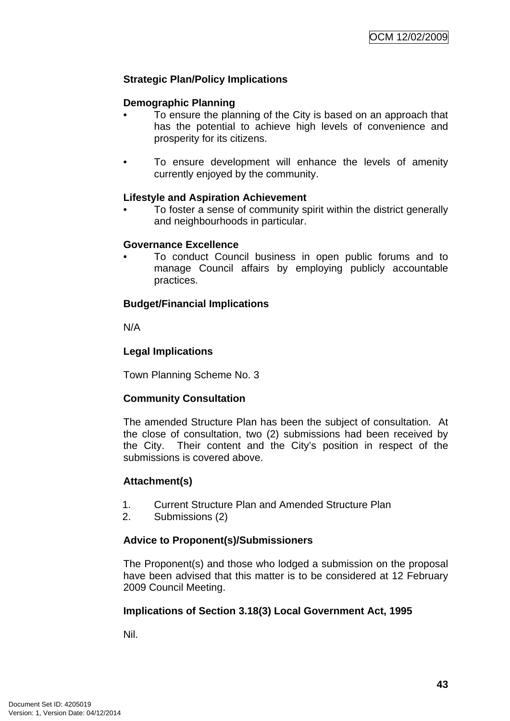## **Strategic Plan/Policy Implications**

## **Demographic Planning**

- To ensure the planning of the City is based on an approach that has the potential to achieve high levels of convenience and prosperity for its citizens.
- To ensure development will enhance the levels of amenity currently enjoyed by the community.

## **Lifestyle and Aspiration Achievement**

• To foster a sense of community spirit within the district generally and neighbourhoods in particular.

## **Governance Excellence**

• To conduct Council business in open public forums and to manage Council affairs by employing publicly accountable practices.

## **Budget/Financial Implications**

N/A

## **Legal Implications**

Town Planning Scheme No. 3

## **Community Consultation**

The amended Structure Plan has been the subject of consultation. At the close of consultation, two (2) submissions had been received by the City. Their content and the City's position in respect of the submissions is covered above.

## **Attachment(s)**

- 1. Current Structure Plan and Amended Structure Plan
- 2. Submissions (2)

## **Advice to Proponent(s)/Submissioners**

The Proponent(s) and those who lodged a submission on the proposal have been advised that this matter is to be considered at 12 February 2009 Council Meeting.

## **Implications of Section 3.18(3) Local Government Act, 1995**

Nil.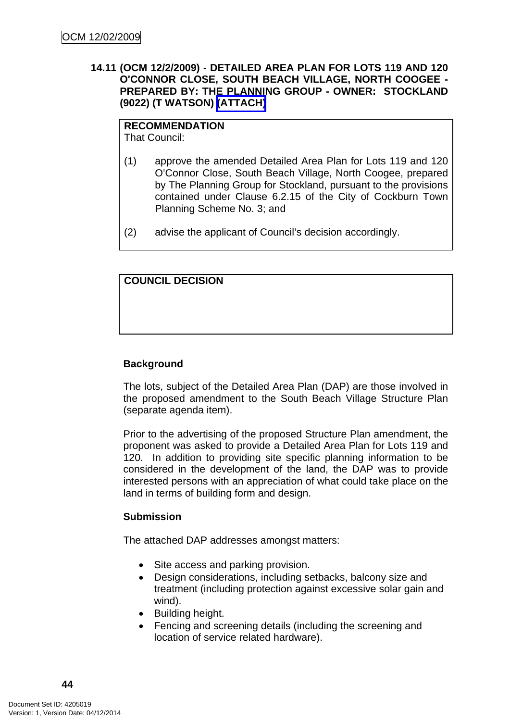## **14.11 (OCM 12/2/2009) - DETAILED AREA PLAN FOR LOTS 119 AND 120 O'CONNOR CLOSE, SOUTH BEACH VILLAGE, NORTH COOGEE - PREPARED BY: THE PLANNING GROUP - OWNER: STOCKLAND (9022) (T WATSON) (ATTACH)**

## **RECOMMENDATION**

That Council:

- (1) approve the amended Detailed Area Plan for Lots 119 and 120 O'Connor Close, South Beach Village, North Coogee, prepared by The Planning Group for Stockland, pursuant to the provisions contained under Clause 6.2.15 of the City of Cockburn Town Planning Scheme No. 3; and
- (2) advise the applicant of Council's decision accordingly.

## **COUNCIL DECISION**

## **Background**

The lots, subject of the Detailed Area Plan (DAP) are those involved in the proposed amendment to the South Beach Village Structure Plan (separate agenda item).

Prior to the advertising of the proposed Structure Plan amendment, the proponent was asked to provide a Detailed Area Plan for Lots 119 and 120. In addition to providing site specific planning information to be considered in the development of the land, the DAP was to provide interested persons with an appreciation of what could take place on the land in terms of building form and design.

#### **Submission**

The attached DAP addresses amongst matters:

- Site access and parking provision.
- Design considerations, including setbacks, balcony size and treatment (including protection against excessive solar gain and wind).
- Building height.
- Fencing and screening details (including the screening and location of service related hardware).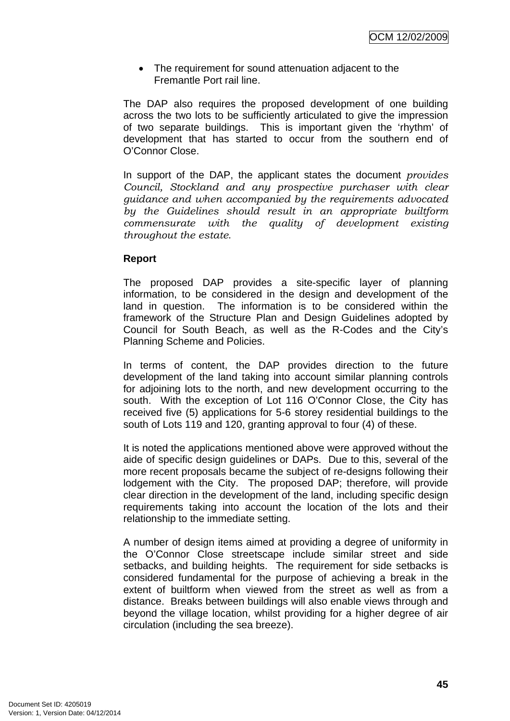• The requirement for sound attenuation adjacent to the Fremantle Port rail line.

The DAP also requires the proposed development of one building across the two lots to be sufficiently articulated to give the impression of two separate buildings. This is important given the 'rhythm' of development that has started to occur from the southern end of O'Connor Close.

In support of the DAP, the applicant states the document *provides Council, Stockland and any prospective purchaser with clear guidance and when accompanied by the requirements advocated by the Guidelines should result in an appropriate builtform commensurate with the quality of development existing throughout the estate*.

## **Report**

The proposed DAP provides a site-specific layer of planning information, to be considered in the design and development of the land in question. The information is to be considered within the framework of the Structure Plan and Design Guidelines adopted by Council for South Beach, as well as the R-Codes and the City's Planning Scheme and Policies.

In terms of content, the DAP provides direction to the future development of the land taking into account similar planning controls for adjoining lots to the north, and new development occurring to the south. With the exception of Lot 116 O'Connor Close, the City has received five (5) applications for 5-6 storey residential buildings to the south of Lots 119 and 120, granting approval to four (4) of these.

It is noted the applications mentioned above were approved without the aide of specific design guidelines or DAPs. Due to this, several of the more recent proposals became the subject of re-designs following their lodgement with the City. The proposed DAP; therefore, will provide clear direction in the development of the land, including specific design requirements taking into account the location of the lots and their relationship to the immediate setting.

A number of design items aimed at providing a degree of uniformity in the O'Connor Close streetscape include similar street and side setbacks, and building heights. The requirement for side setbacks is considered fundamental for the purpose of achieving a break in the extent of builtform when viewed from the street as well as from a distance. Breaks between buildings will also enable views through and beyond the village location, whilst providing for a higher degree of air circulation (including the sea breeze).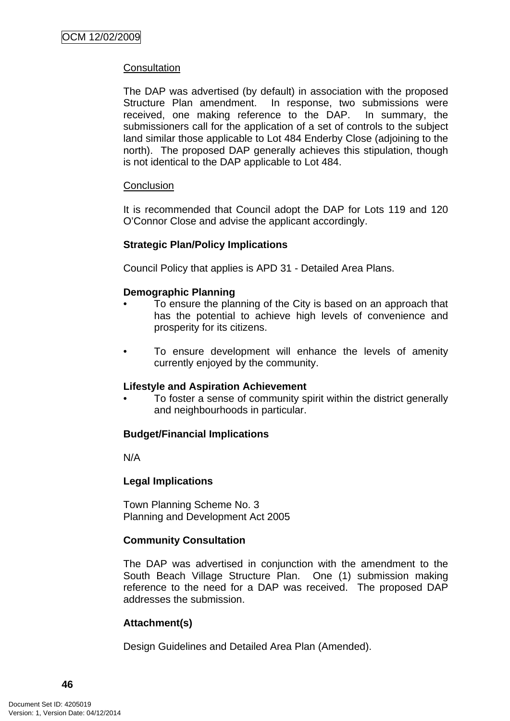## **Consultation**

The DAP was advertised (by default) in association with the proposed Structure Plan amendment. In response, two submissions were received, one making reference to the DAP. In summary, the submissioners call for the application of a set of controls to the subject land similar those applicable to Lot 484 Enderby Close (adjoining to the north). The proposed DAP generally achieves this stipulation, though is not identical to the DAP applicable to Lot 484.

## **Conclusion**

It is recommended that Council adopt the DAP for Lots 119 and 120 O'Connor Close and advise the applicant accordingly.

## **Strategic Plan/Policy Implications**

Council Policy that applies is APD 31 - Detailed Area Plans.

## **Demographic Planning**

- To ensure the planning of the City is based on an approach that has the potential to achieve high levels of convenience and prosperity for its citizens.
- To ensure development will enhance the levels of amenity currently enjoyed by the community.

## **Lifestyle and Aspiration Achievement**

To foster a sense of community spirit within the district generally and neighbourhoods in particular.

## **Budget/Financial Implications**

N/A

## **Legal Implications**

Town Planning Scheme No. 3 Planning and Development Act 2005

## **Community Consultation**

The DAP was advertised in conjunction with the amendment to the South Beach Village Structure Plan. One (1) submission making reference to the need for a DAP was received. The proposed DAP addresses the submission.

## **Attachment(s)**

Design Guidelines and Detailed Area Plan (Amended).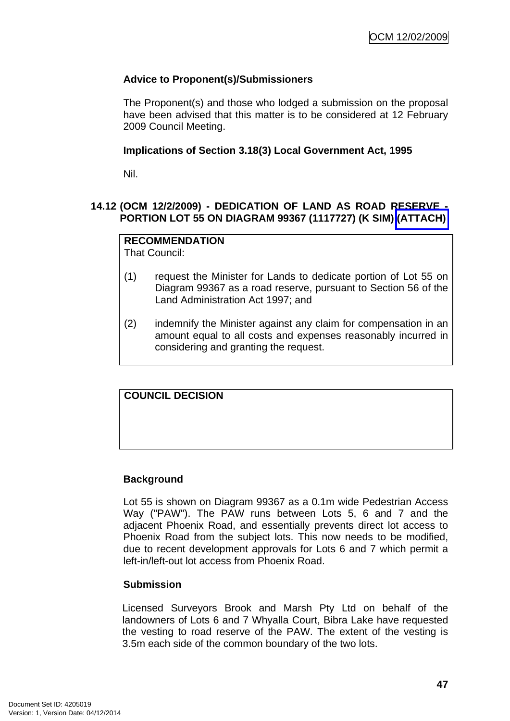## **Advice to Proponent(s)/Submissioners**

The Proponent(s) and those who lodged a submission on the proposal have been advised that this matter is to be considered at 12 February 2009 Council Meeting.

### **Implications of Section 3.18(3) Local Government Act, 1995**

Nil.

## **14.12 (OCM 12/2/2009) - DEDICATION OF LAND AS ROAD RESERVE - PORTION LOT 55 ON DIAGRAM 99367 (1117727) (K SIM) (ATTACH)**

# **RECOMMENDATION**

That Council:

- (1) request the Minister for Lands to dedicate portion of Lot 55 on Diagram 99367 as a road reserve, pursuant to Section 56 of the Land Administration Act 1997; and
- (2) indemnify the Minister against any claim for compensation in an amount equal to all costs and expenses reasonably incurred in considering and granting the request.

## **COUNCIL DECISION**

## **Background**

Lot 55 is shown on Diagram 99367 as a 0.1m wide Pedestrian Access Way ("PAW"). The PAW runs between Lots 5, 6 and 7 and the adjacent Phoenix Road, and essentially prevents direct lot access to Phoenix Road from the subject lots. This now needs to be modified, due to recent development approvals for Lots 6 and 7 which permit a left-in/left-out lot access from Phoenix Road.

## **Submission**

Licensed Surveyors Brook and Marsh Pty Ltd on behalf of the landowners of Lots 6 and 7 Whyalla Court, Bibra Lake have requested the vesting to road reserve of the PAW. The extent of the vesting is 3.5m each side of the common boundary of the two lots.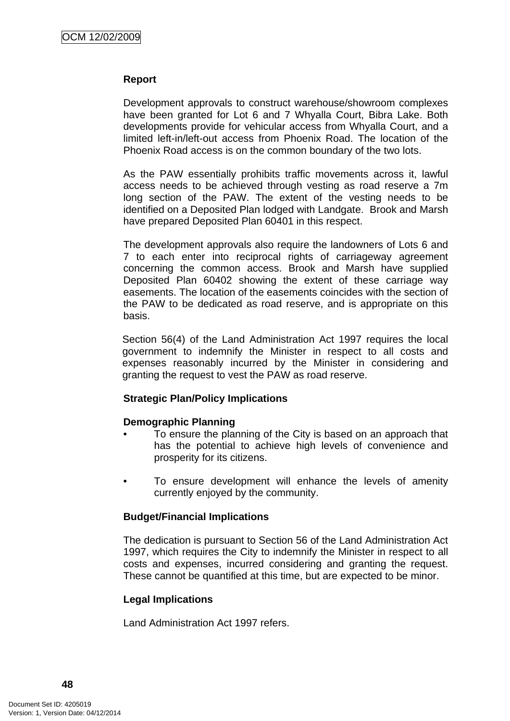### **Report**

Development approvals to construct warehouse/showroom complexes have been granted for Lot 6 and 7 Whyalla Court, Bibra Lake. Both developments provide for vehicular access from Whyalla Court, and a limited left-in/left-out access from Phoenix Road. The location of the Phoenix Road access is on the common boundary of the two lots.

As the PAW essentially prohibits traffic movements across it, lawful access needs to be achieved through vesting as road reserve a 7m long section of the PAW. The extent of the vesting needs to be identified on a Deposited Plan lodged with Landgate. Brook and Marsh have prepared Deposited Plan 60401 in this respect.

The development approvals also require the landowners of Lots 6 and 7 to each enter into reciprocal rights of carriageway agreement concerning the common access. Brook and Marsh have supplied Deposited Plan 60402 showing the extent of these carriage way easements. The location of the easements coincides with the section of the PAW to be dedicated as road reserve, and is appropriate on this basis.

Section 56(4) of the Land Administration Act 1997 requires the local government to indemnify the Minister in respect to all costs and expenses reasonably incurred by the Minister in considering and granting the request to vest the PAW as road reserve.

## **Strategic Plan/Policy Implications**

#### **Demographic Planning**

- To ensure the planning of the City is based on an approach that has the potential to achieve high levels of convenience and prosperity for its citizens.
- To ensure development will enhance the levels of amenity currently enjoyed by the community.

#### **Budget/Financial Implications**

The dedication is pursuant to Section 56 of the Land Administration Act 1997, which requires the City to indemnify the Minister in respect to all costs and expenses, incurred considering and granting the request. These cannot be quantified at this time, but are expected to be minor.

#### **Legal Implications**

Land Administration Act 1997 refers.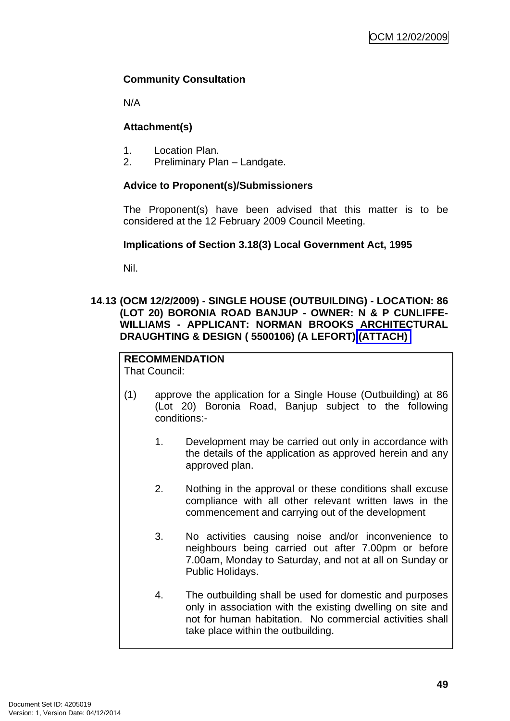## **Community Consultation**

N/A

## **Attachment(s)**

- 1. Location Plan.
- 2. Preliminary Plan Landgate.

## **Advice to Proponent(s)/Submissioners**

The Proponent(s) have been advised that this matter is to be considered at the 12 February 2009 Council Meeting.

## **Implications of Section 3.18(3) Local Government Act, 1995**

Nil.

## **14.13 (OCM 12/2/2009) - SINGLE HOUSE (OUTBUILDING) - LOCATION: 86 (LOT 20) BORONIA ROAD BANJUP - OWNER: N & P CUNLIFFE-WILLIAMS - APPLICANT: NORMAN BROOKS ARCHITECTURAL DRAUGHTING & DESIGN ( 5500106) (A LEFORT) (ATTACH)**

# **RECOMMENDATION**

That Council:

- (1) approve the application for a Single House (Outbuilding) at 86 (Lot 20) Boronia Road, Banjup subject to the following conditions:-
	- 1. Development may be carried out only in accordance with the details of the application as approved herein and any approved plan.
	- 2. Nothing in the approval or these conditions shall excuse compliance with all other relevant written laws in the commencement and carrying out of the development
	- 3. No activities causing noise and/or inconvenience to neighbours being carried out after 7.00pm or before 7.00am, Monday to Saturday, and not at all on Sunday or Public Holidays.
	- 4. The outbuilding shall be used for domestic and purposes only in association with the existing dwelling on site and not for human habitation. No commercial activities shall take place within the outbuilding.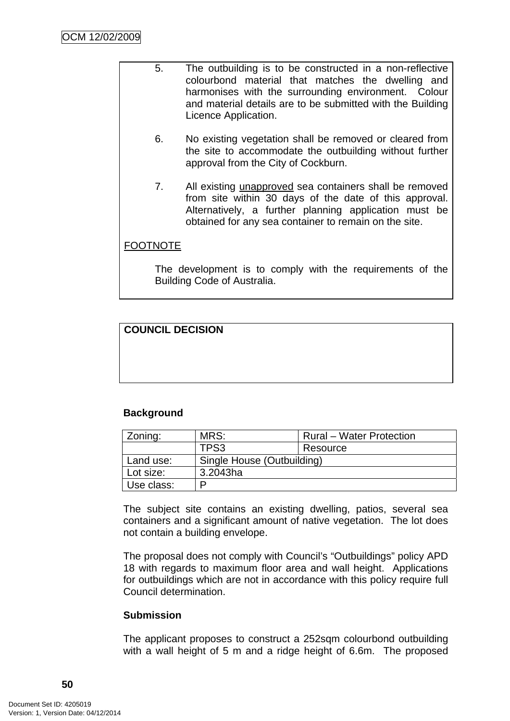| 5.              | The outbuilding is to be constructed in a non-reflective<br>colourbond material that matches the dwelling and<br>harmonises with the surrounding environment. Colour<br>and material details are to be submitted with the Building<br>Licence Application. |  |  |
|-----------------|------------------------------------------------------------------------------------------------------------------------------------------------------------------------------------------------------------------------------------------------------------|--|--|
| 6.              | No existing vegetation shall be removed or cleared from<br>the site to accommodate the outbuilding without further<br>approval from the City of Cockburn.                                                                                                  |  |  |
| 7.              | All existing unapproved sea containers shall be removed<br>from site within 30 days of the date of this approval.<br>Alternatively, a further planning application must be<br>obtained for any sea container to remain on the site.                        |  |  |
| <b>FOOTNOTE</b> |                                                                                                                                                                                                                                                            |  |  |
|                 | The development is to comply with the requirements of the                                                                                                                                                                                                  |  |  |

## **COUNCIL DECISION**

Building Code of Australia.

## **Background**

| Zoning:    | MRS:<br><b>Rural – Water Protection</b> |  |  |
|------------|-----------------------------------------|--|--|
|            | TPS3<br>Resource                        |  |  |
| Land use:  | Single House (Outbuilding)              |  |  |
| Lot size:  | 3.2043ha                                |  |  |
| Use class: | D                                       |  |  |

The subject site contains an existing dwelling, patios, several sea containers and a significant amount of native vegetation. The lot does not contain a building envelope.

The proposal does not comply with Council's "Outbuildings" policy APD 18 with regards to maximum floor area and wall height. Applications for outbuildings which are not in accordance with this policy require full Council determination.

## **Submission**

The applicant proposes to construct a 252sqm colourbond outbuilding with a wall height of 5 m and a ridge height of 6.6m. The proposed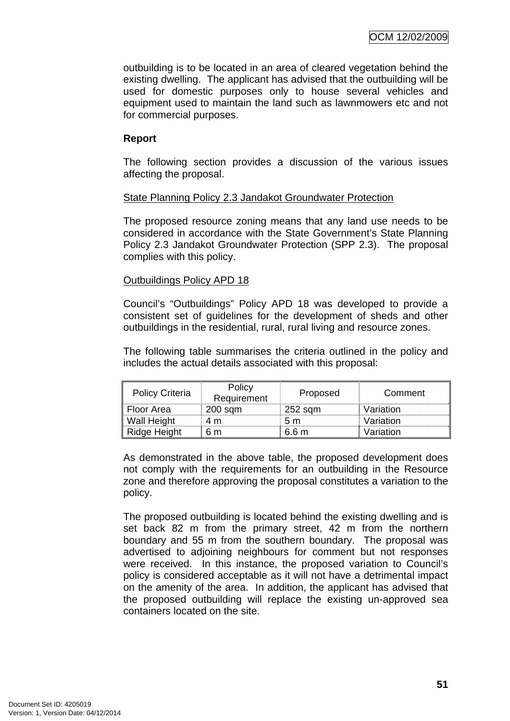outbuilding is to be located in an area of cleared vegetation behind the existing dwelling. The applicant has advised that the outbuilding will be used for domestic purposes only to house several vehicles and equipment used to maintain the land such as lawnmowers etc and not for commercial purposes.

## **Report**

The following section provides a discussion of the various issues affecting the proposal.

## State Planning Policy 2.3 Jandakot Groundwater Protection

The proposed resource zoning means that any land use needs to be considered in accordance with the State Government's State Planning Policy 2.3 Jandakot Groundwater Protection (SPP 2.3). The proposal complies with this policy.

#### Outbuildings Policy APD 18

Council's "Outbuildings" Policy APD 18 was developed to provide a consistent set of guidelines for the development of sheds and other outbuildings in the residential, rural, rural living and resource zones.

The following table summarises the criteria outlined in the policy and includes the actual details associated with this proposal:

| <b>Policy Criteria</b> | Policy<br>Requirement | Proposed | Comment   |
|------------------------|-----------------------|----------|-----------|
| ∥ Floor Area           | $200$ sqm             | 252 sqm  | Variation |
| ∥ Wall Height          | 4 m                   | 5m       | Variation |
| Ridge Height           | 6 m                   | 6.6 m    | Variation |

As demonstrated in the above table, the proposed development does not comply with the requirements for an outbuilding in the Resource zone and therefore approving the proposal constitutes a variation to the policy.

The proposed outbuilding is located behind the existing dwelling and is set back 82 m from the primary street, 42 m from the northern boundary and 55 m from the southern boundary. The proposal was advertised to adjoining neighbours for comment but not responses were received. In this instance, the proposed variation to Council's policy is considered acceptable as it will not have a detrimental impact on the amenity of the area. In addition, the applicant has advised that the proposed outbuilding will replace the existing un-approved sea containers located on the site.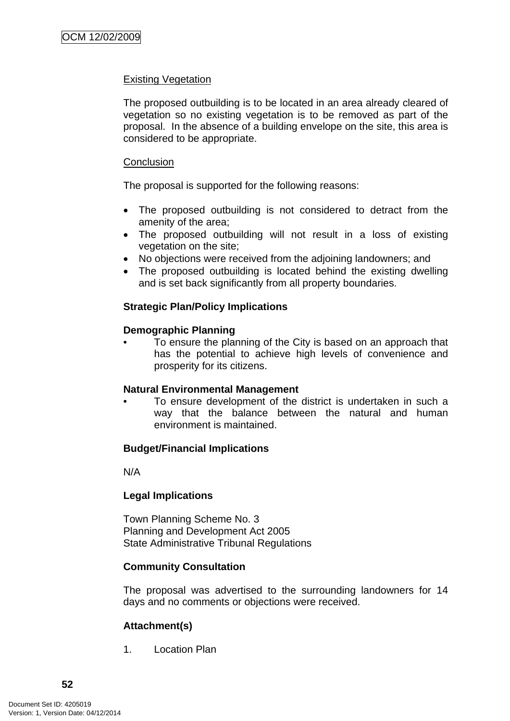### Existing Vegetation

The proposed outbuilding is to be located in an area already cleared of vegetation so no existing vegetation is to be removed as part of the proposal. In the absence of a building envelope on the site, this area is considered to be appropriate.

#### **Conclusion**

The proposal is supported for the following reasons:

- The proposed outbuilding is not considered to detract from the amenity of the area;
- The proposed outbuilding will not result in a loss of existing vegetation on the site;
- No objections were received from the adjoining landowners; and
- The proposed outbuilding is located behind the existing dwelling and is set back significantly from all property boundaries.

## **Strategic Plan/Policy Implications**

#### **Demographic Planning**

• To ensure the planning of the City is based on an approach that has the potential to achieve high levels of convenience and prosperity for its citizens.

## **Natural Environmental Management**

To ensure development of the district is undertaken in such a way that the balance between the natural and human environment is maintained.

## **Budget/Financial Implications**

N/A

## **Legal Implications**

Town Planning Scheme No. 3 Planning and Development Act 2005 State Administrative Tribunal Regulations

## **Community Consultation**

The proposal was advertised to the surrounding landowners for 14 days and no comments or objections were received.

## **Attachment(s)**

1. Location Plan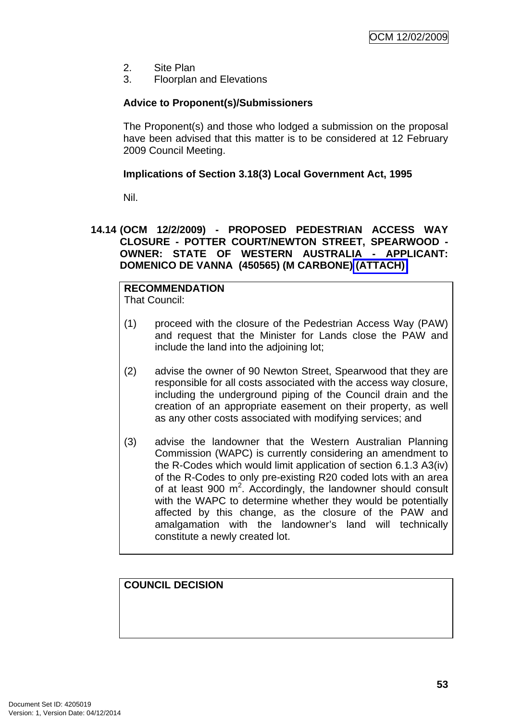- 2. Site Plan
- 3. Floorplan and Elevations

## **Advice to Proponent(s)/Submissioners**

The Proponent(s) and those who lodged a submission on the proposal have been advised that this matter is to be considered at 12 February 2009 Council Meeting.

#### **Implications of Section 3.18(3) Local Government Act, 1995**

Nil.

#### **14.14 (OCM 12/2/2009) - PROPOSED PEDESTRIAN ACCESS WAY CLOSURE - POTTER COURT/NEWTON STREET, SPEARWOOD - OWNER: STATE OF WESTERN AUSTRALIA - APPLICANT: DOMENICO DE VANNA (450565) (M CARBONE) (ATTACH)**

**RECOMMENDATION** That Council:

- (1) proceed with the closure of the Pedestrian Access Way (PAW) and request that the Minister for Lands close the PAW and include the land into the adjoining lot;
- (2) advise the owner of 90 Newton Street, Spearwood that they are responsible for all costs associated with the access way closure, including the underground piping of the Council drain and the creation of an appropriate easement on their property, as well as any other costs associated with modifying services; and
- (3) advise the landowner that the Western Australian Planning Commission (WAPC) is currently considering an amendment to the R-Codes which would limit application of section 6.1.3 A3(iv) of the R-Codes to only pre-existing R20 coded lots with an area of at least 900  $m^2$ . Accordingly, the landowner should consult with the WAPC to determine whether they would be potentially affected by this change, as the closure of the PAW and amalgamation with the landowner's land will technically constitute a newly created lot.

## **COUNCIL DECISION**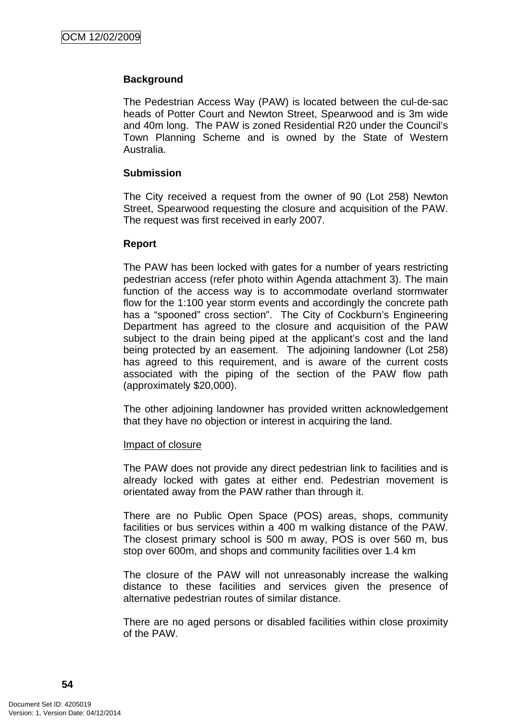## **Background**

The Pedestrian Access Way (PAW) is located between the cul-de-sac heads of Potter Court and Newton Street, Spearwood and is 3m wide and 40m long. The PAW is zoned Residential R20 under the Council's Town Planning Scheme and is owned by the State of Western Australia.

## **Submission**

The City received a request from the owner of 90 (Lot 258) Newton Street, Spearwood requesting the closure and acquisition of the PAW. The request was first received in early 2007.

#### **Report**

The PAW has been locked with gates for a number of years restricting pedestrian access (refer photo within Agenda attachment 3). The main function of the access way is to accommodate overland stormwater flow for the 1:100 year storm events and accordingly the concrete path has a "spooned" cross section". The City of Cockburn's Engineering Department has agreed to the closure and acquisition of the PAW subject to the drain being piped at the applicant's cost and the land being protected by an easement. The adjoining landowner (Lot 258) has agreed to this requirement, and is aware of the current costs associated with the piping of the section of the PAW flow path (approximately \$20,000).

The other adjoining landowner has provided written acknowledgement that they have no objection or interest in acquiring the land.

#### Impact of closure

The PAW does not provide any direct pedestrian link to facilities and is already locked with gates at either end. Pedestrian movement is orientated away from the PAW rather than through it.

There are no Public Open Space (POS) areas, shops, community facilities or bus services within a 400 m walking distance of the PAW. The closest primary school is 500 m away, POS is over 560 m, bus stop over 600m, and shops and community facilities over 1.4 km

The closure of the PAW will not unreasonably increase the walking distance to these facilities and services given the presence of alternative pedestrian routes of similar distance.

There are no aged persons or disabled facilities within close proximity of the PAW.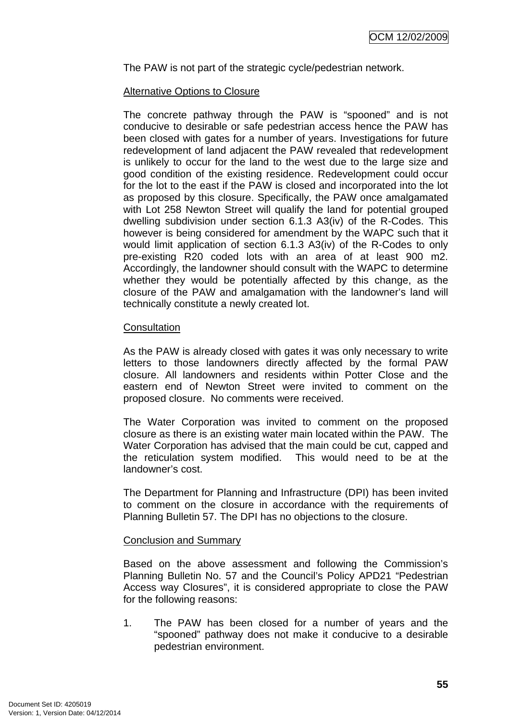The PAW is not part of the strategic cycle/pedestrian network.

#### Alternative Options to Closure

The concrete pathway through the PAW is "spooned" and is not conducive to desirable or safe pedestrian access hence the PAW has been closed with gates for a number of years. Investigations for future redevelopment of land adjacent the PAW revealed that redevelopment is unlikely to occur for the land to the west due to the large size and good condition of the existing residence. Redevelopment could occur for the lot to the east if the PAW is closed and incorporated into the lot as proposed by this closure. Specifically, the PAW once amalgamated with Lot 258 Newton Street will qualify the land for potential grouped dwelling subdivision under section 6.1.3 A3(iv) of the R-Codes. This however is being considered for amendment by the WAPC such that it would limit application of section 6.1.3 A3(iv) of the R-Codes to only pre-existing R20 coded lots with an area of at least 900 m2. Accordingly, the landowner should consult with the WAPC to determine whether they would be potentially affected by this change, as the closure of the PAW and amalgamation with the landowner's land will technically constitute a newly created lot.

#### **Consultation**

As the PAW is already closed with gates it was only necessary to write letters to those landowners directly affected by the formal PAW closure. All landowners and residents within Potter Close and the eastern end of Newton Street were invited to comment on the proposed closure. No comments were received.

The Water Corporation was invited to comment on the proposed closure as there is an existing water main located within the PAW. The Water Corporation has advised that the main could be cut, capped and the reticulation system modified. This would need to be at the landowner's cost.

The Department for Planning and Infrastructure (DPI) has been invited to comment on the closure in accordance with the requirements of Planning Bulletin 57. The DPI has no objections to the closure.

#### Conclusion and Summary

Based on the above assessment and following the Commission's Planning Bulletin No. 57 and the Council's Policy APD21 "Pedestrian Access way Closures", it is considered appropriate to close the PAW for the following reasons:

1. The PAW has been closed for a number of years and the "spooned" pathway does not make it conducive to a desirable pedestrian environment.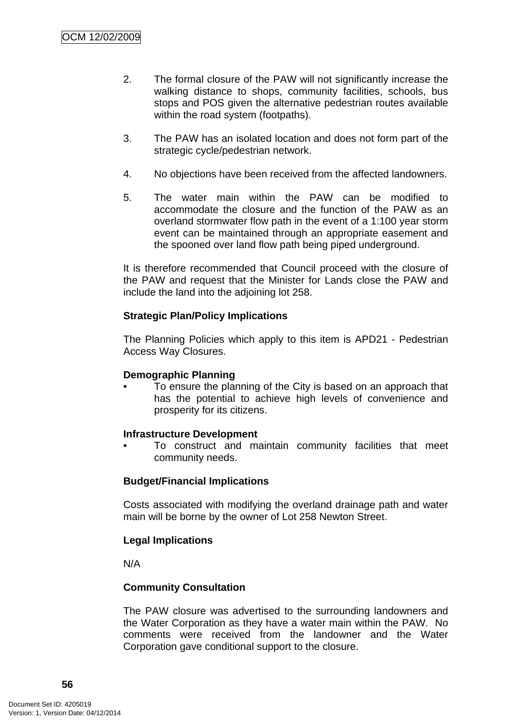- 2. The formal closure of the PAW will not significantly increase the walking distance to shops, community facilities, schools, bus stops and POS given the alternative pedestrian routes available within the road system (footpaths).
- 3. The PAW has an isolated location and does not form part of the strategic cycle/pedestrian network.
- 4. No objections have been received from the affected landowners.
- 5. The water main within the PAW can be modified to accommodate the closure and the function of the PAW as an overland stormwater flow path in the event of a 1:100 year storm event can be maintained through an appropriate easement and the spooned over land flow path being piped underground.

It is therefore recommended that Council proceed with the closure of the PAW and request that the Minister for Lands close the PAW and include the land into the adjoining lot 258.

## **Strategic Plan/Policy Implications**

The Planning Policies which apply to this item is APD21 - Pedestrian Access Way Closures.

## **Demographic Planning**

• To ensure the planning of the City is based on an approach that has the potential to achieve high levels of convenience and prosperity for its citizens.

## **Infrastructure Development**

• To construct and maintain community facilities that meet community needs.

## **Budget/Financial Implications**

Costs associated with modifying the overland drainage path and water main will be borne by the owner of Lot 258 Newton Street.

## **Legal Implications**

N/A

## **Community Consultation**

The PAW closure was advertised to the surrounding landowners and the Water Corporation as they have a water main within the PAW. No comments were received from the landowner and the Water Corporation gave conditional support to the closure.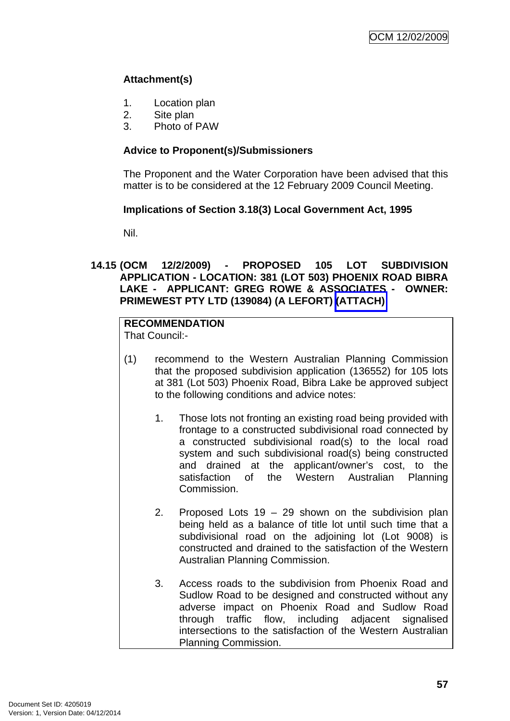## **Attachment(s)**

- 1. Location plan
- 2. Site plan
- 3. Photo of PAW

## **Advice to Proponent(s)/Submissioners**

The Proponent and the Water Corporation have been advised that this matter is to be considered at the 12 February 2009 Council Meeting.

## **Implications of Section 3.18(3) Local Government Act, 1995**

Nil.

## **14.15 (OCM 12/2/2009) - PROPOSED 105 LOT SUBDIVISION APPLICATION - LOCATION: 381 (LOT 503) PHOENIX ROAD BIBRA LAKE - APPLICANT: GREG ROWE & ASSOCIATES - OWNER: PRIMEWEST PTY LTD (139084) (A LEFORT) (ATTACH)**

## **RECOMMENDATION**

That Council:-

- (1) recommend to the Western Australian Planning Commission that the proposed subdivision application (136552) for 105 lots at 381 (Lot 503) Phoenix Road, Bibra Lake be approved subject to the following conditions and advice notes:
	- 1. Those lots not fronting an existing road being provided with frontage to a constructed subdivisional road connected by a constructed subdivisional road(s) to the local road system and such subdivisional road(s) being constructed and drained at the applicant/owner's cost, to the satisfaction of the Western Australian Planning Commission.
	- 2. Proposed Lots  $19 29$  shown on the subdivision plan being held as a balance of title lot until such time that a subdivisional road on the adjoining lot (Lot 9008) is constructed and drained to the satisfaction of the Western Australian Planning Commission.
	- 3. Access roads to the subdivision from Phoenix Road and Sudlow Road to be designed and constructed without any adverse impact on Phoenix Road and Sudlow Road through traffic flow, including adjacent signalised intersections to the satisfaction of the Western Australian Planning Commission.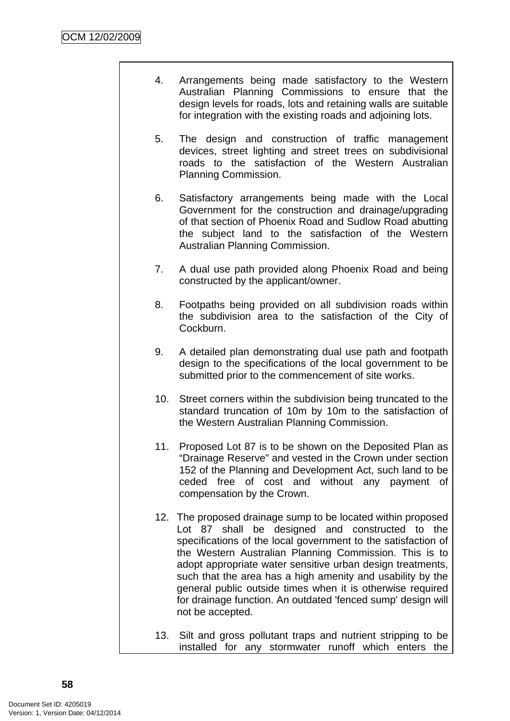- 4. Arrangements being made satisfactory to the Western Australian Planning Commissions to ensure that the design levels for roads, lots and retaining walls are suitable for integration with the existing roads and adjoining lots.
- 5. The design and construction of traffic management devices, street lighting and street trees on subdivisional roads to the satisfaction of the Western Australian Planning Commission.
- 6. Satisfactory arrangements being made with the Local Government for the construction and drainage/upgrading of that section of Phoenix Road and Sudlow Road abutting the subject land to the satisfaction of the Western Australian Planning Commission.
- 7. A dual use path provided along Phoenix Road and being constructed by the applicant/owner.
- 8. Footpaths being provided on all subdivision roads within the subdivision area to the satisfaction of the City of Cockburn.
- 9. A detailed plan demonstrating dual use path and footpath design to the specifications of the local government to be submitted prior to the commencement of site works.
- 10. Street corners within the subdivision being truncated to the standard truncation of 10m by 10m to the satisfaction of the Western Australian Planning Commission.
- 11. Proposed Lot 87 is to be shown on the Deposited Plan as "Drainage Reserve" and vested in the Crown under section 152 of the Planning and Development Act, such land to be ceded free of cost and without any payment of compensation by the Crown.
- 12. The proposed drainage sump to be located within proposed Lot 87 shall be designed and constructed to the specifications of the local government to the satisfaction of the Western Australian Planning Commission. This is to adopt appropriate water sensitive urban design treatments, such that the area has a high amenity and usability by the general public outside times when it is otherwise required for drainage function. An outdated 'fenced sump' design will not be accepted.
- 13. Silt and gross pollutant traps and nutrient stripping to be installed for any stormwater runoff which enters the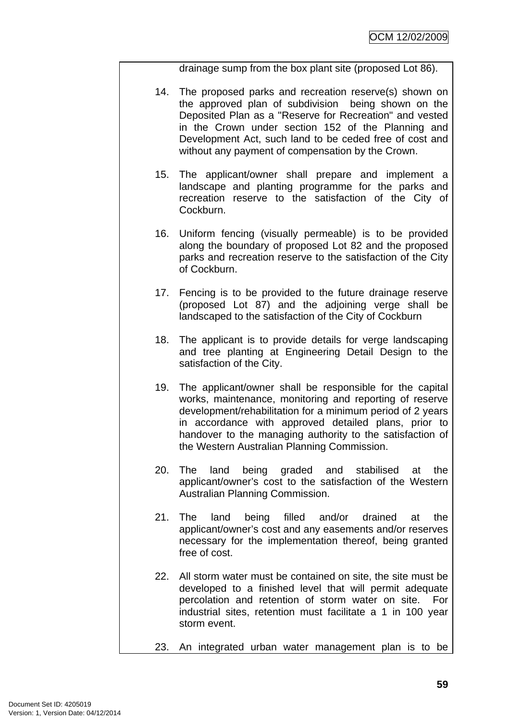drainage sump from the box plant site (proposed Lot 86).

- 14. The proposed parks and recreation reserve(s) shown on the approved plan of subdivision being shown on the Deposited Plan as a "Reserve for Recreation" and vested in the Crown under section 152 of the Planning and Development Act, such land to be ceded free of cost and without any payment of compensation by the Crown.
- 15. The applicant/owner shall prepare and implement a landscape and planting programme for the parks and recreation reserve to the satisfaction of the City of Cockburn.
- 16. Uniform fencing (visually permeable) is to be provided along the boundary of proposed Lot 82 and the proposed parks and recreation reserve to the satisfaction of the City of Cockburn.
- 17. Fencing is to be provided to the future drainage reserve (proposed Lot 87) and the adjoining verge shall be landscaped to the satisfaction of the City of Cockburn
- 18. The applicant is to provide details for verge landscaping and tree planting at Engineering Detail Design to the satisfaction of the City.
- 19. The applicant/owner shall be responsible for the capital works, maintenance, monitoring and reporting of reserve development/rehabilitation for a minimum period of 2 years in accordance with approved detailed plans, prior to handover to the managing authority to the satisfaction of the Western Australian Planning Commission.
- 20. The land being graded and stabilised at the applicant/owner's cost to the satisfaction of the Western Australian Planning Commission.
- 21. The land being filled and/or drained at the applicant/owner's cost and any easements and/or reserves necessary for the implementation thereof, being granted free of cost.
- 22. All storm water must be contained on site, the site must be developed to a finished level that will permit adequate percolation and retention of storm water on site. For industrial sites, retention must facilitate a 1 in 100 year storm event.
- 23. An integrated urban water management plan is to be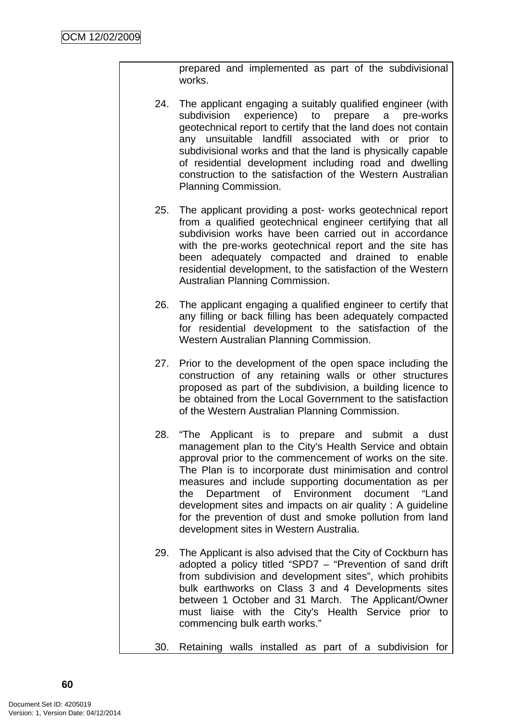prepared and implemented as part of the subdivisional works.

- 24. The applicant engaging a suitably qualified engineer (with subdivision experience) to prepare a pre-works geotechnical report to certify that the land does not contain any unsuitable landfill associated with or prior to subdivisional works and that the land is physically capable of residential development including road and dwelling construction to the satisfaction of the Western Australian Planning Commission.
- 25. The applicant providing a post- works geotechnical report from a qualified geotechnical engineer certifying that all subdivision works have been carried out in accordance with the pre-works geotechnical report and the site has been adequately compacted and drained to enable residential development, to the satisfaction of the Western Australian Planning Commission.
- 26. The applicant engaging a qualified engineer to certify that any filling or back filling has been adequately compacted for residential development to the satisfaction of the Western Australian Planning Commission.
- 27. Prior to the development of the open space including the construction of any retaining walls or other structures proposed as part of the subdivision, a building licence to be obtained from the Local Government to the satisfaction of the Western Australian Planning Commission.
- 28. "The Applicant is to prepare and submit a dust management plan to the City's Health Service and obtain approval prior to the commencement of works on the site. The Plan is to incorporate dust minimisation and control measures and include supporting documentation as per the Department of Environment document "Land development sites and impacts on air quality : A guideline for the prevention of dust and smoke pollution from land development sites in Western Australia.
- 29. The Applicant is also advised that the City of Cockburn has adopted a policy titled "SPD7 – "Prevention of sand drift from subdivision and development sites", which prohibits bulk earthworks on Class 3 and 4 Developments sites between 1 October and 31 March. The Applicant/Owner must liaise with the City's Health Service prior to commencing bulk earth works."
- 30. Retaining walls installed as part of a subdivision for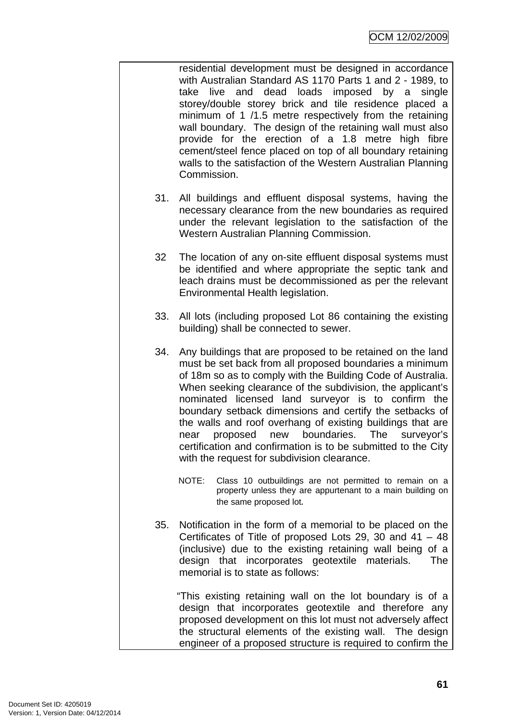residential development must be designed in accordance with Australian Standard AS 1170 Parts 1 and 2 - 1989, to take live and dead loads imposed by a single storey/double storey brick and tile residence placed a minimum of 1 /1.5 metre respectively from the retaining wall boundary. The design of the retaining wall must also provide for the erection of a 1.8 metre high fibre cement/steel fence placed on top of all boundary retaining walls to the satisfaction of the Western Australian Planning Commission.

- 31. All buildings and effluent disposal systems, having the necessary clearance from the new boundaries as required under the relevant legislation to the satisfaction of the Western Australian Planning Commission.
- 32 The location of any on-site effluent disposal systems must be identified and where appropriate the septic tank and leach drains must be decommissioned as per the relevant Environmental Health legislation.
- 33. All lots (including proposed Lot 86 containing the existing building) shall be connected to sewer.
- 34. Any buildings that are proposed to be retained on the land must be set back from all proposed boundaries a minimum of 18m so as to comply with the Building Code of Australia. When seeking clearance of the subdivision, the applicant's nominated licensed land surveyor is to confirm the boundary setback dimensions and certify the setbacks of the walls and roof overhang of existing buildings that are near proposed new boundaries. The surveyor's certification and confirmation is to be submitted to the City with the request for subdivision clearance.
	- NOTE: Class 10 outbuildings are not permitted to remain on a property unless they are appurtenant to a main building on the same proposed lot*.*
- 35. Notification in the form of a memorial to be placed on the Certificates of Title of proposed Lots 29, 30 and 41 – 48 (inclusive) due to the existing retaining wall being of a design that incorporates geotextile materials. The memorial is to state as follows:

"This existing retaining wall on the lot boundary is of a design that incorporates geotextile and therefore any proposed development on this lot must not adversely affect the structural elements of the existing wall. The design engineer of a proposed structure is required to confirm the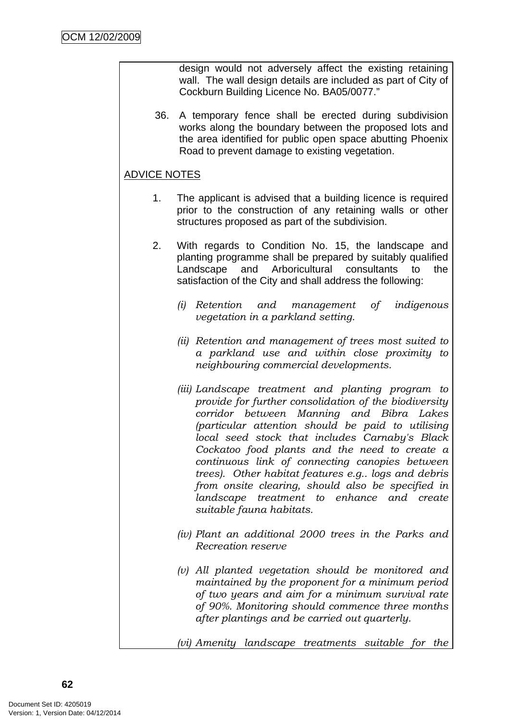design would not adversely affect the existing retaining wall. The wall design details are included as part of City of Cockburn Building Licence No. BA05/0077."

36. A temporary fence shall be erected during subdivision works along the boundary between the proposed lots and the area identified for public open space abutting Phoenix Road to prevent damage to existing vegetation.

## ADVICE NOTES

- 1. The applicant is advised that a building licence is required prior to the construction of any retaining walls or other structures proposed as part of the subdivision.
- 2. With regards to Condition No. 15, the landscape and planting programme shall be prepared by suitably qualified Landscape and Arboricultural consultants to the satisfaction of the City and shall address the following:
	- *(i) Retention and management of indigenous vegetation in a parkland setting.*
	- *(ii) Retention and management of trees most suited to a parkland use and within close proximity to neighbouring commercial developments.*
	- *(iii) Landscape treatment and planting program to provide for further consolidation of the biodiversity corridor between Manning and Bibra Lakes (particular attention should be paid to utilising local seed stock that includes Carnaby's Black Cockatoo food plants and the need to create a continuous link of connecting canopies between trees). Other habitat features e.g.. logs and debris from onsite clearing, should also be specified in landscape treatment to enhance and create suitable fauna habitats.*
	- *(iv) Plant an additional 2000 trees in the Parks and Recreation reserve*
	- *(v) All planted vegetation should be monitored and maintained by the proponent for a minimum period of two years and aim for a minimum survival rate of 90%. Monitoring should commence three months after plantings and be carried out quarterly.*
	- *(vi) Amenity landscape treatments suitable for the*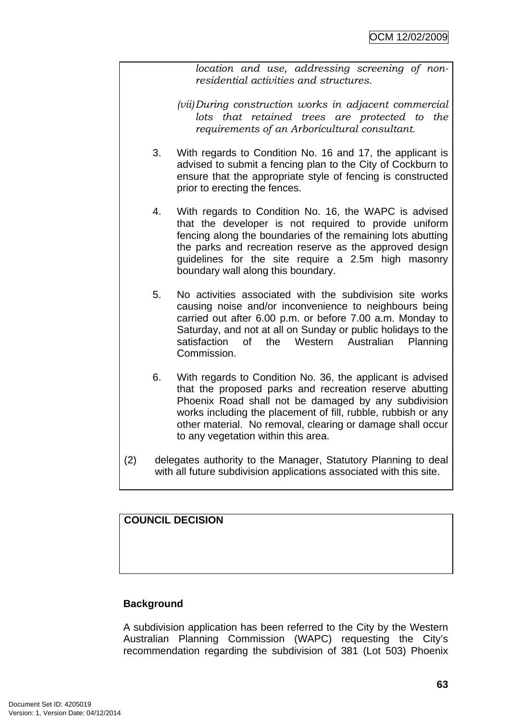*location and use, addressing screening of nonresidential activities and structures.* 

- *(vii) During construction works in adjacent commercial lots that retained trees are protected to the requirements of an Arboricultural consultant.*
- 3. With regards to Condition No. 16 and 17, the applicant is advised to submit a fencing plan to the City of Cockburn to ensure that the appropriate style of fencing is constructed prior to erecting the fences.
- 4. With regards to Condition No. 16, the WAPC is advised that the developer is not required to provide uniform fencing along the boundaries of the remaining lots abutting the parks and recreation reserve as the approved design guidelines for the site require a 2.5m high masonry boundary wall along this boundary.
- 5. No activities associated with the subdivision site works causing noise and/or inconvenience to neighbours being carried out after 6.00 p.m. or before 7.00 a.m. Monday to Saturday, and not at all on Sunday or public holidays to the satisfaction of the Western Australian Planning Commission.
- 6. With regards to Condition No. 36, the applicant is advised that the proposed parks and recreation reserve abutting Phoenix Road shall not be damaged by any subdivision works including the placement of fill, rubble, rubbish or any other material. No removal, clearing or damage shall occur to any vegetation within this area.
- (2) delegates authority to the Manager, Statutory Planning to deal with all future subdivision applications associated with this site.

## **COUNCIL DECISION**

## **Background**

A subdivision application has been referred to the City by the Western Australian Planning Commission (WAPC) requesting the City's recommendation regarding the subdivision of 381 (Lot 503) Phoenix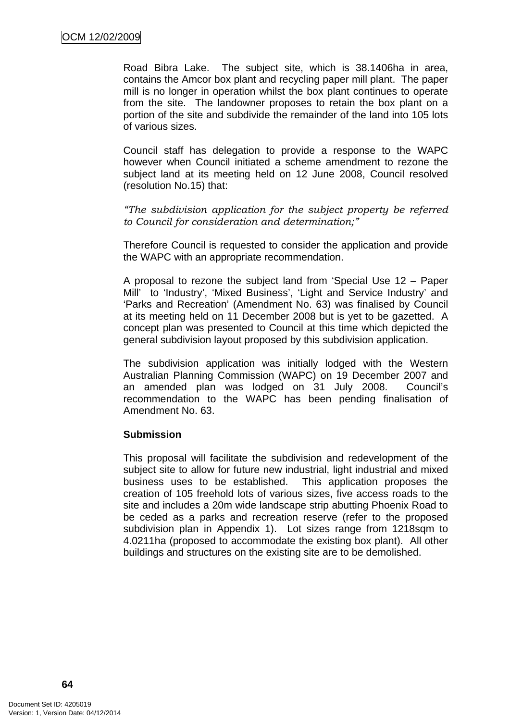Road Bibra Lake. The subject site, which is 38.1406ha in area, contains the Amcor box plant and recycling paper mill plant. The paper mill is no longer in operation whilst the box plant continues to operate from the site. The landowner proposes to retain the box plant on a portion of the site and subdivide the remainder of the land into 105 lots of various sizes.

Council staff has delegation to provide a response to the WAPC however when Council initiated a scheme amendment to rezone the subject land at its meeting held on 12 June 2008, Council resolved (resolution No.15) that:

*"The subdivision application for the subject property be referred to Council for consideration and determination;"* 

Therefore Council is requested to consider the application and provide the WAPC with an appropriate recommendation.

A proposal to rezone the subject land from 'Special Use 12 – Paper Mill' to 'Industry', 'Mixed Business', 'Light and Service Industry' and 'Parks and Recreation' (Amendment No. 63) was finalised by Council at its meeting held on 11 December 2008 but is yet to be gazetted. A concept plan was presented to Council at this time which depicted the general subdivision layout proposed by this subdivision application.

The subdivision application was initially lodged with the Western Australian Planning Commission (WAPC) on 19 December 2007 and an amended plan was lodged on 31 July 2008. Council's recommendation to the WAPC has been pending finalisation of Amendment No. 63.

## **Submission**

This proposal will facilitate the subdivision and redevelopment of the subject site to allow for future new industrial, light industrial and mixed business uses to be established. This application proposes the creation of 105 freehold lots of various sizes, five access roads to the site and includes a 20m wide landscape strip abutting Phoenix Road to be ceded as a parks and recreation reserve (refer to the proposed subdivision plan in Appendix 1). Lot sizes range from 1218sqm to 4.0211ha (proposed to accommodate the existing box plant). All other buildings and structures on the existing site are to be demolished.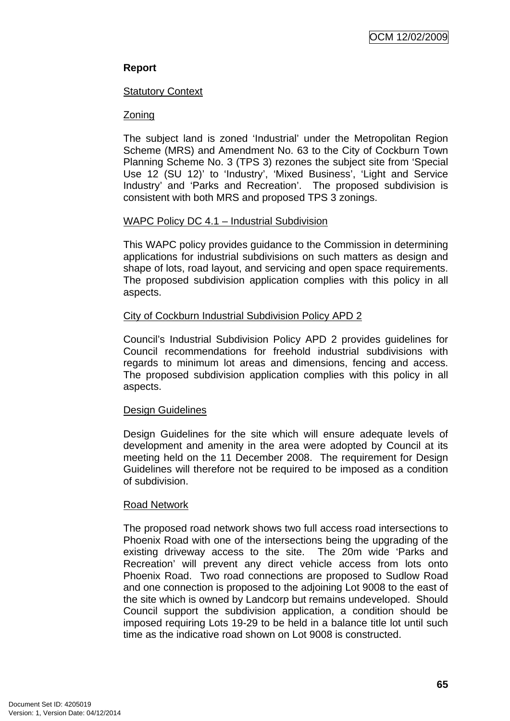## **Report**

#### Statutory Context

#### Zoning

The subject land is zoned 'Industrial' under the Metropolitan Region Scheme (MRS) and Amendment No. 63 to the City of Cockburn Town Planning Scheme No. 3 (TPS 3) rezones the subject site from 'Special Use 12 (SU 12)' to 'Industry', 'Mixed Business', 'Light and Service Industry' and 'Parks and Recreation'. The proposed subdivision is consistent with both MRS and proposed TPS 3 zonings.

## WAPC Policy DC 4.1 – Industrial Subdivision

This WAPC policy provides guidance to the Commission in determining applications for industrial subdivisions on such matters as design and shape of lots, road layout, and servicing and open space requirements. The proposed subdivision application complies with this policy in all aspects.

## City of Cockburn Industrial Subdivision Policy APD 2

Council's Industrial Subdivision Policy APD 2 provides guidelines for Council recommendations for freehold industrial subdivisions with regards to minimum lot areas and dimensions, fencing and access. The proposed subdivision application complies with this policy in all aspects.

## Design Guidelines

Design Guidelines for the site which will ensure adequate levels of development and amenity in the area were adopted by Council at its meeting held on the 11 December 2008. The requirement for Design Guidelines will therefore not be required to be imposed as a condition of subdivision.

#### Road Network

The proposed road network shows two full access road intersections to Phoenix Road with one of the intersections being the upgrading of the existing driveway access to the site. The 20m wide 'Parks and Recreation' will prevent any direct vehicle access from lots onto Phoenix Road. Two road connections are proposed to Sudlow Road and one connection is proposed to the adjoining Lot 9008 to the east of the site which is owned by Landcorp but remains undeveloped. Should Council support the subdivision application, a condition should be imposed requiring Lots 19-29 to be held in a balance title lot until such time as the indicative road shown on Lot 9008 is constructed.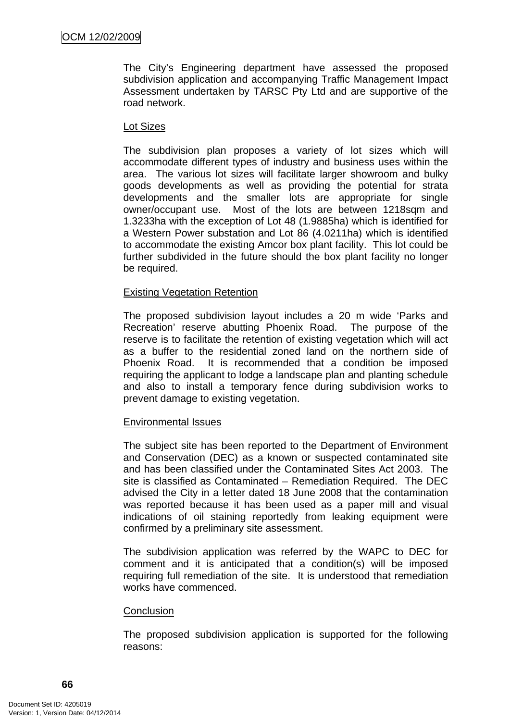The City's Engineering department have assessed the proposed subdivision application and accompanying Traffic Management Impact Assessment undertaken by TARSC Pty Ltd and are supportive of the road network.

### Lot Sizes

The subdivision plan proposes a variety of lot sizes which will accommodate different types of industry and business uses within the area. The various lot sizes will facilitate larger showroom and bulky goods developments as well as providing the potential for strata developments and the smaller lots are appropriate for single owner/occupant use. Most of the lots are between 1218sqm and 1.3233ha with the exception of Lot 48 (1.9885ha) which is identified for a Western Power substation and Lot 86 (4.0211ha) which is identified to accommodate the existing Amcor box plant facility. This lot could be further subdivided in the future should the box plant facility no longer be required.

#### **Existing Vegetation Retention**

The proposed subdivision layout includes a 20 m wide 'Parks and Recreation' reserve abutting Phoenix Road. The purpose of the reserve is to facilitate the retention of existing vegetation which will act as a buffer to the residential zoned land on the northern side of Phoenix Road. It is recommended that a condition be imposed requiring the applicant to lodge a landscape plan and planting schedule and also to install a temporary fence during subdivision works to prevent damage to existing vegetation.

#### Environmental Issues

The subject site has been reported to the Department of Environment and Conservation (DEC) as a known or suspected contaminated site and has been classified under the Contaminated Sites Act 2003. The site is classified as Contaminated – Remediation Required. The DEC advised the City in a letter dated 18 June 2008 that the contamination was reported because it has been used as a paper mill and visual indications of oil staining reportedly from leaking equipment were confirmed by a preliminary site assessment.

The subdivision application was referred by the WAPC to DEC for comment and it is anticipated that a condition(s) will be imposed requiring full remediation of the site. It is understood that remediation works have commenced.

#### **Conclusion**

The proposed subdivision application is supported for the following reasons: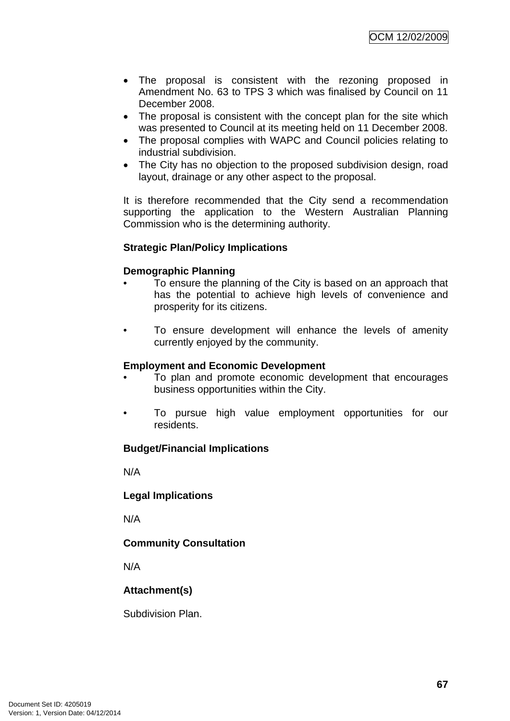- The proposal is consistent with the rezoning proposed in Amendment No. 63 to TPS 3 which was finalised by Council on 11 December 2008.
- The proposal is consistent with the concept plan for the site which was presented to Council at its meeting held on 11 December 2008.
- The proposal complies with WAPC and Council policies relating to industrial subdivision.
- The City has no objection to the proposed subdivision design, road layout, drainage or any other aspect to the proposal.

It is therefore recommended that the City send a recommendation supporting the application to the Western Australian Planning Commission who is the determining authority.

#### **Strategic Plan/Policy Implications**

#### **Demographic Planning**

- To ensure the planning of the City is based on an approach that has the potential to achieve high levels of convenience and prosperity for its citizens.
- To ensure development will enhance the levels of amenity currently enjoyed by the community.

#### **Employment and Economic Development**

- To plan and promote economic development that encourages business opportunities within the City.
- To pursue high value employment opportunities for our residents.

#### **Budget/Financial Implications**

N/A

#### **Legal Implications**

N/A

#### **Community Consultation**

N/A

#### **Attachment(s)**

Subdivision Plan.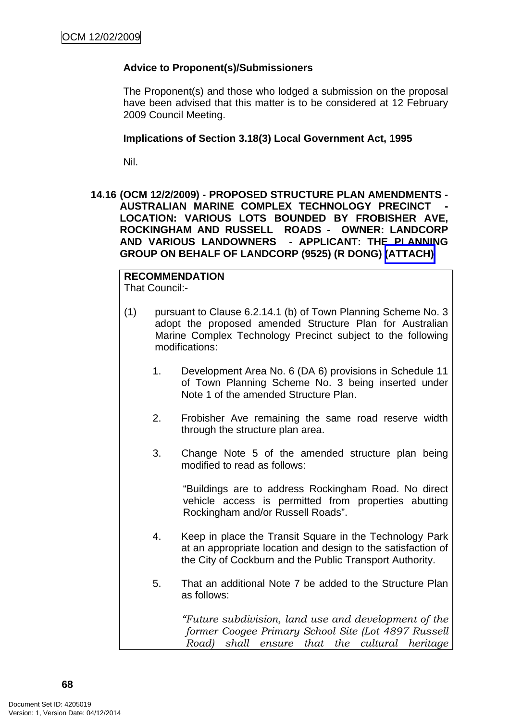### **Advice to Proponent(s)/Submissioners**

The Proponent(s) and those who lodged a submission on the proposal have been advised that this matter is to be considered at 12 February 2009 Council Meeting.

#### **Implications of Section 3.18(3) Local Government Act, 1995**

Nil.

#### **14.16 (OCM 12/2/2009) - PROPOSED STRUCTURE PLAN AMENDMENTS - AUSTRALIAN MARINE COMPLEX TECHNOLOGY PRECINCT LOCATION: VARIOUS LOTS BOUNDED BY FROBISHER AVE, ROCKINGHAM AND RUSSELL ROADS - OWNER: LANDCORP AND VARIOUS LANDOWNERS - APPLICANT: THE PLANNING GROUP ON BEHALF OF LANDCORP (9525) (R DONG) (ATTACH)**

# **RECOMMENDATION**

That Council:-

- (1) pursuant to Clause 6.2.14.1 (b) of Town Planning Scheme No. 3 adopt the proposed amended Structure Plan for Australian Marine Complex Technology Precinct subject to the following modifications:
	- 1. Development Area No. 6 (DA 6) provisions in Schedule 11 of Town Planning Scheme No. 3 being inserted under Note 1 of the amended Structure Plan.
	- 2. Frobisher Ave remaining the same road reserve width through the structure plan area.
	- 3. Change Note 5 of the amended structure plan being modified to read as follows:

"Buildings are to address Rockingham Road. No direct vehicle access is permitted from properties abutting Rockingham and/or Russell Roads".

- 4. Keep in place the Transit Square in the Technology Park at an appropriate location and design to the satisfaction of the City of Cockburn and the Public Transport Authority.
- 5. That an additional Note 7 be added to the Structure Plan as follows:

*"Future subdivision, land use and development of the former Coogee Primary School Site (Lot 4897 Russell Road) shall ensure that the cultural heritage*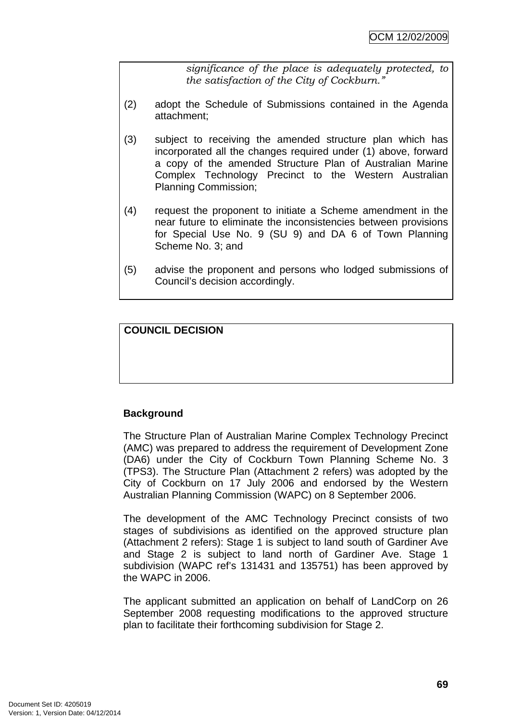*significance of the place is adequately protected, to the satisfaction of the City of Cockburn."* 

- (2) adopt the Schedule of Submissions contained in the Agenda attachment;
- (3) subject to receiving the amended structure plan which has incorporated all the changes required under (1) above, forward a copy of the amended Structure Plan of Australian Marine Complex Technology Precinct to the Western Australian Planning Commission;
- (4) request the proponent to initiate a Scheme amendment in the near future to eliminate the inconsistencies between provisions for Special Use No. 9 (SU 9) and DA 6 of Town Planning Scheme No. 3; and
- (5) advise the proponent and persons who lodged submissions of Council's decision accordingly.

# **COUNCIL DECISION**

# **Background**

The Structure Plan of Australian Marine Complex Technology Precinct (AMC) was prepared to address the requirement of Development Zone (DA6) under the City of Cockburn Town Planning Scheme No. 3 (TPS3). The Structure Plan (Attachment 2 refers) was adopted by the City of Cockburn on 17 July 2006 and endorsed by the Western Australian Planning Commission (WAPC) on 8 September 2006.

The development of the AMC Technology Precinct consists of two stages of subdivisions as identified on the approved structure plan (Attachment 2 refers): Stage 1 is subject to land south of Gardiner Ave and Stage 2 is subject to land north of Gardiner Ave. Stage 1 subdivision (WAPC ref's 131431 and 135751) has been approved by the WAPC in 2006.

The applicant submitted an application on behalf of LandCorp on 26 September 2008 requesting modifications to the approved structure plan to facilitate their forthcoming subdivision for Stage 2.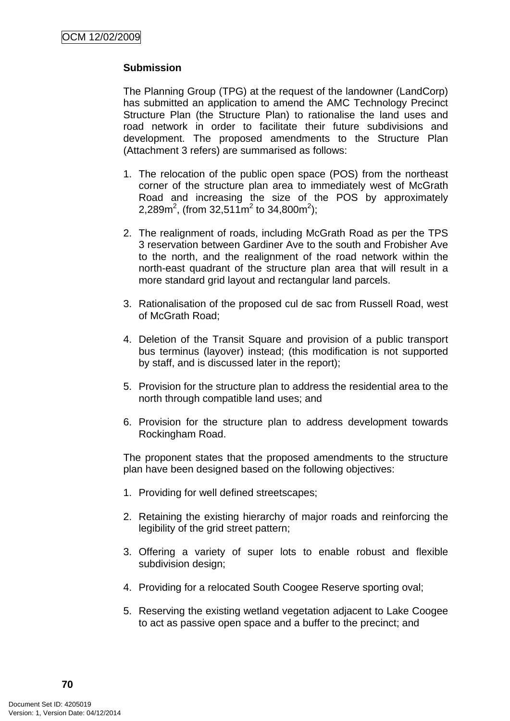### **Submission**

The Planning Group (TPG) at the request of the landowner (LandCorp) has submitted an application to amend the AMC Technology Precinct Structure Plan (the Structure Plan) to rationalise the land uses and road network in order to facilitate their future subdivisions and development. The proposed amendments to the Structure Plan (Attachment 3 refers) are summarised as follows:

- 1. The relocation of the public open space (POS) from the northeast corner of the structure plan area to immediately west of McGrath Road and increasing the size of the POS by approximately 2,289m<sup>2</sup>, (from 32,511m<sup>2</sup> to 34,800m<sup>2</sup>);
- 2. The realignment of roads, including McGrath Road as per the TPS 3 reservation between Gardiner Ave to the south and Frobisher Ave to the north, and the realignment of the road network within the north-east quadrant of the structure plan area that will result in a more standard grid layout and rectangular land parcels.
- 3. Rationalisation of the proposed cul de sac from Russell Road, west of McGrath Road;
- 4. Deletion of the Transit Square and provision of a public transport bus terminus (layover) instead; (this modification is not supported by staff, and is discussed later in the report);
- 5. Provision for the structure plan to address the residential area to the north through compatible land uses; and
- 6. Provision for the structure plan to address development towards Rockingham Road.

The proponent states that the proposed amendments to the structure plan have been designed based on the following objectives:

- 1. Providing for well defined streetscapes;
- 2. Retaining the existing hierarchy of major roads and reinforcing the legibility of the grid street pattern;
- 3. Offering a variety of super lots to enable robust and flexible subdivision design;
- 4. Providing for a relocated South Coogee Reserve sporting oval;
- 5. Reserving the existing wetland vegetation adjacent to Lake Coogee to act as passive open space and a buffer to the precinct; and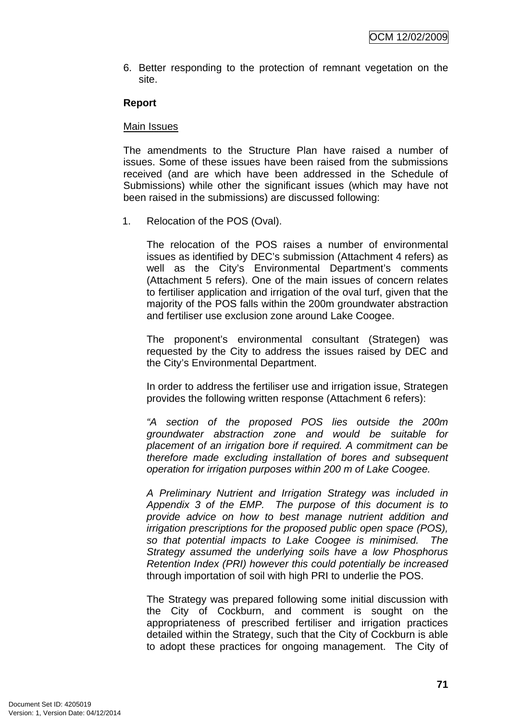6. Better responding to the protection of remnant vegetation on the site.

### **Report**

#### Main Issues

The amendments to the Structure Plan have raised a number of issues. Some of these issues have been raised from the submissions received (and are which have been addressed in the Schedule of Submissions) while other the significant issues (which may have not been raised in the submissions) are discussed following:

1. Relocation of the POS (Oval).

The relocation of the POS raises a number of environmental issues as identified by DEC's submission (Attachment 4 refers) as well as the City's Environmental Department's comments (Attachment 5 refers). One of the main issues of concern relates to fertiliser application and irrigation of the oval turf, given that the majority of the POS falls within the 200m groundwater abstraction and fertiliser use exclusion zone around Lake Coogee.

The proponent's environmental consultant (Strategen) was requested by the City to address the issues raised by DEC and the City's Environmental Department.

In order to address the fertiliser use and irrigation issue, Strategen provides the following written response (Attachment 6 refers):

*"A section of the proposed POS lies outside the 200m groundwater abstraction zone and would be suitable for placement of an irrigation bore if required. A commitment can be therefore made excluding installation of bores and subsequent operation for irrigation purposes within 200 m of Lake Coogee.* 

*A Preliminary Nutrient and Irrigation Strategy was included in Appendix 3 of the EMP. The purpose of this document is to provide advice on how to best manage nutrient addition and irrigation prescriptions for the proposed public open space (POS), so that potential impacts to Lake Coogee is minimised. The Strategy assumed the underlying soils have a low Phosphorus Retention Index (PRI) however this could potentially be increased*  through importation of soil with high PRI to underlie the POS.

The Strategy was prepared following some initial discussion with the City of Cockburn, and comment is sought on the appropriateness of prescribed fertiliser and irrigation practices detailed within the Strategy, such that the City of Cockburn is able to adopt these practices for ongoing management. The City of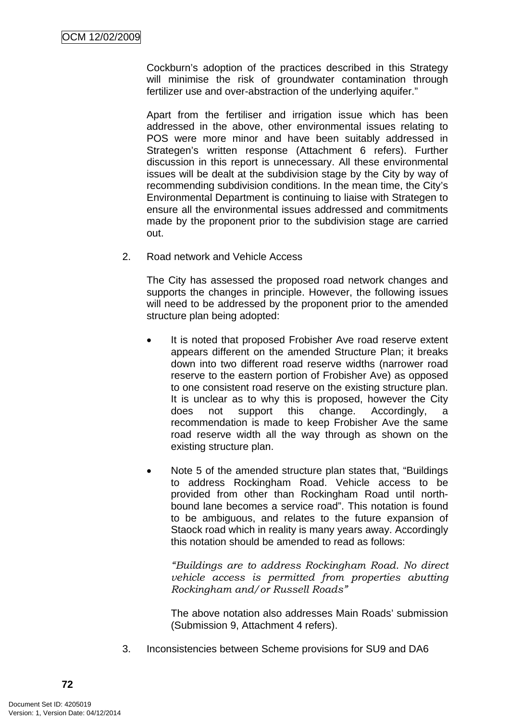Cockburn's adoption of the practices described in this Strategy will minimise the risk of groundwater contamination through fertilizer use and over-abstraction of the underlying aquifer."

Apart from the fertiliser and irrigation issue which has been addressed in the above, other environmental issues relating to POS were more minor and have been suitably addressed in Strategen's written response (Attachment 6 refers). Further discussion in this report is unnecessary. All these environmental issues will be dealt at the subdivision stage by the City by way of recommending subdivision conditions. In the mean time, the City's Environmental Department is continuing to liaise with Strategen to ensure all the environmental issues addressed and commitments made by the proponent prior to the subdivision stage are carried out.

2. Road network and Vehicle Access

The City has assessed the proposed road network changes and supports the changes in principle. However, the following issues will need to be addressed by the proponent prior to the amended structure plan being adopted:

- It is noted that proposed Frobisher Ave road reserve extent appears different on the amended Structure Plan; it breaks down into two different road reserve widths (narrower road reserve to the eastern portion of Frobisher Ave) as opposed to one consistent road reserve on the existing structure plan. It is unclear as to why this is proposed, however the City does not support this change. Accordingly, a recommendation is made to keep Frobisher Ave the same road reserve width all the way through as shown on the existing structure plan.
- Note 5 of the amended structure plan states that, "Buildings to address Rockingham Road. Vehicle access to be provided from other than Rockingham Road until northbound lane becomes a service road". This notation is found to be ambiguous, and relates to the future expansion of Staock road which in reality is many years away. Accordingly this notation should be amended to read as follows:

*"Buildings are to address Rockingham Road. No direct vehicle access is permitted from properties abutting Rockingham and/or Russell Roads"* 

The above notation also addresses Main Roads' submission (Submission 9, Attachment 4 refers).

3. Inconsistencies between Scheme provisions for SU9 and DA6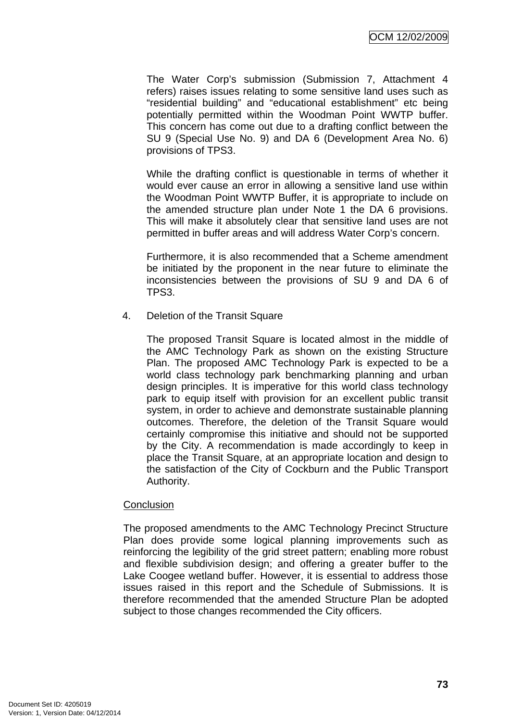The Water Corp's submission (Submission 7, Attachment 4 refers) raises issues relating to some sensitive land uses such as "residential building" and "educational establishment" etc being potentially permitted within the Woodman Point WWTP buffer. This concern has come out due to a drafting conflict between the SU 9 (Special Use No. 9) and DA 6 (Development Area No. 6) provisions of TPS3.

While the drafting conflict is questionable in terms of whether it would ever cause an error in allowing a sensitive land use within the Woodman Point WWTP Buffer, it is appropriate to include on the amended structure plan under Note 1 the DA 6 provisions. This will make it absolutely clear that sensitive land uses are not permitted in buffer areas and will address Water Corp's concern.

Furthermore, it is also recommended that a Scheme amendment be initiated by the proponent in the near future to eliminate the inconsistencies between the provisions of SU 9 and DA 6 of TPS3.

4. Deletion of the Transit Square

The proposed Transit Square is located almost in the middle of the AMC Technology Park as shown on the existing Structure Plan. The proposed AMC Technology Park is expected to be a world class technology park benchmarking planning and urban design principles. It is imperative for this world class technology park to equip itself with provision for an excellent public transit system, in order to achieve and demonstrate sustainable planning outcomes. Therefore, the deletion of the Transit Square would certainly compromise this initiative and should not be supported by the City. A recommendation is made accordingly to keep in place the Transit Square, at an appropriate location and design to the satisfaction of the City of Cockburn and the Public Transport Authority.

#### **Conclusion**

The proposed amendments to the AMC Technology Precinct Structure Plan does provide some logical planning improvements such as reinforcing the legibility of the grid street pattern; enabling more robust and flexible subdivision design; and offering a greater buffer to the Lake Coogee wetland buffer. However, it is essential to address those issues raised in this report and the Schedule of Submissions. It is therefore recommended that the amended Structure Plan be adopted subject to those changes recommended the City officers.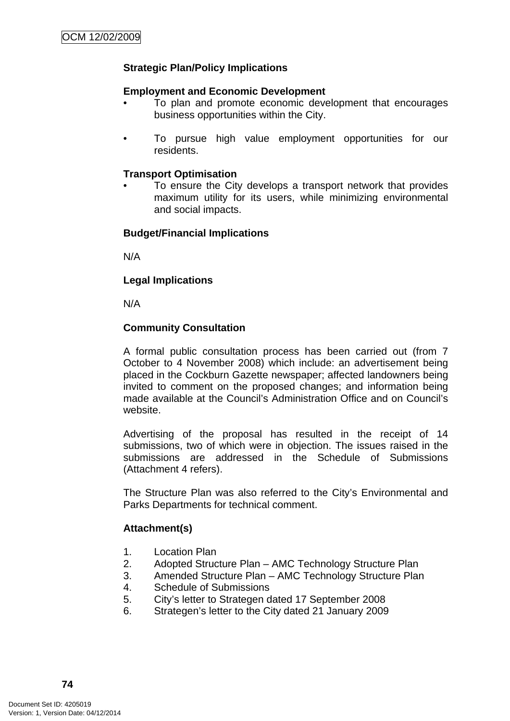# **Strategic Plan/Policy Implications**

#### **Employment and Economic Development**

- To plan and promote economic development that encourages business opportunities within the City.
- To pursue high value employment opportunities for our residents.

#### **Transport Optimisation**

To ensure the City develops a transport network that provides maximum utility for its users, while minimizing environmental and social impacts.

### **Budget/Financial Implications**

N/A

# **Legal Implications**

N/A

### **Community Consultation**

A formal public consultation process has been carried out (from 7 October to 4 November 2008) which include: an advertisement being placed in the Cockburn Gazette newspaper; affected landowners being invited to comment on the proposed changes; and information being made available at the Council's Administration Office and on Council's website.

Advertising of the proposal has resulted in the receipt of 14 submissions, two of which were in objection. The issues raised in the submissions are addressed in the Schedule of Submissions (Attachment 4 refers).

The Structure Plan was also referred to the City's Environmental and Parks Departments for technical comment.

# **Attachment(s)**

- 1. Location Plan
- 2. Adopted Structure Plan AMC Technology Structure Plan
- 3. Amended Structure Plan AMC Technology Structure Plan
- 4. Schedule of Submissions
- 5. City's letter to Strategen dated 17 September 2008
- 6. Strategen's letter to the City dated 21 January 2009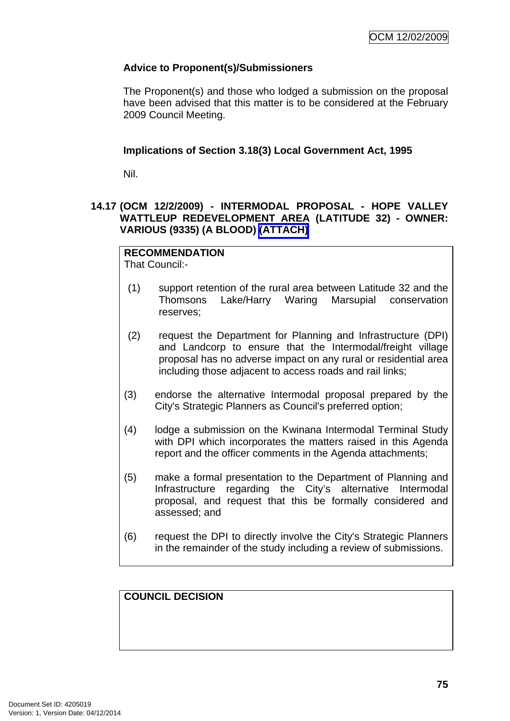## **Advice to Proponent(s)/Submissioners**

The Proponent(s) and those who lodged a submission on the proposal have been advised that this matter is to be considered at the February 2009 Council Meeting.

#### **Implications of Section 3.18(3) Local Government Act, 1995**

Nil.

# **14.17 (OCM 12/2/2009) - INTERMODAL PROPOSAL - HOPE VALLEY WATTLEUP REDEVELOPMENT AREA (LATITUDE 32) - OWNER: VARIOUS (9335) (A BLOOD) (ATTACH)**

# **RECOMMENDATION**

That Council:-

- (1) support retention of the rural area between Latitude 32 and the Thomsons Lake/Harry Waring Marsupial conservation reserves;
- (2) request the Department for Planning and Infrastructure (DPI) and Landcorp to ensure that the Intermodal/freight village proposal has no adverse impact on any rural or residential area including those adjacent to access roads and rail links;
- (3) endorse the alternative Intermodal proposal prepared by the City's Strategic Planners as Council's preferred option;
- (4) lodge a submission on the Kwinana Intermodal Terminal Study with DPI which incorporates the matters raised in this Agenda report and the officer comments in the Agenda attachments;
- (5) make a formal presentation to the Department of Planning and Infrastructure regarding the City's alternative Intermodal proposal, and request that this be formally considered and assessed; and
- (6) request the DPI to directly involve the City's Strategic Planners in the remainder of the study including a review of submissions.

#### **COUNCIL DECISION**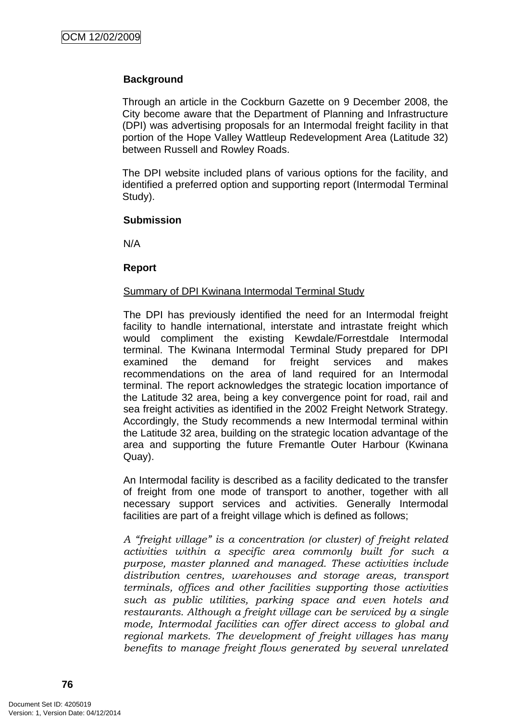#### **Background**

Through an article in the Cockburn Gazette on 9 December 2008, the City become aware that the Department of Planning and Infrastructure (DPI) was advertising proposals for an Intermodal freight facility in that portion of the Hope Valley Wattleup Redevelopment Area (Latitude 32) between Russell and Rowley Roads.

The DPI website included plans of various options for the facility, and identified a preferred option and supporting report (Intermodal Terminal Study).

#### **Submission**

N/A

#### **Report**

#### Summary of DPI Kwinana Intermodal Terminal Study

The DPI has previously identified the need for an Intermodal freight facility to handle international, interstate and intrastate freight which would compliment the existing Kewdale/Forrestdale Intermodal terminal. The Kwinana Intermodal Terminal Study prepared for DPI examined the demand for freight services and makes recommendations on the area of land required for an Intermodal terminal. The report acknowledges the strategic location importance of the Latitude 32 area, being a key convergence point for road, rail and sea freight activities as identified in the 2002 Freight Network Strategy. Accordingly, the Study recommends a new Intermodal terminal within the Latitude 32 area, building on the strategic location advantage of the area and supporting the future Fremantle Outer Harbour (Kwinana Quay).

An Intermodal facility is described as a facility dedicated to the transfer of freight from one mode of transport to another, together with all necessary support services and activities. Generally Intermodal facilities are part of a freight village which is defined as follows;

*A "freight village" is a concentration (or cluster) of freight related activities within a specific area commonly built for such a purpose, master planned and managed. These activities include distribution centres, warehouses and storage areas, transport terminals, offices and other facilities supporting those activities such as public utilities, parking space and even hotels and restaurants. Although a freight village can be serviced by a single mode, Intermodal facilities can offer direct access to global and regional markets. The development of freight villages has many benefits to manage freight flows generated by several unrelated*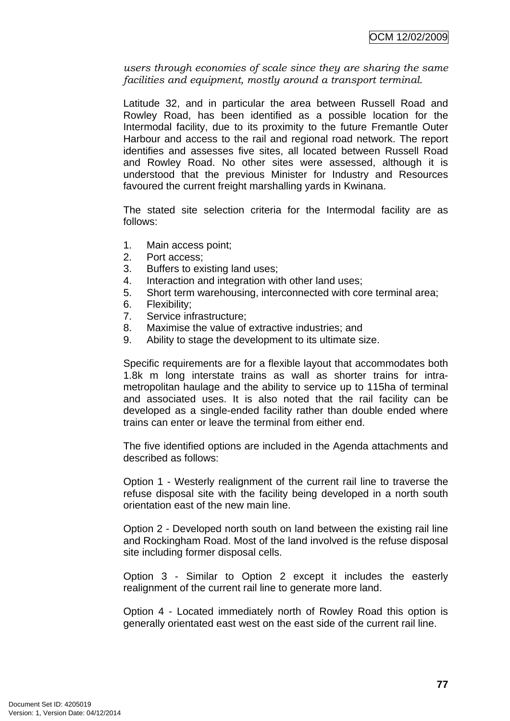*users through economies of scale since they are sharing the same facilities and equipment, mostly around a transport terminal.* 

Latitude 32, and in particular the area between Russell Road and Rowley Road, has been identified as a possible location for the Intermodal facility, due to its proximity to the future Fremantle Outer Harbour and access to the rail and regional road network. The report identifies and assesses five sites, all located between Russell Road and Rowley Road. No other sites were assessed, although it is understood that the previous Minister for Industry and Resources favoured the current freight marshalling yards in Kwinana.

The stated site selection criteria for the Intermodal facility are as follows:

- 1. Main access point;
- 2. Port access;
- 3. Buffers to existing land uses;
- 4. Interaction and integration with other land uses;
- 5. Short term warehousing, interconnected with core terminal area;
- 6. Flexibility;
- 7. Service infrastructure;
- 8. Maximise the value of extractive industries; and
- 9. Ability to stage the development to its ultimate size.

Specific requirements are for a flexible layout that accommodates both 1.8k m long interstate trains as wall as shorter trains for intrametropolitan haulage and the ability to service up to 115ha of terminal and associated uses. It is also noted that the rail facility can be developed as a single-ended facility rather than double ended where trains can enter or leave the terminal from either end.

The five identified options are included in the Agenda attachments and described as follows:

Option 1 - Westerly realignment of the current rail line to traverse the refuse disposal site with the facility being developed in a north south orientation east of the new main line.

Option 2 - Developed north south on land between the existing rail line and Rockingham Road. Most of the land involved is the refuse disposal site including former disposal cells.

Option 3 - Similar to Option 2 except it includes the easterly realignment of the current rail line to generate more land.

Option 4 - Located immediately north of Rowley Road this option is generally orientated east west on the east side of the current rail line.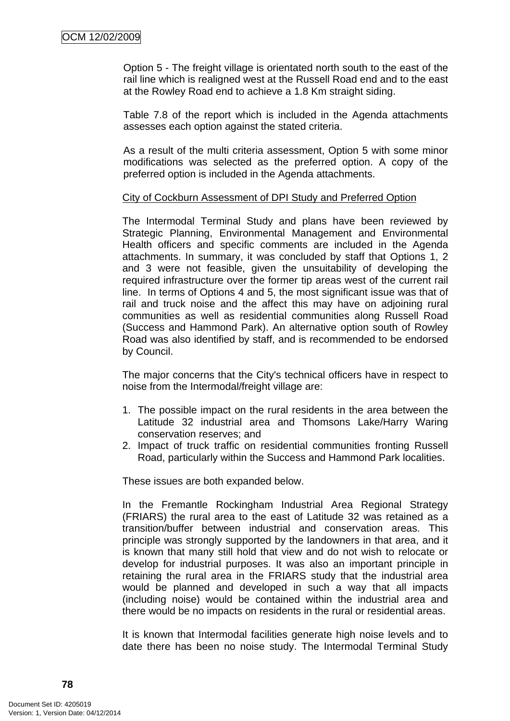Option 5 - The freight village is orientated north south to the east of the rail line which is realigned west at the Russell Road end and to the east at the Rowley Road end to achieve a 1.8 Km straight siding.

Table 7.8 of the report which is included in the Agenda attachments assesses each option against the stated criteria.

As a result of the multi criteria assessment, Option 5 with some minor modifications was selected as the preferred option. A copy of the preferred option is included in the Agenda attachments.

#### City of Cockburn Assessment of DPI Study and Preferred Option

The Intermodal Terminal Study and plans have been reviewed by Strategic Planning, Environmental Management and Environmental Health officers and specific comments are included in the Agenda attachments. In summary, it was concluded by staff that Options 1, 2 and 3 were not feasible, given the unsuitability of developing the required infrastructure over the former tip areas west of the current rail line. In terms of Options 4 and 5, the most significant issue was that of rail and truck noise and the affect this may have on adjoining rural communities as well as residential communities along Russell Road (Success and Hammond Park). An alternative option south of Rowley Road was also identified by staff, and is recommended to be endorsed by Council.

The major concerns that the City's technical officers have in respect to noise from the Intermodal/freight village are:

- 1. The possible impact on the rural residents in the area between the Latitude 32 industrial area and Thomsons Lake/Harry Waring conservation reserves; and
- 2. Impact of truck traffic on residential communities fronting Russell Road, particularly within the Success and Hammond Park localities.

These issues are both expanded below.

In the Fremantle Rockingham Industrial Area Regional Strategy (FRIARS) the rural area to the east of Latitude 32 was retained as a transition/buffer between industrial and conservation areas. This principle was strongly supported by the landowners in that area, and it is known that many still hold that view and do not wish to relocate or develop for industrial purposes. It was also an important principle in retaining the rural area in the FRIARS study that the industrial area would be planned and developed in such a way that all impacts (including noise) would be contained within the industrial area and there would be no impacts on residents in the rural or residential areas.

It is known that Intermodal facilities generate high noise levels and to date there has been no noise study. The Intermodal Terminal Study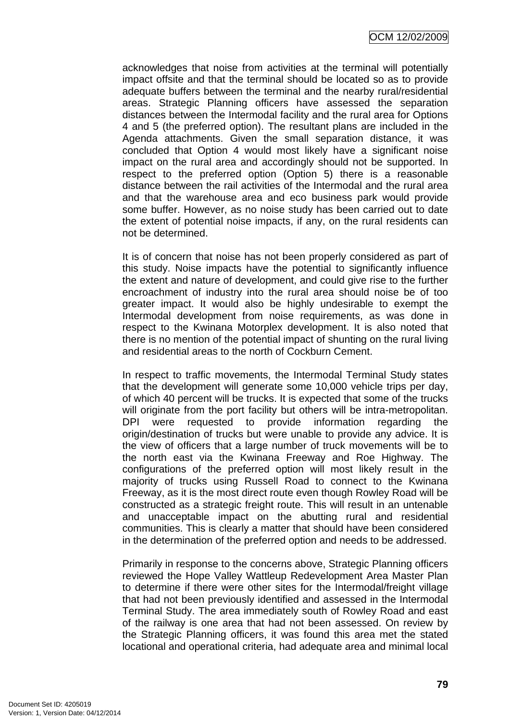acknowledges that noise from activities at the terminal will potentially impact offsite and that the terminal should be located so as to provide adequate buffers between the terminal and the nearby rural/residential areas. Strategic Planning officers have assessed the separation distances between the Intermodal facility and the rural area for Options 4 and 5 (the preferred option). The resultant plans are included in the Agenda attachments. Given the small separation distance, it was concluded that Option 4 would most likely have a significant noise impact on the rural area and accordingly should not be supported. In respect to the preferred option (Option 5) there is a reasonable distance between the rail activities of the Intermodal and the rural area and that the warehouse area and eco business park would provide some buffer. However, as no noise study has been carried out to date the extent of potential noise impacts, if any, on the rural residents can not be determined.

It is of concern that noise has not been properly considered as part of this study. Noise impacts have the potential to significantly influence the extent and nature of development, and could give rise to the further encroachment of industry into the rural area should noise be of too greater impact. It would also be highly undesirable to exempt the Intermodal development from noise requirements, as was done in respect to the Kwinana Motorplex development. It is also noted that there is no mention of the potential impact of shunting on the rural living and residential areas to the north of Cockburn Cement.

In respect to traffic movements, the Intermodal Terminal Study states that the development will generate some 10,000 vehicle trips per day, of which 40 percent will be trucks. It is expected that some of the trucks will originate from the port facility but others will be intra-metropolitan. DPI were requested to provide information regarding the origin/destination of trucks but were unable to provide any advice. It is the view of officers that a large number of truck movements will be to the north east via the Kwinana Freeway and Roe Highway. The configurations of the preferred option will most likely result in the majority of trucks using Russell Road to connect to the Kwinana Freeway, as it is the most direct route even though Rowley Road will be constructed as a strategic freight route. This will result in an untenable and unacceptable impact on the abutting rural and residential communities. This is clearly a matter that should have been considered in the determination of the preferred option and needs to be addressed.

Primarily in response to the concerns above, Strategic Planning officers reviewed the Hope Valley Wattleup Redevelopment Area Master Plan to determine if there were other sites for the Intermodal/freight village that had not been previously identified and assessed in the Intermodal Terminal Study. The area immediately south of Rowley Road and east of the railway is one area that had not been assessed. On review by the Strategic Planning officers, it was found this area met the stated locational and operational criteria, had adequate area and minimal local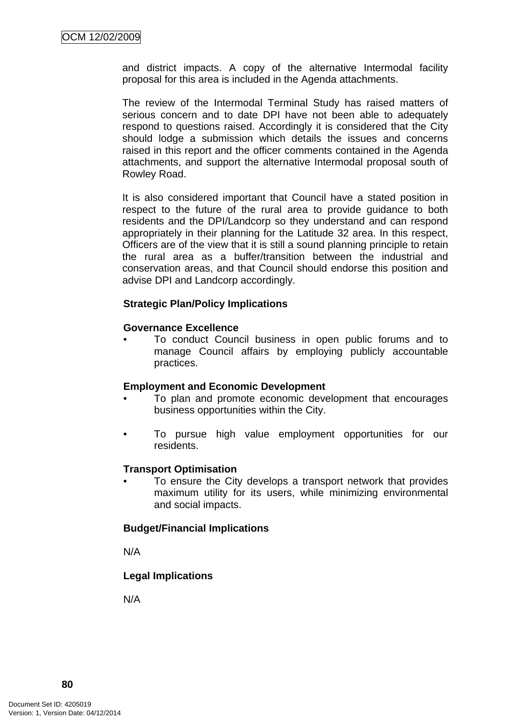and district impacts. A copy of the alternative Intermodal facility proposal for this area is included in the Agenda attachments.

The review of the Intermodal Terminal Study has raised matters of serious concern and to date DPI have not been able to adequately respond to questions raised. Accordingly it is considered that the City should lodge a submission which details the issues and concerns raised in this report and the officer comments contained in the Agenda attachments, and support the alternative Intermodal proposal south of Rowley Road.

It is also considered important that Council have a stated position in respect to the future of the rural area to provide guidance to both residents and the DPI/Landcorp so they understand and can respond appropriately in their planning for the Latitude 32 area. In this respect, Officers are of the view that it is still a sound planning principle to retain the rural area as a buffer/transition between the industrial and conservation areas, and that Council should endorse this position and advise DPI and Landcorp accordingly.

#### **Strategic Plan/Policy Implications**

#### **Governance Excellence**

• To conduct Council business in open public forums and to manage Council affairs by employing publicly accountable practices.

#### **Employment and Economic Development**

- To plan and promote economic development that encourages business opportunities within the City.
- To pursue high value employment opportunities for our residents.

#### **Transport Optimisation**

• To ensure the City develops a transport network that provides maximum utility for its users, while minimizing environmental and social impacts.

#### **Budget/Financial Implications**

N/A

#### **Legal Implications**

N/A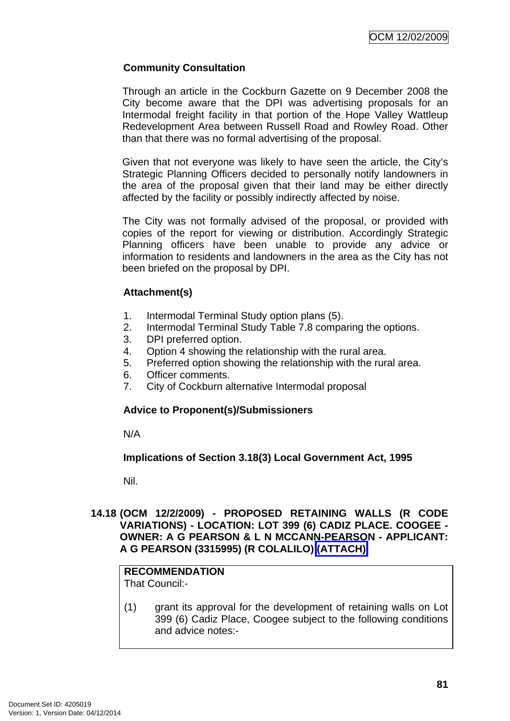### **Community Consultation**

Through an article in the Cockburn Gazette on 9 December 2008 the City become aware that the DPI was advertising proposals for an Intermodal freight facility in that portion of the Hope Valley Wattleup Redevelopment Area between Russell Road and Rowley Road. Other than that there was no formal advertising of the proposal.

Given that not everyone was likely to have seen the article, the City's Strategic Planning Officers decided to personally notify landowners in the area of the proposal given that their land may be either directly affected by the facility or possibly indirectly affected by noise.

The City was not formally advised of the proposal, or provided with copies of the report for viewing or distribution. Accordingly Strategic Planning officers have been unable to provide any advice or information to residents and landowners in the area as the City has not been briefed on the proposal by DPI.

#### **Attachment(s)**

- 1. Intermodal Terminal Study option plans (5).
- 2. Intermodal Terminal Study Table 7.8 comparing the options.
- 3. DPI preferred option.
- 4. Option 4 showing the relationship with the rural area.
- 5. Preferred option showing the relationship with the rural area.
- 6. Officer comments.
- 7. City of Cockburn alternative Intermodal proposal

#### **Advice to Proponent(s)/Submissioners**

N/A

**Implications of Section 3.18(3) Local Government Act, 1995**

Nil.

#### **14.18 (OCM 12/2/2009) - PROPOSED RETAINING WALLS (R CODE VARIATIONS) - LOCATION: LOT 399 (6) CADIZ PLACE. COOGEE - OWNER: A G PEARSON & L N MCCANN-PEARSON - APPLICANT: A G PEARSON (3315995) (R COLALILO) (ATTACH)**

# **RECOMMENDATION**

That Council:-

(1) grant its approval for the development of retaining walls on Lot 399 (6) Cadiz Place, Coogee subject to the following conditions and advice notes:-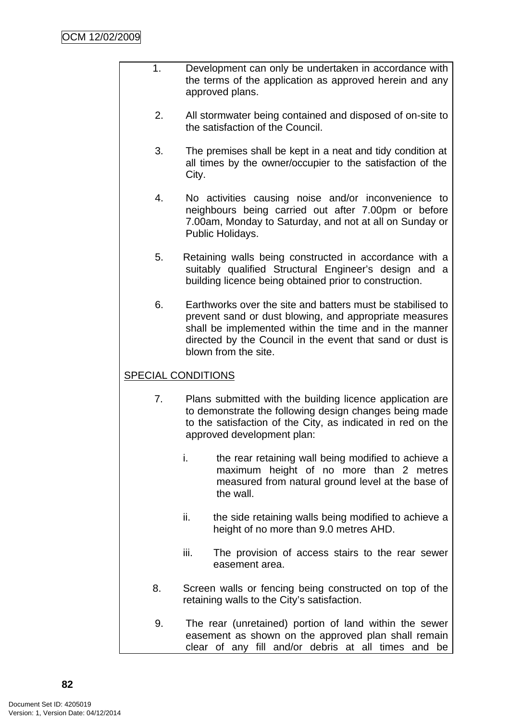- 1. Development can only be undertaken in accordance with the terms of the application as approved herein and any approved plans.
	- 2. All stormwater being contained and disposed of on-site to the satisfaction of the Council.
	- 3. The premises shall be kept in a neat and tidy condition at all times by the owner/occupier to the satisfaction of the City.
	- 4. No activities causing noise and/or inconvenience to neighbours being carried out after 7.00pm or before 7.00am, Monday to Saturday, and not at all on Sunday or Public Holidays.
	- 5. Retaining walls being constructed in accordance with a suitably qualified Structural Engineer's design and a building licence being obtained prior to construction.
	- 6. Earthworks over the site and batters must be stabilised to prevent sand or dust blowing, and appropriate measures shall be implemented within the time and in the manner directed by the Council in the event that sand or dust is blown from the site.

# SPECIAL CONDITIONS

- 7. Plans submitted with the building licence application are to demonstrate the following design changes being made to the satisfaction of the City, as indicated in red on the approved development plan:
	- i. the rear retaining wall being modified to achieve a maximum height of no more than 2 metres measured from natural ground level at the base of the wall.
	- ii. the side retaining walls being modified to achieve a height of no more than 9.0 metres AHD.
	- iii. The provision of access stairs to the rear sewer easement area.
- 8. Screen walls or fencing being constructed on top of the retaining walls to the City's satisfaction.
- 9. The rear (unretained) portion of land within the sewer easement as shown on the approved plan shall remain clear of any fill and/or debris at all times and be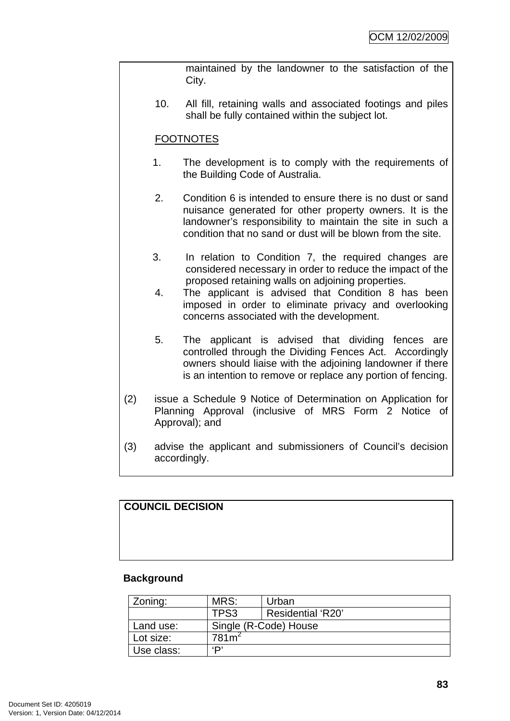maintained by the landowner to the satisfaction of the City.

10. All fill, retaining walls and associated footings and piles shall be fully contained within the subject lot.

# FOOTNOTES

- 1. The development is to comply with the requirements of the Building Code of Australia.
- 2. Condition 6 is intended to ensure there is no dust or sand nuisance generated for other property owners. It is the landowner's responsibility to maintain the site in such a condition that no sand or dust will be blown from the site.
- 3. In relation to Condition 7, the required changes are considered necessary in order to reduce the impact of the proposed retaining walls on adjoining properties.
- 4. The applicant is advised that Condition 8 has been imposed in order to eliminate privacy and overlooking concerns associated with the development.
- 5. The applicant is advised that dividing fences are controlled through the Dividing Fences Act. Accordingly owners should liaise with the adjoining landowner if there is an intention to remove or replace any portion of fencing.
- (2) issue a Schedule 9 Notice of Determination on Application for Planning Approval (inclusive of MRS Form 2 Notice of Approval); and
- (3) advise the applicant and submissioners of Council's decision accordingly.

# **COUNCIL DECISION Background**

| Zoning:    | MRS:                  | Urban             |
|------------|-----------------------|-------------------|
|            | TPS3                  | Residential 'R20' |
| Land use:  | Single (R-Code) House |                   |
| Lot size:  | 781 <sup>2</sup>      |                   |
| Use class: | '⊡'                   |                   |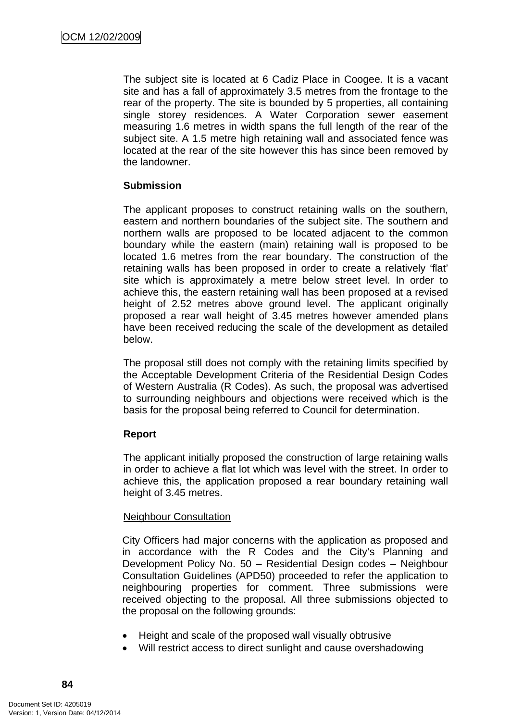The subject site is located at 6 Cadiz Place in Coogee. It is a vacant site and has a fall of approximately 3.5 metres from the frontage to the rear of the property. The site is bounded by 5 properties, all containing single storey residences. A Water Corporation sewer easement measuring 1.6 metres in width spans the full length of the rear of the subject site. A 1.5 metre high retaining wall and associated fence was located at the rear of the site however this has since been removed by the landowner.

### **Submission**

The applicant proposes to construct retaining walls on the southern, eastern and northern boundaries of the subject site. The southern and northern walls are proposed to be located adjacent to the common boundary while the eastern (main) retaining wall is proposed to be located 1.6 metres from the rear boundary. The construction of the retaining walls has been proposed in order to create a relatively 'flat' site which is approximately a metre below street level. In order to achieve this, the eastern retaining wall has been proposed at a revised height of 2.52 metres above ground level. The applicant originally proposed a rear wall height of 3.45 metres however amended plans have been received reducing the scale of the development as detailed below.

The proposal still does not comply with the retaining limits specified by the Acceptable Development Criteria of the Residential Design Codes of Western Australia (R Codes). As such, the proposal was advertised to surrounding neighbours and objections were received which is the basis for the proposal being referred to Council for determination.

# **Report**

The applicant initially proposed the construction of large retaining walls in order to achieve a flat lot which was level with the street. In order to achieve this, the application proposed a rear boundary retaining wall height of 3.45 metres.

#### Neighbour Consultation

City Officers had major concerns with the application as proposed and in accordance with the R Codes and the City's Planning and Development Policy No. 50 – Residential Design codes – Neighbour Consultation Guidelines (APD50) proceeded to refer the application to neighbouring properties for comment. Three submissions were received objecting to the proposal. All three submissions objected to the proposal on the following grounds:

- Height and scale of the proposed wall visually obtrusive
- Will restrict access to direct sunlight and cause overshadowing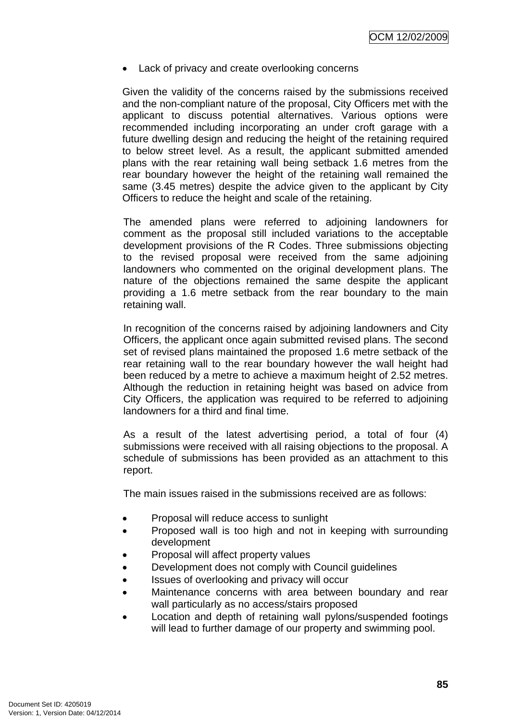• Lack of privacy and create overlooking concerns

Given the validity of the concerns raised by the submissions received and the non-compliant nature of the proposal, City Officers met with the applicant to discuss potential alternatives. Various options were recommended including incorporating an under croft garage with a future dwelling design and reducing the height of the retaining required to below street level. As a result, the applicant submitted amended plans with the rear retaining wall being setback 1.6 metres from the rear boundary however the height of the retaining wall remained the same (3.45 metres) despite the advice given to the applicant by City Officers to reduce the height and scale of the retaining.

The amended plans were referred to adjoining landowners for comment as the proposal still included variations to the acceptable development provisions of the R Codes. Three submissions objecting to the revised proposal were received from the same adjoining landowners who commented on the original development plans. The nature of the objections remained the same despite the applicant providing a 1.6 metre setback from the rear boundary to the main retaining wall.

In recognition of the concerns raised by adjoining landowners and City Officers, the applicant once again submitted revised plans. The second set of revised plans maintained the proposed 1.6 metre setback of the rear retaining wall to the rear boundary however the wall height had been reduced by a metre to achieve a maximum height of 2.52 metres. Although the reduction in retaining height was based on advice from City Officers, the application was required to be referred to adjoining landowners for a third and final time.

As a result of the latest advertising period, a total of four (4) submissions were received with all raising objections to the proposal. A schedule of submissions has been provided as an attachment to this report.

The main issues raised in the submissions received are as follows:

- Proposal will reduce access to sunlight
- Proposed wall is too high and not in keeping with surrounding development
- Proposal will affect property values
- Development does not comply with Council guidelines
- Issues of overlooking and privacy will occur
- Maintenance concerns with area between boundary and rear wall particularly as no access/stairs proposed
- Location and depth of retaining wall pylons/suspended footings will lead to further damage of our property and swimming pool.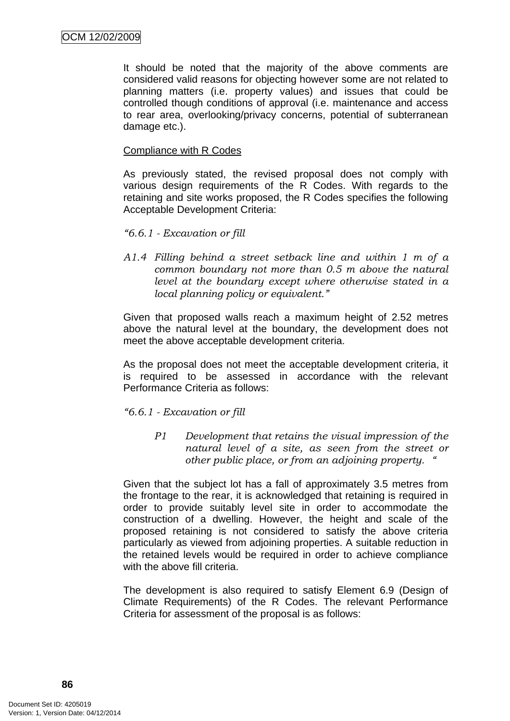It should be noted that the majority of the above comments are considered valid reasons for objecting however some are not related to planning matters (i.e. property values) and issues that could be controlled though conditions of approval (i.e. maintenance and access to rear area, overlooking/privacy concerns, potential of subterranean damage etc.).

#### Compliance with R Codes

As previously stated, the revised proposal does not comply with various design requirements of the R Codes. With regards to the retaining and site works proposed, the R Codes specifies the following Acceptable Development Criteria:

#### *"6.6.1 - Excavation or fill*

*A1.4 Filling behind a street setback line and within 1 m of a common boundary not more than 0.5 m above the natural level at the boundary except where otherwise stated in a local planning policy or equivalent."* 

Given that proposed walls reach a maximum height of 2.52 metres above the natural level at the boundary, the development does not meet the above acceptable development criteria.

As the proposal does not meet the acceptable development criteria, it is required to be assessed in accordance with the relevant Performance Criteria as follows:

#### *"6.6.1 - Excavation or fill*

*P1 Development that retains the visual impression of the natural level of a site, as seen from the street or other public place, or from an adjoining property. "* 

Given that the subject lot has a fall of approximately 3.5 metres from the frontage to the rear, it is acknowledged that retaining is required in order to provide suitably level site in order to accommodate the construction of a dwelling. However, the height and scale of the proposed retaining is not considered to satisfy the above criteria particularly as viewed from adjoining properties. A suitable reduction in the retained levels would be required in order to achieve compliance with the above fill criteria.

The development is also required to satisfy Element 6.9 (Design of Climate Requirements) of the R Codes. The relevant Performance Criteria for assessment of the proposal is as follows: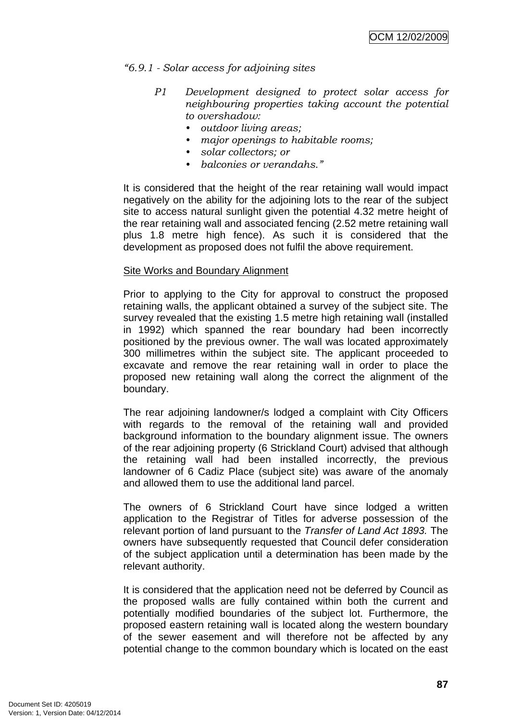#### *"6.9.1 - Solar access for adjoining sites*

- *P1 Development designed to protect solar access for neighbouring properties taking account the potential to overshadow:* 
	- *outdoor living areas;*
	- *major openings to habitable rooms;*
	- *solar collectors; or*
	- *balconies or verandahs."*

It is considered that the height of the rear retaining wall would impact negatively on the ability for the adjoining lots to the rear of the subject site to access natural sunlight given the potential 4.32 metre height of the rear retaining wall and associated fencing (2.52 metre retaining wall plus 1.8 metre high fence). As such it is considered that the development as proposed does not fulfil the above requirement.

#### Site Works and Boundary Alignment

Prior to applying to the City for approval to construct the proposed retaining walls, the applicant obtained a survey of the subject site. The survey revealed that the existing 1.5 metre high retaining wall (installed in 1992) which spanned the rear boundary had been incorrectly positioned by the previous owner. The wall was located approximately 300 millimetres within the subject site. The applicant proceeded to excavate and remove the rear retaining wall in order to place the proposed new retaining wall along the correct the alignment of the boundary.

The rear adjoining landowner/s lodged a complaint with City Officers with regards to the removal of the retaining wall and provided background information to the boundary alignment issue. The owners of the rear adjoining property (6 Strickland Court) advised that although the retaining wall had been installed incorrectly, the previous landowner of 6 Cadiz Place (subject site) was aware of the anomaly and allowed them to use the additional land parcel.

The owners of 6 Strickland Court have since lodged a written application to the Registrar of Titles for adverse possession of the relevant portion of land pursuant to the *Transfer of Land Act 1893.* The owners have subsequently requested that Council defer consideration of the subject application until a determination has been made by the relevant authority.

It is considered that the application need not be deferred by Council as the proposed walls are fully contained within both the current and potentially modified boundaries of the subject lot. Furthermore, the proposed eastern retaining wall is located along the western boundary of the sewer easement and will therefore not be affected by any potential change to the common boundary which is located on the east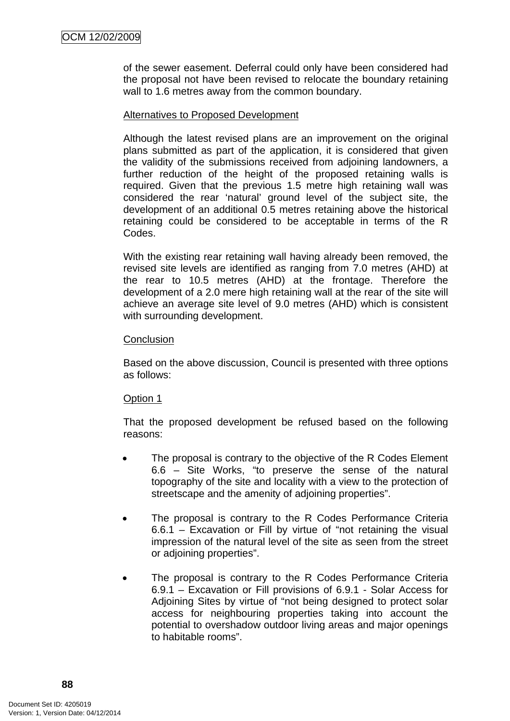of the sewer easement. Deferral could only have been considered had the proposal not have been revised to relocate the boundary retaining wall to 1.6 metres away from the common boundary.

#### **Alternatives to Proposed Development**

Although the latest revised plans are an improvement on the original plans submitted as part of the application, it is considered that given the validity of the submissions received from adjoining landowners, a further reduction of the height of the proposed retaining walls is required. Given that the previous 1.5 metre high retaining wall was considered the rear 'natural' ground level of the subject site, the development of an additional 0.5 metres retaining above the historical retaining could be considered to be acceptable in terms of the R Codes.

With the existing rear retaining wall having already been removed, the revised site levels are identified as ranging from 7.0 metres (AHD) at the rear to 10.5 metres (AHD) at the frontage. Therefore the development of a 2.0 mere high retaining wall at the rear of the site will achieve an average site level of 9.0 metres (AHD) which is consistent with surrounding development.

#### **Conclusion**

Based on the above discussion, Council is presented with three options as follows:

#### Option 1

That the proposed development be refused based on the following reasons:

- The proposal is contrary to the objective of the R Codes Element 6.6 – Site Works, "to preserve the sense of the natural topography of the site and locality with a view to the protection of streetscape and the amenity of adjoining properties".
- The proposal is contrary to the R Codes Performance Criteria 6.6.1 – Excavation or Fill by virtue of "not retaining the visual impression of the natural level of the site as seen from the street or adjoining properties".
- The proposal is contrary to the R Codes Performance Criteria 6.9.1 – Excavation or Fill provisions of 6.9.1 - Solar Access for Adjoining Sites by virtue of "not being designed to protect solar access for neighbouring properties taking into account the potential to overshadow outdoor living areas and major openings to habitable rooms".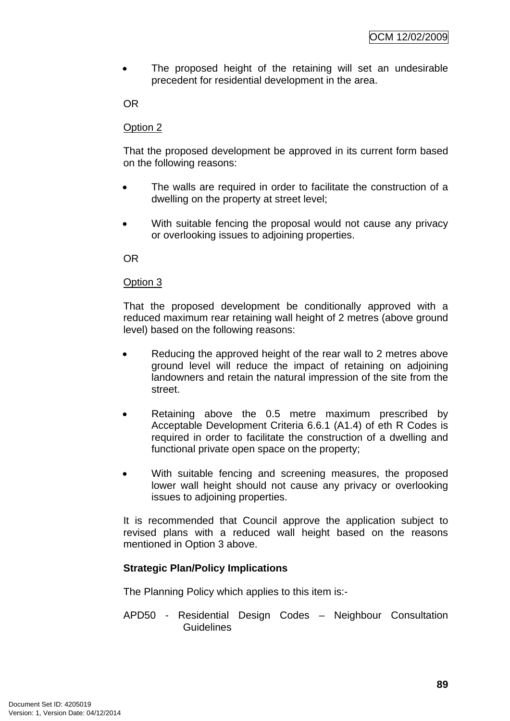• The proposed height of the retaining will set an undesirable precedent for residential development in the area.

#### OR

#### Option 2

That the proposed development be approved in its current form based on the following reasons:

- The walls are required in order to facilitate the construction of a dwelling on the property at street level;
- With suitable fencing the proposal would not cause any privacy or overlooking issues to adjoining properties.

OR

#### Option 3

That the proposed development be conditionally approved with a reduced maximum rear retaining wall height of 2 metres (above ground level) based on the following reasons:

- Reducing the approved height of the rear wall to 2 metres above ground level will reduce the impact of retaining on adjoining landowners and retain the natural impression of the site from the street.
- Retaining above the 0.5 metre maximum prescribed by Acceptable Development Criteria 6.6.1 (A1.4) of eth R Codes is required in order to facilitate the construction of a dwelling and functional private open space on the property;
- With suitable fencing and screening measures, the proposed lower wall height should not cause any privacy or overlooking issues to adjoining properties.

It is recommended that Council approve the application subject to revised plans with a reduced wall height based on the reasons mentioned in Option 3 above.

#### **Strategic Plan/Policy Implications**

The Planning Policy which applies to this item is:-

APD50 - Residential Design Codes – Neighbour Consultation **Guidelines**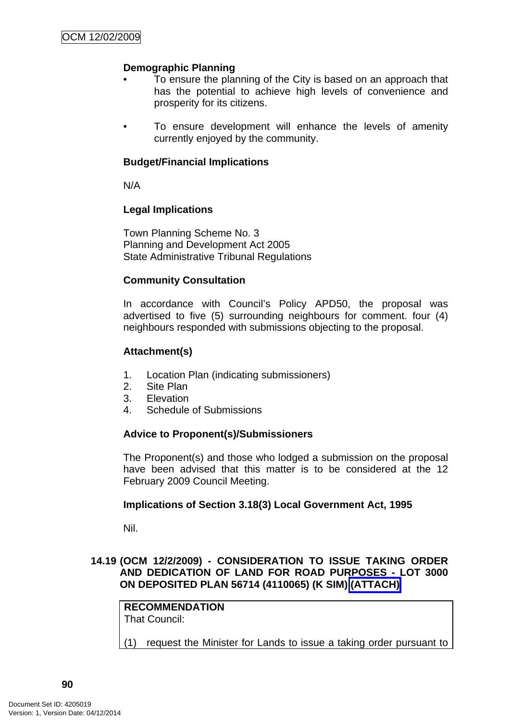#### **Demographic Planning**

- To ensure the planning of the City is based on an approach that has the potential to achieve high levels of convenience and prosperity for its citizens.
- To ensure development will enhance the levels of amenity currently enjoyed by the community.

#### **Budget/Financial Implications**

N/A

#### **Legal Implications**

Town Planning Scheme No. 3 Planning and Development Act 2005 State Administrative Tribunal Regulations

#### **Community Consultation**

In accordance with Council's Policy APD50, the proposal was advertised to five (5) surrounding neighbours for comment. four (4) neighbours responded with submissions objecting to the proposal.

#### **Attachment(s)**

- 1. Location Plan (indicating submissioners)
- 2. Site Plan
- 3. Elevation
- 4. Schedule of Submissions

#### **Advice to Proponent(s)/Submissioners**

The Proponent(s) and those who lodged a submission on the proposal have been advised that this matter is to be considered at the 12 February 2009 Council Meeting.

#### **Implications of Section 3.18(3) Local Government Act, 1995**

Nil.

#### **14.19 (OCM 12/2/2009) - CONSIDERATION TO ISSUE TAKING ORDER AND DEDICATION OF LAND FOR ROAD PURPOSES - LOT 3000 ON DEPOSITED PLAN 56714 (4110065) (K SIM) (ATTACH)**

# **RECOMMENDATION**

That Council:

(1) request the Minister for Lands to issue a taking order pursuant to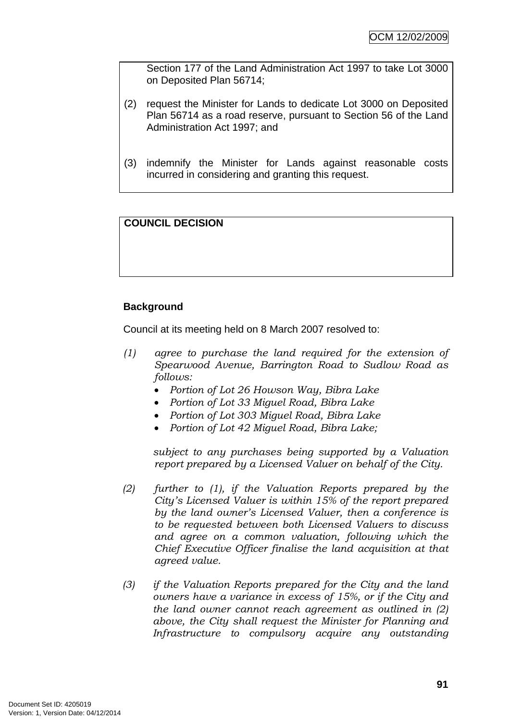Section 177 of the Land Administration Act 1997 to take Lot 3000 on Deposited Plan 56714;

- (2) request the Minister for Lands to dedicate Lot 3000 on Deposited Plan 56714 as a road reserve, pursuant to Section 56 of the Land Administration Act 1997; and
- (3) indemnify the Minister for Lands against reasonable costs incurred in considering and granting this request.

# **COUNCIL DECISION**

# **Background**

Council at its meeting held on 8 March 2007 resolved to:

- *(1) agree to purchase the land required for the extension of Spearwood Avenue, Barrington Road to Sudlow Road as follows:* 
	- *Portion of Lot 26 Howson Way, Bibra Lake*
	- *Portion of Lot 33 Miguel Road, Bibra Lake*
	- *Portion of Lot 303 Miguel Road, Bibra Lake*
	- *Portion of Lot 42 Miguel Road, Bibra Lake;*

*subject to any purchases being supported by a Valuation report prepared by a Licensed Valuer on behalf of the City.* 

- *(2) further to (1), if the Valuation Reports prepared by the City's Licensed Valuer is within 15% of the report prepared by the land owner's Licensed Valuer, then a conference is to be requested between both Licensed Valuers to discuss and agree on a common valuation, following which the Chief Executive Officer finalise the land acquisition at that agreed value.*
- *(3) if the Valuation Reports prepared for the City and the land owners have a variance in excess of 15%, or if the City and the land owner cannot reach agreement as outlined in (2) above, the City shall request the Minister for Planning and Infrastructure to compulsory acquire any outstanding*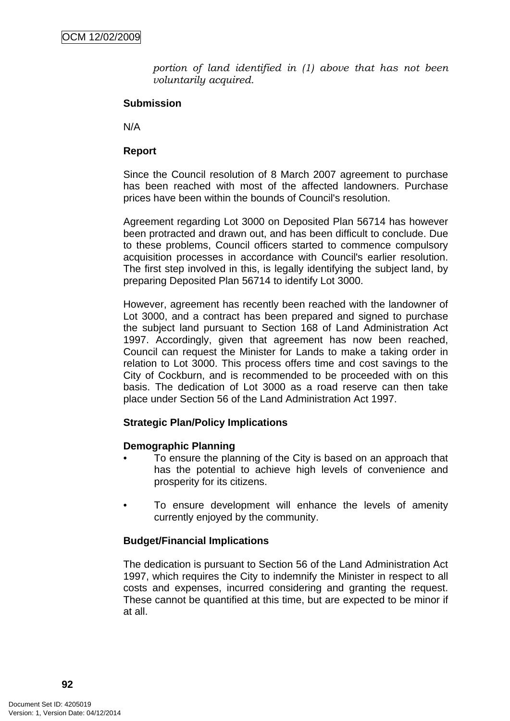*portion of land identified in (1) above that has not been voluntarily acquired.*

#### **Submission**

N/A

### **Report**

Since the Council resolution of 8 March 2007 agreement to purchase has been reached with most of the affected landowners. Purchase prices have been within the bounds of Council's resolution.

Agreement regarding Lot 3000 on Deposited Plan 56714 has however been protracted and drawn out, and has been difficult to conclude. Due to these problems, Council officers started to commence compulsory acquisition processes in accordance with Council's earlier resolution. The first step involved in this, is legally identifying the subject land, by preparing Deposited Plan 56714 to identify Lot 3000.

However, agreement has recently been reached with the landowner of Lot 3000, and a contract has been prepared and signed to purchase the subject land pursuant to Section 168 of Land Administration Act 1997. Accordingly, given that agreement has now been reached, Council can request the Minister for Lands to make a taking order in relation to Lot 3000. This process offers time and cost savings to the City of Cockburn, and is recommended to be proceeded with on this basis. The dedication of Lot 3000 as a road reserve can then take place under Section 56 of the Land Administration Act 1997.

#### **Strategic Plan/Policy Implications**

# **Demographic Planning**

- To ensure the planning of the City is based on an approach that has the potential to achieve high levels of convenience and prosperity for its citizens.
- To ensure development will enhance the levels of amenity currently enjoyed by the community.

#### **Budget/Financial Implications**

The dedication is pursuant to Section 56 of the Land Administration Act 1997, which requires the City to indemnify the Minister in respect to all costs and expenses, incurred considering and granting the request. These cannot be quantified at this time, but are expected to be minor if at all.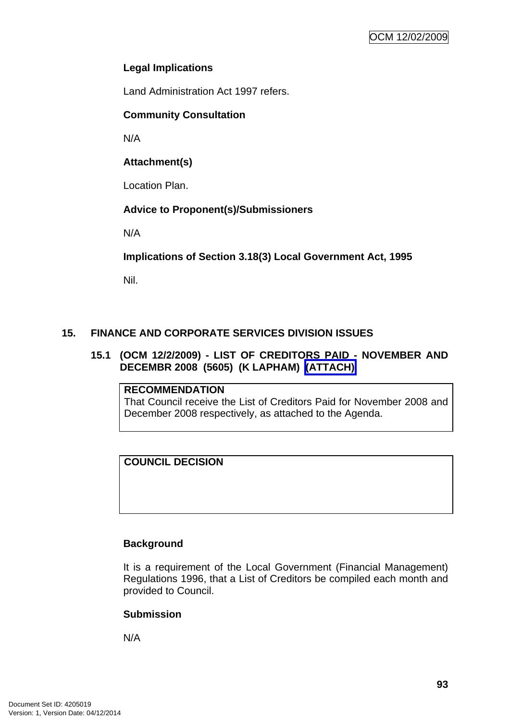# **Legal Implications**

Land Administration Act 1997 refers.

#### **Community Consultation**

N/A

**Attachment(s)**

Location Plan.

### **Advice to Proponent(s)/Submissioners**

N/A

**Implications of Section 3.18(3) Local Government Act, 1995**

Nil.

### **15. FINANCE AND CORPORATE SERVICES DIVISION ISSUES**

#### **15.1 (OCM 12/2/2009) - LIST OF CREDITORS PAID - NOVEMBER AND DECEMBR 2008 (5605) (K LAPHAM) (ATTACH)**

**RECOMMENDATION** That Council receive the List of Creditors Paid for November 2008 and December 2008 respectively, as attached to the Agenda.

**COUNCIL DECISION**

#### **Background**

It is a requirement of the Local Government (Financial Management) Regulations 1996, that a List of Creditors be compiled each month and provided to Council.

#### **Submission**

N/A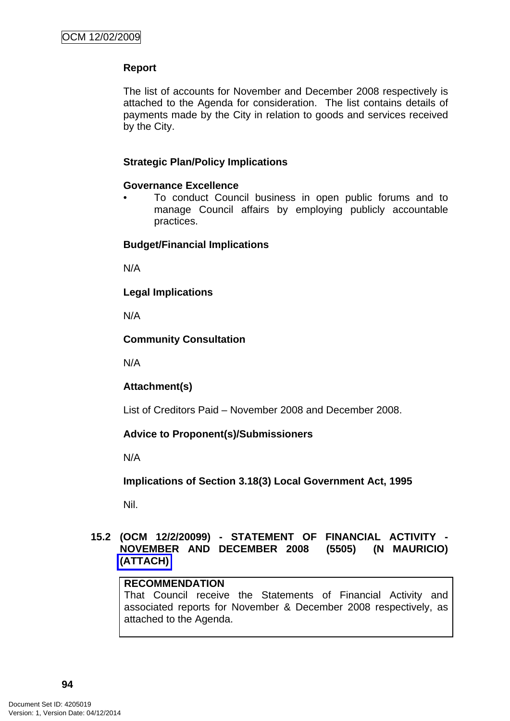#### **Report**

The list of accounts for November and December 2008 respectively is attached to the Agenda for consideration. The list contains details of payments made by the City in relation to goods and services received by the City.

#### **Strategic Plan/Policy Implications**

#### **Governance Excellence**

• To conduct Council business in open public forums and to manage Council affairs by employing publicly accountable practices.

#### **Budget/Financial Implications**

N/A

**Legal Implications** 

N/A

### **Community Consultation**

N/A

# **Attachment(s)**

List of Creditors Paid – November 2008 and December 2008.

# **Advice to Proponent(s)/Submissioners**

N/A

**Implications of Section 3.18(3) Local Government Act, 1995**

Nil.

# **15.2 (OCM 12/2/20099) - STATEMENT OF FINANCIAL ACTIVITY - NOVEMBER AND DECEMBER 2008 (5505) (N MAURICIO) (ATTACH)**

#### **RECOMMENDATION**

That Council receive the Statements of Financial Activity and associated reports for November & December 2008 respectively, as attached to the Agenda.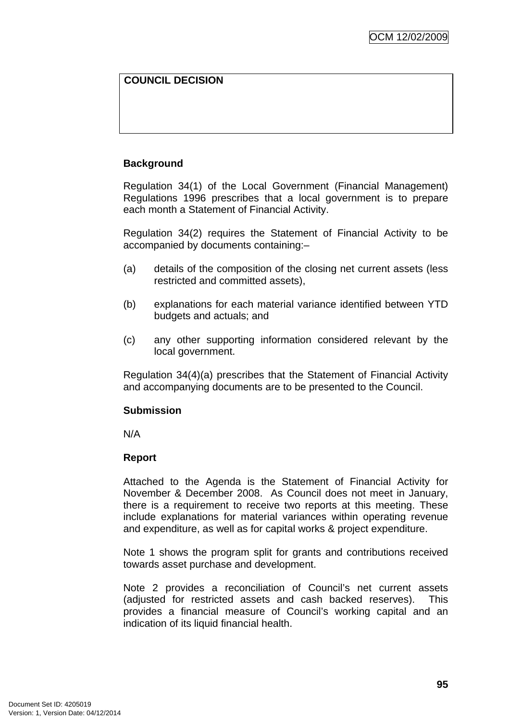# **COUNCIL DECISION**

### **Background**

Regulation 34(1) of the Local Government (Financial Management) Regulations 1996 prescribes that a local government is to prepare each month a Statement of Financial Activity.

Regulation 34(2) requires the Statement of Financial Activity to be accompanied by documents containing:–

- (a) details of the composition of the closing net current assets (less restricted and committed assets),
- (b) explanations for each material variance identified between YTD budgets and actuals; and
- (c) any other supporting information considered relevant by the local government.

Regulation 34(4)(a) prescribes that the Statement of Financial Activity and accompanying documents are to be presented to the Council.

#### **Submission**

N/A

#### **Report**

Attached to the Agenda is the Statement of Financial Activity for November & December 2008. As Council does not meet in January, there is a requirement to receive two reports at this meeting. These include explanations for material variances within operating revenue and expenditure, as well as for capital works & project expenditure.

Note 1 shows the program split for grants and contributions received towards asset purchase and development.

Note 2 provides a reconciliation of Council's net current assets (adjusted for restricted assets and cash backed reserves). This provides a financial measure of Council's working capital and an indication of its liquid financial health.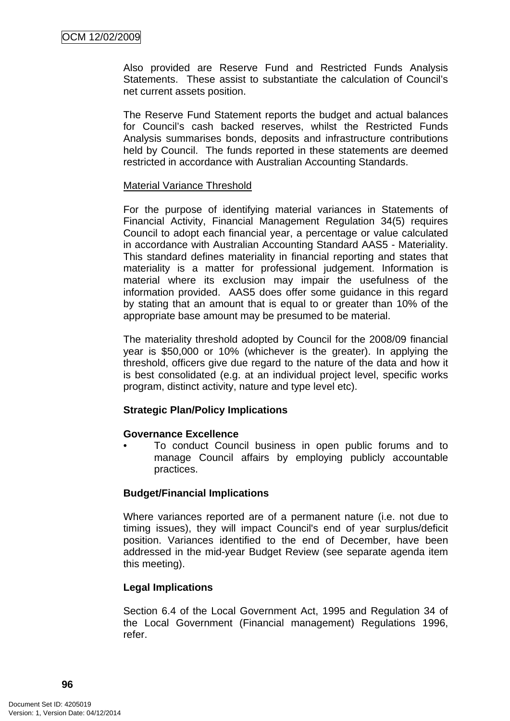Also provided are Reserve Fund and Restricted Funds Analysis Statements. These assist to substantiate the calculation of Council's net current assets position.

The Reserve Fund Statement reports the budget and actual balances for Council's cash backed reserves, whilst the Restricted Funds Analysis summarises bonds, deposits and infrastructure contributions held by Council. The funds reported in these statements are deemed restricted in accordance with Australian Accounting Standards.

#### Material Variance Threshold

For the purpose of identifying material variances in Statements of Financial Activity, Financial Management Regulation 34(5) requires Council to adopt each financial year, a percentage or value calculated in accordance with Australian Accounting Standard AAS5 - Materiality. This standard defines materiality in financial reporting and states that materiality is a matter for professional judgement. Information is material where its exclusion may impair the usefulness of the information provided. AAS5 does offer some guidance in this regard by stating that an amount that is equal to or greater than 10% of the appropriate base amount may be presumed to be material.

The materiality threshold adopted by Council for the 2008/09 financial year is \$50,000 or 10% (whichever is the greater). In applying the threshold, officers give due regard to the nature of the data and how it is best consolidated (e.g. at an individual project level, specific works program, distinct activity, nature and type level etc).

#### **Strategic Plan/Policy Implications**

#### **Governance Excellence**

• To conduct Council business in open public forums and to manage Council affairs by employing publicly accountable practices.

#### **Budget/Financial Implications**

Where variances reported are of a permanent nature (i.e. not due to timing issues), they will impact Council's end of year surplus/deficit position. Variances identified to the end of December, have been addressed in the mid-year Budget Review (see separate agenda item this meeting).

#### **Legal Implications**

Section 6.4 of the Local Government Act, 1995 and Regulation 34 of the Local Government (Financial management) Regulations 1996, refer.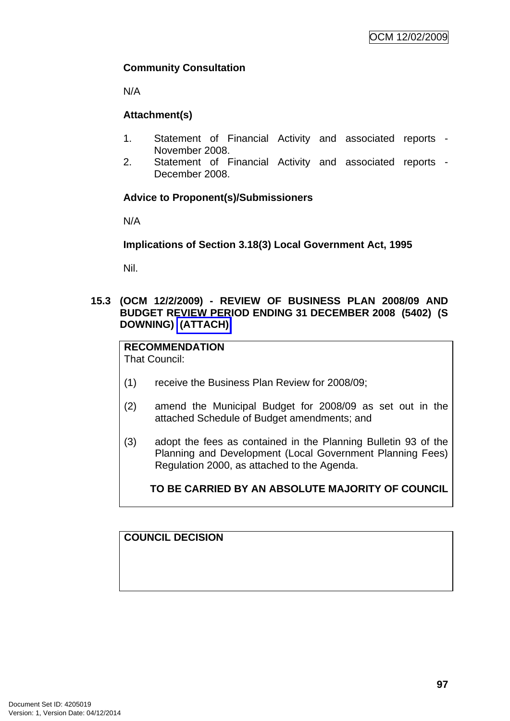# **Community Consultation**

N/A

# **Attachment(s)**

- 1. Statement of Financial Activity and associated reports November 2008.
- 2. Statement of Financial Activity and associated reports December 2008.

# **Advice to Proponent(s)/Submissioners**

N/A

**Implications of Section 3.18(3) Local Government Act, 1995**

Nil.

# **15.3 (OCM 12/2/2009) - REVIEW OF BUSINESS PLAN 2008/09 AND BUDGET REVIEW PERIOD ENDING 31 DECEMBER 2008 (5402) (S DOWNING) (ATTACH)**

**RECOMMENDATION** That Council:

- (1) receive the Business Plan Review for 2008/09;
- (2) amend the Municipal Budget for 2008/09 as set out in the attached Schedule of Budget amendments; and
- (3) adopt the fees as contained in the Planning Bulletin 93 of the Planning and Development (Local Government Planning Fees) Regulation 2000, as attached to the Agenda.

**TO BE CARRIED BY AN ABSOLUTE MAJORITY OF COUNCIL**

**COUNCIL DECISION**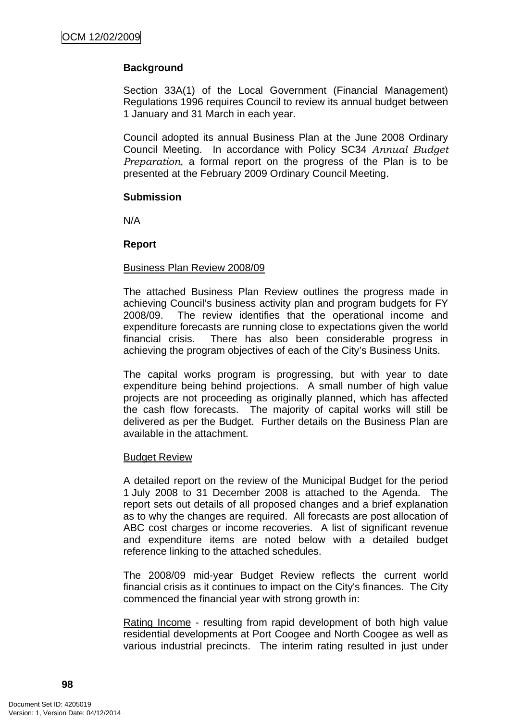# **Background**

Section 33A(1) of the Local Government (Financial Management) Regulations 1996 requires Council to review its annual budget between 1 January and 31 March in each year.

Council adopted its annual Business Plan at the June 2008 Ordinary Council Meeting. In accordance with Policy SC34 *Annual Budget Preparation*, a formal report on the progress of the Plan is to be presented at the February 2009 Ordinary Council Meeting.

#### **Submission**

N/A

#### **Report**

#### Business Plan Review 2008/09

The attached Business Plan Review outlines the progress made in achieving Council's business activity plan and program budgets for FY 2008/09. The review identifies that the operational income and expenditure forecasts are running close to expectations given the world financial crisis. There has also been considerable progress in achieving the program objectives of each of the City's Business Units.

The capital works program is progressing, but with year to date expenditure being behind projections. A small number of high value projects are not proceeding as originally planned, which has affected the cash flow forecasts. The majority of capital works will still be delivered as per the Budget. Further details on the Business Plan are available in the attachment.

#### Budget Review

A detailed report on the review of the Municipal Budget for the period 1 July 2008 to 31 December 2008 is attached to the Agenda. The report sets out details of all proposed changes and a brief explanation as to why the changes are required. All forecasts are post allocation of ABC cost charges or income recoveries. A list of significant revenue and expenditure items are noted below with a detailed budget reference linking to the attached schedules.

The 2008/09 mid-year Budget Review reflects the current world financial crisis as it continues to impact on the City's finances. The City commenced the financial year with strong growth in:

Rating Income - resulting from rapid development of both high value residential developments at Port Coogee and North Coogee as well as various industrial precincts. The interim rating resulted in just under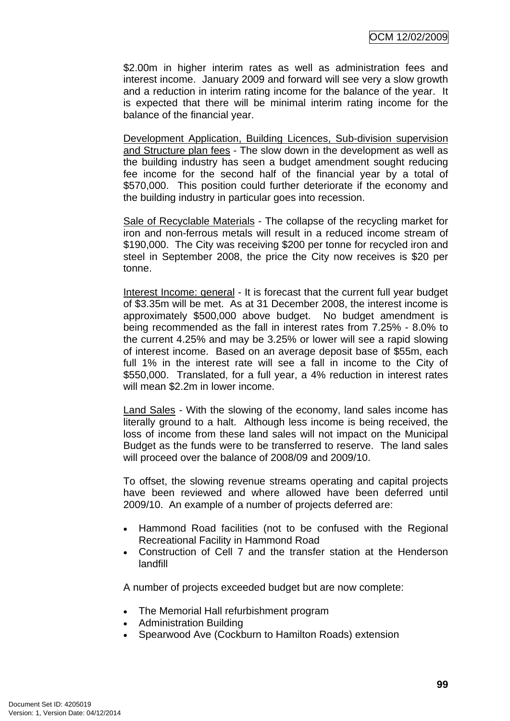\$2.00m in higher interim rates as well as administration fees and interest income. January 2009 and forward will see very a slow growth and a reduction in interim rating income for the balance of the year. It is expected that there will be minimal interim rating income for the balance of the financial year.

Development Application, Building Licences, Sub-division supervision and Structure plan fees - The slow down in the development as well as the building industry has seen a budget amendment sought reducing fee income for the second half of the financial year by a total of \$570,000. This position could further deteriorate if the economy and the building industry in particular goes into recession.

Sale of Recyclable Materials - The collapse of the recycling market for iron and non-ferrous metals will result in a reduced income stream of \$190,000. The City was receiving \$200 per tonne for recycled iron and steel in September 2008, the price the City now receives is \$20 per tonne.

Interest Income: general - It is forecast that the current full year budget of \$3.35m will be met. As at 31 December 2008, the interest income is approximately \$500,000 above budget. No budget amendment is being recommended as the fall in interest rates from 7.25% - 8.0% to the current 4.25% and may be 3.25% or lower will see a rapid slowing of interest income. Based on an average deposit base of \$55m, each full 1% in the interest rate will see a fall in income to the City of \$550,000. Translated, for a full year, a 4% reduction in interest rates will mean \$2.2m in lower income.

Land Sales - With the slowing of the economy, land sales income has literally ground to a halt. Although less income is being received, the loss of income from these land sales will not impact on the Municipal Budget as the funds were to be transferred to reserve. The land sales will proceed over the balance of 2008/09 and 2009/10.

To offset, the slowing revenue streams operating and capital projects have been reviewed and where allowed have been deferred until 2009/10. An example of a number of projects deferred are:

- Hammond Road facilities (not to be confused with the Regional Recreational Facility in Hammond Road
- Construction of Cell 7 and the transfer station at the Henderson landfill

A number of projects exceeded budget but are now complete:

- The Memorial Hall refurbishment program
- Administration Building
- Spearwood Ave (Cockburn to Hamilton Roads) extension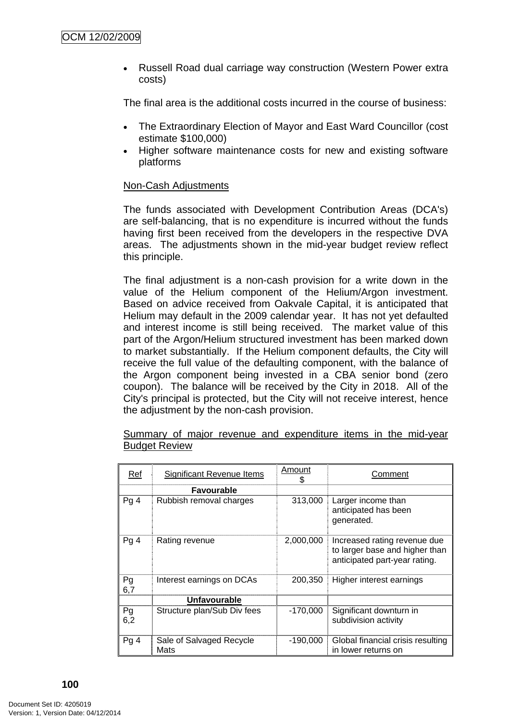• Russell Road dual carriage way construction (Western Power extra costs)

The final area is the additional costs incurred in the course of business:

- The Extraordinary Election of Mayor and East Ward Councillor (cost estimate \$100,000)
- Higher software maintenance costs for new and existing software platforms

#### Non-Cash Adjustments

The funds associated with Development Contribution Areas (DCA's) are self-balancing, that is no expenditure is incurred without the funds having first been received from the developers in the respective DVA areas. The adjustments shown in the mid-year budget review reflect this principle.

The final adjustment is a non-cash provision for a write down in the value of the Helium component of the Helium/Argon investment. Based on advice received from Oakvale Capital, it is anticipated that Helium may default in the 2009 calendar year. It has not yet defaulted and interest income is still being received. The market value of this part of the Argon/Helium structured investment has been marked down to market substantially. If the Helium component defaults, the City will receive the full value of the defaulting component, with the balance of the Argon component being invested in a CBA senior bond (zero coupon). The balance will be received by the City in 2018. All of the City's principal is protected, but the City will not receive interest, hence the adjustment by the non-cash provision.

Summary of major revenue and expenditure items in the mid-year Budget Review

| Ref       | Significant Revenue Items        | Amount<br>5 | Comment                                                                                         |
|-----------|----------------------------------|-------------|-------------------------------------------------------------------------------------------------|
|           | <b>Favourable</b>                |             |                                                                                                 |
| Pg4       | Rubbish removal charges          | 313,000     | Larger income than<br>anticipated has been<br>generated.                                        |
| Pq4       | Rating revenue                   | 2,000,000   | Increased rating revenue due<br>to larger base and higher than<br>anticipated part-year rating. |
| Pg<br>6,7 | Interest earnings on DCAs        | 200,350     | Higher interest earnings                                                                        |
|           | Unfavourable                     |             |                                                                                                 |
| Pg<br>6,2 | Structure plan/Sub Div fees      | $-170,000$  | Significant downturn in<br>subdivision activity                                                 |
| Pg4       | Sale of Salvaged Recycle<br>Mats | $-190,000$  | Global financial crisis resulting<br>in lower returns on                                        |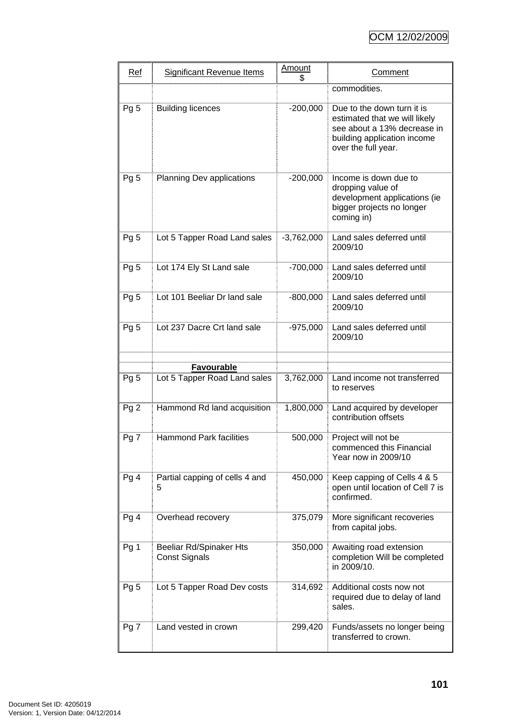| Ref             | <b>Significant Revenue Items</b>                | Amount<br>S  | <b>Comment</b>                                                                                                                                   |
|-----------------|-------------------------------------------------|--------------|--------------------------------------------------------------------------------------------------------------------------------------------------|
|                 |                                                 |              | commodities.                                                                                                                                     |
| Pg <sub>5</sub> | <b>Building licences</b>                        | $-200,000$   | Due to the down turn it is<br>estimated that we will likely<br>see about a 13% decrease in<br>building application income<br>over the full year. |
| Pg <sub>5</sub> | Planning Dev applications                       | $-200,000$   | Income is down due to<br>dropping value of<br>development applications (ie<br>bigger projects no longer<br>coming in)                            |
| Pg <sub>5</sub> | Lot 5 Tapper Road Land sales                    | $-3,762,000$ | Land sales deferred until<br>2009/10                                                                                                             |
| Pg <sub>5</sub> | Lot 174 Ely St Land sale                        | $-700,000$   | Land sales deferred until<br>2009/10                                                                                                             |
| Pg <sub>5</sub> | Lot 101 Beeliar Dr land sale                    | $-800,000$   | Land sales deferred until<br>2009/10                                                                                                             |
| Pg <sub>5</sub> | Lot 237 Dacre Crt land sale                     | $-975,000$   | Land sales deferred until<br>2009/10                                                                                                             |
|                 | Favourable                                      |              |                                                                                                                                                  |
| Pg <sub>5</sub> | Lot 5 Tapper Road Land sales                    | 3,762,000    | Land income not transferred<br>to reserves                                                                                                       |
| Pg2             | Hammond Rd land acquisition                     | 1,800,000    | Land acquired by developer<br>contribution offsets                                                                                               |
| Pg 7            | <b>Hammond Park facilities</b>                  | 500,000      | Project will not be<br>commenced this Financial<br>Year now in 2009/10                                                                           |
| Pg4             | Partial capping of cells 4 and<br>5             | 450,000      | Keep capping of Cells 4 & 5<br>open until location of Cell 7 is<br>confirmed.                                                                    |
| Pg <sub>4</sub> | Overhead recovery                               | 375,079      | More significant recoveries<br>from capital jobs.                                                                                                |
| Pg 1            | Beeliar Rd/Spinaker Hts<br><b>Const Signals</b> | 350,000      | Awaiting road extension<br>completion Will be completed<br>in 2009/10.                                                                           |
| Pg <sub>5</sub> | Lot 5 Tapper Road Dev costs                     | 314,692      | Additional costs now not<br>required due to delay of land<br>sales.                                                                              |
| Pg 7            | Land vested in crown                            | 299,420      | Funds/assets no longer being<br>transferred to crown.                                                                                            |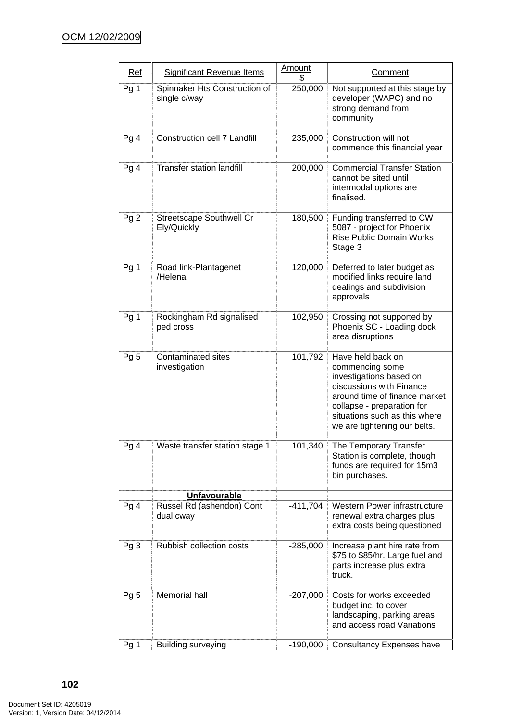| Ref             | <b>Significant Revenue Items</b>              | Amount<br>\$ | Comment                                                                                                                                                                                                                     |
|-----------------|-----------------------------------------------|--------------|-----------------------------------------------------------------------------------------------------------------------------------------------------------------------------------------------------------------------------|
| Pg 1            | Spinnaker Hts Construction of<br>single c/way | 250,000      | Not supported at this stage by<br>developer (WAPC) and no<br>strong demand from<br>community                                                                                                                                |
| Pg 4            | <b>Construction cell 7 Landfill</b>           | 235,000      | Construction will not<br>commence this financial year                                                                                                                                                                       |
| Pg <sub>4</sub> | <b>Transfer station landfill</b>              | 200,000      | <b>Commercial Transfer Station</b><br>cannot be sited until<br>intermodal options are<br>finalised.                                                                                                                         |
| Pg <sub>2</sub> | Streetscape Southwell Cr<br>Ely/Quickly       | 180,500      | Funding transferred to CW<br>5087 - project for Phoenix<br><b>Rise Public Domain Works</b><br>Stage 3                                                                                                                       |
| Pg 1            | Road link-Plantagenet<br>/Helena              | 120,000      | Deferred to later budget as<br>modified links require land<br>dealings and subdivision<br>approvals                                                                                                                         |
| Pg 1            | Rockingham Rd signalised<br>ped cross         | 102,950      | Crossing not supported by<br>Phoenix SC - Loading dock<br>area disruptions                                                                                                                                                  |
| Pg <sub>5</sub> | <b>Contaminated sites</b><br>investigation    | 101,792      | Have held back on<br>commencing some<br>investigations based on<br>discussions with Finance<br>around time of finance market<br>collapse - preparation for<br>situations such as this where<br>we are tightening our belts. |
| Pg 4            | Waste transfer station stage 1                | 101,340      | The Temporary Transfer<br>Station is complete, though<br>funds are required for 15m3<br>bin purchases.                                                                                                                      |
|                 | <b>Unfavourable</b>                           |              |                                                                                                                                                                                                                             |
| Pg <sub>4</sub> | Russel Rd (ashendon) Cont<br>dual cway        | $-411,704$   | Western Power infrastructure<br>renewal extra charges plus<br>extra costs being questioned                                                                                                                                  |
| Pg <sub>3</sub> | Rubbish collection costs                      | $-285,000$   | Increase plant hire rate from<br>\$75 to \$85/hr. Large fuel and<br>parts increase plus extra<br>truck.                                                                                                                     |
| Pg <sub>5</sub> | <b>Memorial hall</b>                          | $-207,000$   | Costs for works exceeded<br>budget inc. to cover<br>landscaping, parking areas<br>and access road Variations                                                                                                                |
| Pg 1            | <b>Building surveying</b>                     | $-190,000$   | Consultancy Expenses have                                                                                                                                                                                                   |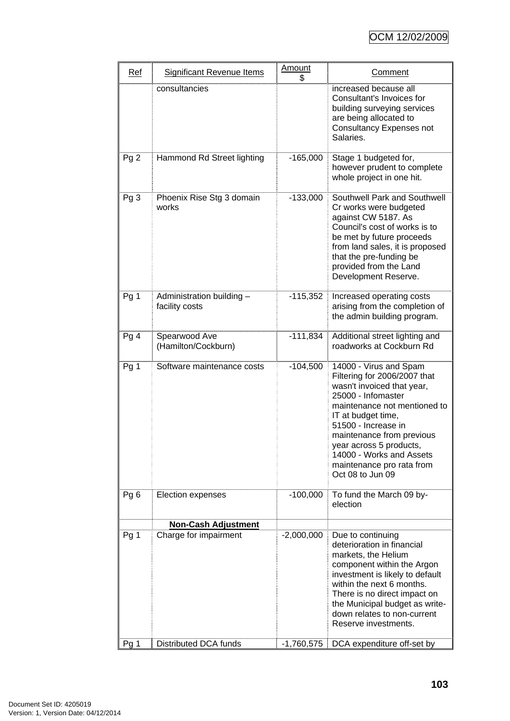# OCM 12/02/2009

| Ref             | <b>Significant Revenue Items</b>            | <u>Amount</u><br>\$ | Comment                                                                                                                                                                                                                                                                                                                      |
|-----------------|---------------------------------------------|---------------------|------------------------------------------------------------------------------------------------------------------------------------------------------------------------------------------------------------------------------------------------------------------------------------------------------------------------------|
|                 | consultancies                               |                     | increased because all<br>Consultant's Invoices for<br>building surveying services<br>are being allocated to<br><b>Consultancy Expenses not</b><br>Salaries.                                                                                                                                                                  |
| Pg <sub>2</sub> | Hammond Rd Street lighting                  | $-165,000$          | Stage 1 budgeted for,<br>however prudent to complete<br>whole project in one hit.                                                                                                                                                                                                                                            |
| Pg3             | Phoenix Rise Stg 3 domain<br>works          | $-133,000$          | Southwell Park and Southwell<br>Cr works were budgeted<br>against CW 5187. As<br>Council's cost of works is to<br>be met by future proceeds<br>from land sales, it is proposed<br>that the pre-funding be<br>provided from the Land<br>Development Reserve.                                                                  |
| Pg 1            | Administration building -<br>facility costs | $-115,352$          | Increased operating costs<br>arising from the completion of<br>the admin building program.                                                                                                                                                                                                                                   |
| Pg4             | Spearwood Ave<br>(Hamilton/Cockburn)        | $-111,834$          | Additional street lighting and<br>roadworks at Cockburn Rd                                                                                                                                                                                                                                                                   |
| Pg 1            | Software maintenance costs                  | $-104,500$          | 14000 - Virus and Spam<br>Filtering for 2006/2007 that<br>wasn't invoiced that year,<br>25000 - Infomaster<br>maintenance not mentioned to<br>IT at budget time,<br>51500 - Increase in<br>maintenance from previous<br>year across 5 products,<br>14000 - Works and Assets<br>maintenance pro rata from<br>Oct 08 to Jun 09 |
| Pg <sub>6</sub> | Election expenses                           | $-100,000$          | To fund the March 09 by-<br>election                                                                                                                                                                                                                                                                                         |
|                 | <b>Non-Cash Adjustment</b>                  |                     |                                                                                                                                                                                                                                                                                                                              |
| Pg 1            | Charge for impairment                       | $-2,000,000$        | Due to continuing<br>deterioration in financial<br>markets, the Helium<br>component within the Argon<br>investment is likely to default<br>within the next 6 months.<br>There is no direct impact on<br>the Municipal budget as write-<br>down relates to non-current<br>Reserve investments.                                |
| Pg 1            | Distributed DCA funds                       | $-1,760,575$        | DCA expenditure off-set by                                                                                                                                                                                                                                                                                                   |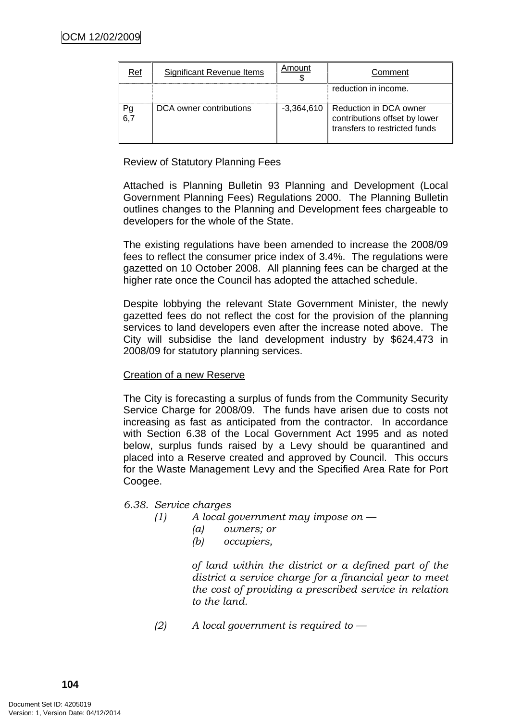| Ref       | <b>Significant Revenue Items</b> | Amount       | Comment                                                                                  |
|-----------|----------------------------------|--------------|------------------------------------------------------------------------------------------|
|           |                                  |              | reduction in income.                                                                     |
| Pg<br>6,7 | DCA owner contributions          | $-3,364,610$ | Reduction in DCA owner<br>contributions offset by lower<br>transfers to restricted funds |

## Review of Statutory Planning Fees

Attached is Planning Bulletin 93 Planning and Development (Local Government Planning Fees) Regulations 2000. The Planning Bulletin outlines changes to the Planning and Development fees chargeable to developers for the whole of the State.

The existing regulations have been amended to increase the 2008/09 fees to reflect the consumer price index of 3.4%. The regulations were gazetted on 10 October 2008. All planning fees can be charged at the higher rate once the Council has adopted the attached schedule.

Despite lobbying the relevant State Government Minister, the newly gazetted fees do not reflect the cost for the provision of the planning services to land developers even after the increase noted above. The City will subsidise the land development industry by \$624,473 in 2008/09 for statutory planning services.

## Creation of a new Reserve

The City is forecasting a surplus of funds from the Community Security Service Charge for 2008/09. The funds have arisen due to costs not increasing as fast as anticipated from the contractor. In accordance with Section 6.38 of the Local Government Act 1995 and as noted below, surplus funds raised by a Levy should be quarantined and placed into a Reserve created and approved by Council. This occurs for the Waste Management Levy and the Specified Area Rate for Port Coogee.

## *6.38. Service charges*

- *(1) A local government may impose on* 
	- *(a) owners; or*
	- *(b) occupiers,*

*of land within the district or a defined part of the district a service charge for a financial year to meet the cost of providing a prescribed service in relation to the land.* 

*(2) A local government is required to —*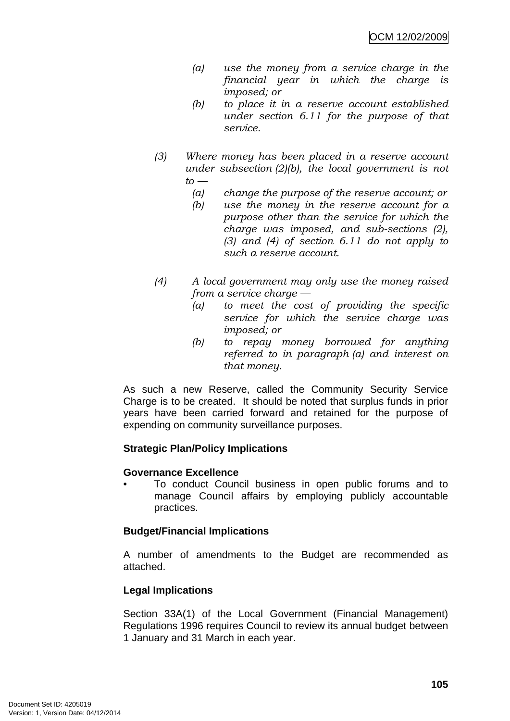- *(a) use the money from a service charge in the financial year in which the charge is imposed; or*
- *(b) to place it in a reserve account established under section 6.11 for the purpose of that service.*
- *(3) Where money has been placed in a reserve account under subsection (2)(b), the local government is not*   $to -$ 
	- *(a) change the purpose of the reserve account; or*
	- *(b) use the money in the reserve account for a purpose other than the service for which the charge was imposed, and sub-sections (2), (3) and (4) of section 6.11 do not apply to such a reserve account.*
- *(4) A local government may only use the money raised from a service charge —* 
	- *(a) to meet the cost of providing the specific service for which the service charge was imposed; or*
	- *(b) to repay money borrowed for anything referred to in paragraph (a) and interest on that money.*

As such a new Reserve, called the Community Security Service Charge is to be created. It should be noted that surplus funds in prior years have been carried forward and retained for the purpose of expending on community surveillance purposes.

# **Strategic Plan/Policy Implications**

## **Governance Excellence**

• To conduct Council business in open public forums and to manage Council affairs by employing publicly accountable practices.

## **Budget/Financial Implications**

A number of amendments to the Budget are recommended as attached.

## **Legal Implications**

Section 33A(1) of the Local Government (Financial Management) Regulations 1996 requires Council to review its annual budget between 1 January and 31 March in each year.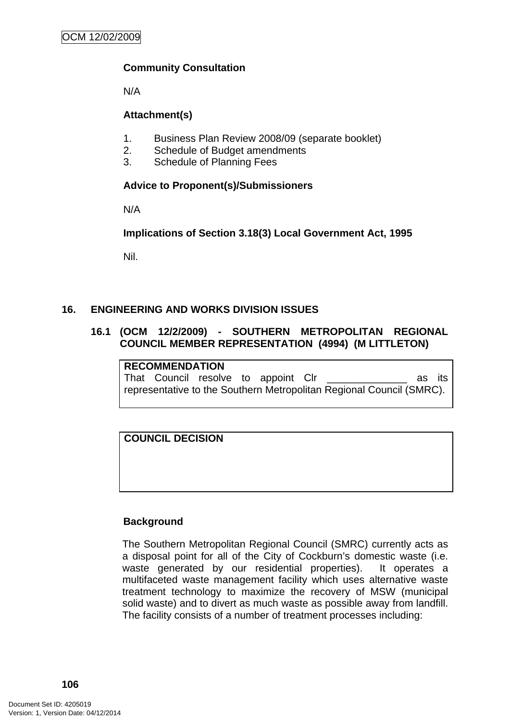# **Community Consultation**

N/A

## **Attachment(s)**

- 1. Business Plan Review 2008/09 (separate booklet)
- 2. Schedule of Budget amendments
- 3. Schedule of Planning Fees

## **Advice to Proponent(s)/Submissioners**

N/A

**Implications of Section 3.18(3) Local Government Act, 1995**

Nil.

## **16. ENGINEERING AND WORKS DIVISION ISSUES**

## **16.1 (OCM 12/2/2009) - SOUTHERN METROPOLITAN REGIONAL COUNCIL MEMBER REPRESENTATION (4994) (M LITTLETON)**

#### **RECOMMENDATION**

That Council resolve to appoint Clr **Example 20 as its** representative to the Southern Metropolitan Regional Council (SMRC).

**COUNCIL DECISION** 

## **Background**

The Southern Metropolitan Regional Council (SMRC) currently acts as a disposal point for all of the City of Cockburn's domestic waste (i.e. waste generated by our residential properties). It operates a multifaceted waste management facility which uses alternative waste treatment technology to maximize the recovery of MSW (municipal solid waste) and to divert as much waste as possible away from landfill. The facility consists of a number of treatment processes including: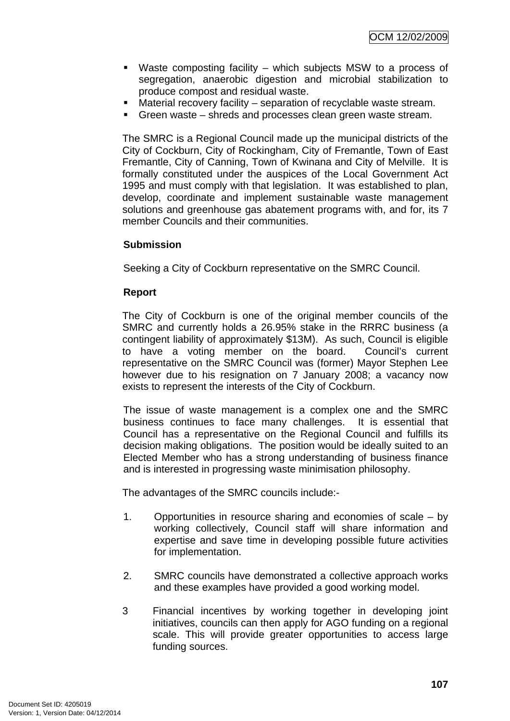- Waste composting facility which subjects MSW to a process of segregation, anaerobic digestion and microbial stabilization to produce compost and residual waste.
- Material recovery facility separation of recyclable waste stream.
- Green waste shreds and processes clean green waste stream.

The SMRC is a Regional Council made up the municipal districts of the City of Cockburn, City of Rockingham, City of Fremantle, Town of East Fremantle, City of Canning, Town of Kwinana and City of Melville. It is formally constituted under the auspices of the Local Government Act 1995 and must comply with that legislation. It was established to plan, develop, coordinate and implement sustainable waste management solutions and greenhouse gas abatement programs with, and for, its 7 member Councils and their communities.

## **Submission**

Seeking a City of Cockburn representative on the SMRC Council.

#### **Report**

The City of Cockburn is one of the original member councils of the SMRC and currently holds a 26.95% stake in the RRRC business (a contingent liability of approximately \$13M). As such, Council is eligible to have a voting member on the board. Council's current representative on the SMRC Council was (former) Mayor Stephen Lee however due to his resignation on 7 January 2008; a vacancy now exists to represent the interests of the City of Cockburn.

The issue of waste management is a complex one and the SMRC business continues to face many challenges. It is essential that Council has a representative on the Regional Council and fulfills its decision making obligations. The position would be ideally suited to an Elected Member who has a strong understanding of business finance and is interested in progressing waste minimisation philosophy.

The advantages of the SMRC councils include:-

- 1. Opportunities in resource sharing and economies of scale by working collectively, Council staff will share information and expertise and save time in developing possible future activities for implementation.
- 2. SMRC councils have demonstrated a collective approach works and these examples have provided a good working model.
- 3 Financial incentives by working together in developing joint initiatives, councils can then apply for AGO funding on a regional scale. This will provide greater opportunities to access large funding sources.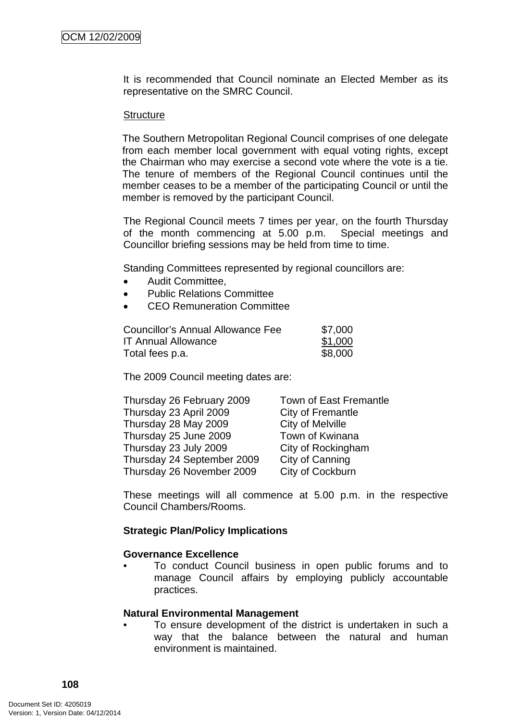It is recommended that Council nominate an Elected Member as its representative on the SMRC Council.

#### **Structure**

The Southern Metropolitan Regional Council comprises of one delegate from each member local government with equal voting rights, except the Chairman who may exercise a second vote where the vote is a tie. The tenure of members of the Regional Council continues until the member ceases to be a member of the participating Council or until the member is removed by the participant Council.

The Regional Council meets 7 times per year, on the fourth Thursday of the month commencing at 5.00 p.m. Special meetings and Councillor briefing sessions may be held from time to time.

Standing Committees represented by regional councillors are:

- Audit Committee,
- Public Relations Committee
- CEO Remuneration Committee

| Councillor's Annual Allowance Fee | \$7,000 |
|-----------------------------------|---------|
| <b>IT Annual Allowance</b>        | \$1,000 |
| Total fees p.a.                   | \$8,000 |

The 2009 Council meeting dates are:

| Town of East Fremantle |
|------------------------|
| City of Fremantle      |
| City of Melville       |
| Town of Kwinana        |
| City of Rockingham     |
| City of Canning        |
| City of Cockburn       |
|                        |

These meetings will all commence at 5.00 p.m. in the respective Council Chambers/Rooms.

#### **Strategic Plan/Policy Implications**

#### **Governance Excellence**

• To conduct Council business in open public forums and to manage Council affairs by employing publicly accountable practices.

#### **Natural Environmental Management**

To ensure development of the district is undertaken in such a way that the balance between the natural and human environment is maintained.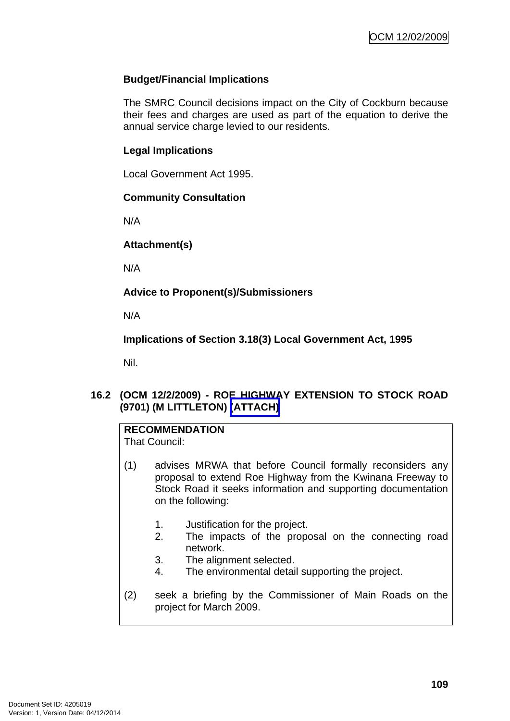## **Budget/Financial Implications**

The SMRC Council decisions impact on the City of Cockburn because their fees and charges are used as part of the equation to derive the annual service charge levied to our residents.

## **Legal Implications**

Local Government Act 1995.

#### **Community Consultation**

N/A

## **Attachment(s)**

N/A

## **Advice to Proponent(s)/Submissioners**

N/A

**Implications of Section 3.18(3) Local Government Act, 1995**

Nil.

# **16.2 (OCM 12/2/2009) - ROE HIGHWAY EXTENSION TO STOCK ROAD (9701) (M LITTLETON) (ATTACH)**

## **RECOMMENDATION**

That Council:

- (1) advises MRWA that before Council formally reconsiders any proposal to extend Roe Highway from the Kwinana Freeway to Stock Road it seeks information and supporting documentation on the following:
	- 1. Justification for the project.
	- 2. The impacts of the proposal on the connecting road network.
	- 3. The alignment selected.
	- 4. The environmental detail supporting the project.
- (2) seek a briefing by the Commissioner of Main Roads on the project for March 2009.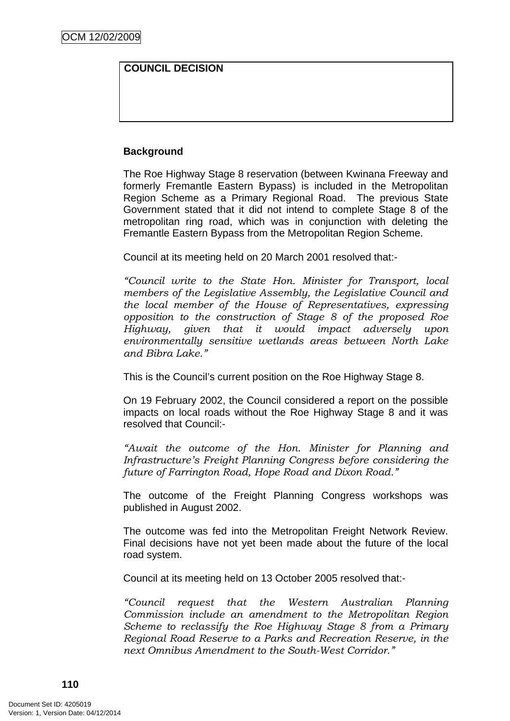## **COUNCIL DECISION**

## **Background**

The Roe Highway Stage 8 reservation (between Kwinana Freeway and formerly Fremantle Eastern Bypass) is included in the Metropolitan Region Scheme as a Primary Regional Road. The previous State Government stated that it did not intend to complete Stage 8 of the metropolitan ring road, which was in conjunction with deleting the Fremantle Eastern Bypass from the Metropolitan Region Scheme.

Council at its meeting held on 20 March 2001 resolved that:-

*"Council write to the State Hon. Minister for Transport, local members of the Legislative Assembly, the Legislative Council and the local member of the House of Representatives, expressing opposition to the construction of Stage 8 of the proposed Roe Highway, given that it would impact adversely upon environmentally sensitive wetlands areas between North Lake and Bibra Lake."*

This is the Council's current position on the Roe Highway Stage 8.

On 19 February 2002, the Council considered a report on the possible impacts on local roads without the Roe Highway Stage 8 and it was resolved that Council:-

*"Await the outcome of the Hon. Minister for Planning and Infrastructure's Freight Planning Congress before considering the future of Farrington Road, Hope Road and Dixon Road."* 

The outcome of the Freight Planning Congress workshops was published in August 2002.

The outcome was fed into the Metropolitan Freight Network Review. Final decisions have not yet been made about the future of the local road system.

Council at its meeting held on 13 October 2005 resolved that:-

*"Council request that the Western Australian Planning Commission include an amendment to the Metropolitan Region Scheme to reclassify the Roe Highway Stage 8 from a Primary Regional Road Reserve to a Parks and Recreation Reserve, in the next Omnibus Amendment to the South-West Corridor."*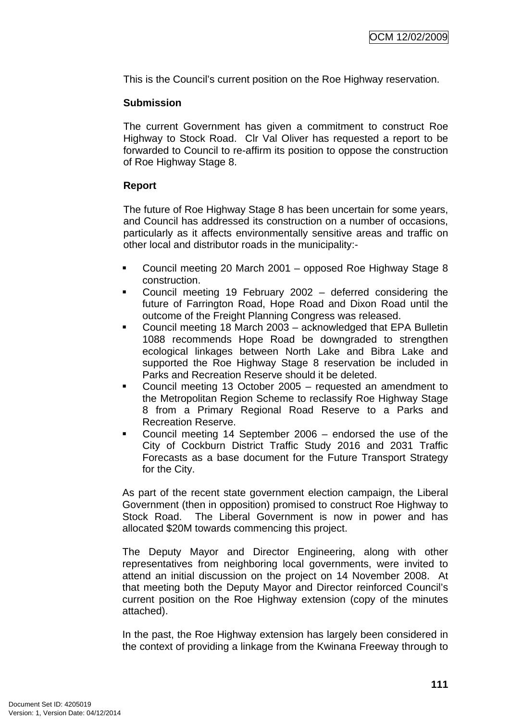This is the Council's current position on the Roe Highway reservation.

#### **Submission**

The current Government has given a commitment to construct Roe Highway to Stock Road. Clr Val Oliver has requested a report to be forwarded to Council to re-affirm its position to oppose the construction of Roe Highway Stage 8.

## **Report**

The future of Roe Highway Stage 8 has been uncertain for some years, and Council has addressed its construction on a number of occasions, particularly as it affects environmentally sensitive areas and traffic on other local and distributor roads in the municipality:-

- Council meeting 20 March 2001 opposed Roe Highway Stage 8 construction.
- Council meeting 19 February 2002 deferred considering the future of Farrington Road, Hope Road and Dixon Road until the outcome of the Freight Planning Congress was released.
- Council meeting 18 March 2003 acknowledged that EPA Bulletin 1088 recommends Hope Road be downgraded to strengthen ecological linkages between North Lake and Bibra Lake and supported the Roe Highway Stage 8 reservation be included in Parks and Recreation Reserve should it be deleted.
- Council meeting 13 October 2005 requested an amendment to the Metropolitan Region Scheme to reclassify Roe Highway Stage 8 from a Primary Regional Road Reserve to a Parks and Recreation Reserve.
- Council meeting 14 September 2006 endorsed the use of the City of Cockburn District Traffic Study 2016 and 2031 Traffic Forecasts as a base document for the Future Transport Strategy for the City.

As part of the recent state government election campaign, the Liberal Government (then in opposition) promised to construct Roe Highway to Stock Road. The Liberal Government is now in power and has allocated \$20M towards commencing this project.

The Deputy Mayor and Director Engineering, along with other representatives from neighboring local governments, were invited to attend an initial discussion on the project on 14 November 2008. At that meeting both the Deputy Mayor and Director reinforced Council's current position on the Roe Highway extension (copy of the minutes attached).

In the past, the Roe Highway extension has largely been considered in the context of providing a linkage from the Kwinana Freeway through to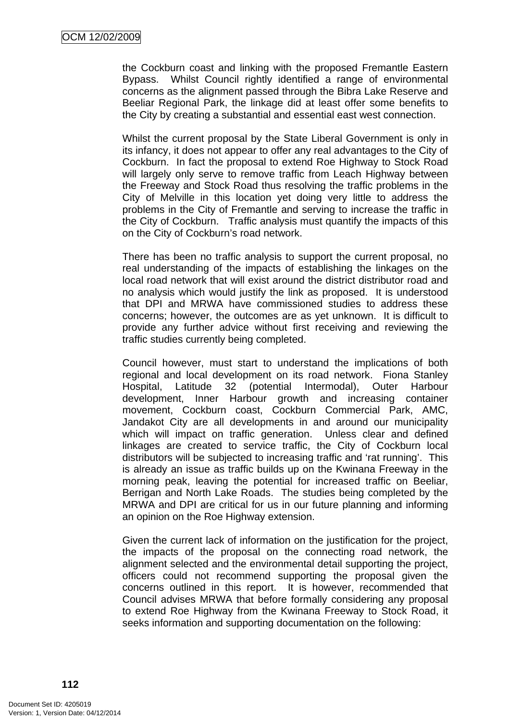the Cockburn coast and linking with the proposed Fremantle Eastern Bypass. Whilst Council rightly identified a range of environmental concerns as the alignment passed through the Bibra Lake Reserve and Beeliar Regional Park, the linkage did at least offer some benefits to the City by creating a substantial and essential east west connection.

Whilst the current proposal by the State Liberal Government is only in its infancy, it does not appear to offer any real advantages to the City of Cockburn. In fact the proposal to extend Roe Highway to Stock Road will largely only serve to remove traffic from Leach Highway between the Freeway and Stock Road thus resolving the traffic problems in the City of Melville in this location yet doing very little to address the problems in the City of Fremantle and serving to increase the traffic in the City of Cockburn. Traffic analysis must quantify the impacts of this on the City of Cockburn's road network.

There has been no traffic analysis to support the current proposal, no real understanding of the impacts of establishing the linkages on the local road network that will exist around the district distributor road and no analysis which would justify the link as proposed. It is understood that DPI and MRWA have commissioned studies to address these concerns; however, the outcomes are as yet unknown. It is difficult to provide any further advice without first receiving and reviewing the traffic studies currently being completed.

Council however, must start to understand the implications of both regional and local development on its road network. Fiona Stanley Hospital, Latitude 32 (potential Intermodal), Outer Harbour development, Inner Harbour growth and increasing container movement, Cockburn coast, Cockburn Commercial Park, AMC, Jandakot City are all developments in and around our municipality which will impact on traffic generation. Unless clear and defined linkages are created to service traffic, the City of Cockburn local distributors will be subjected to increasing traffic and 'rat running'. This is already an issue as traffic builds up on the Kwinana Freeway in the morning peak, leaving the potential for increased traffic on Beeliar, Berrigan and North Lake Roads. The studies being completed by the MRWA and DPI are critical for us in our future planning and informing an opinion on the Roe Highway extension.

Given the current lack of information on the justification for the project, the impacts of the proposal on the connecting road network, the alignment selected and the environmental detail supporting the project, officers could not recommend supporting the proposal given the concerns outlined in this report. It is however, recommended that Council advises MRWA that before formally considering any proposal to extend Roe Highway from the Kwinana Freeway to Stock Road, it seeks information and supporting documentation on the following: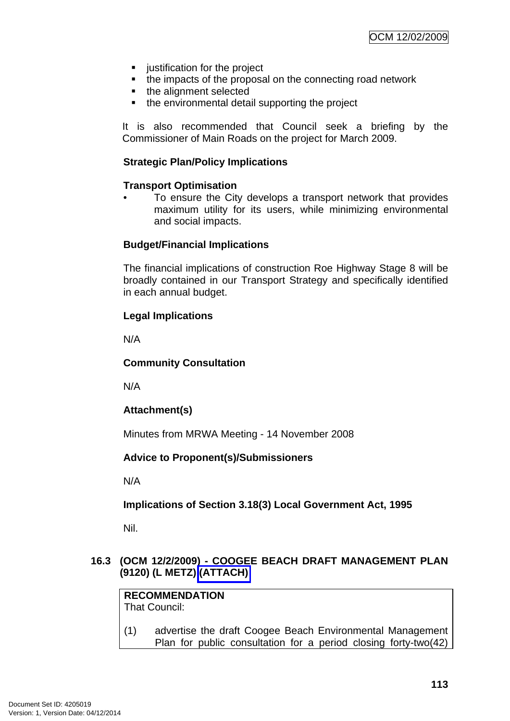- **u** justification for the project
- the impacts of the proposal on the connecting road network
- the alignment selected
- the environmental detail supporting the project

It is also recommended that Council seek a briefing by the Commissioner of Main Roads on the project for March 2009.

#### **Strategic Plan/Policy Implications**

#### **Transport Optimisation**

To ensure the City develops a transport network that provides maximum utility for its users, while minimizing environmental and social impacts.

#### **Budget/Financial Implications**

The financial implications of construction Roe Highway Stage 8 will be broadly contained in our Transport Strategy and specifically identified in each annual budget.

#### **Legal Implications**

N/A

#### **Community Consultation**

N/A

## **Attachment(s)**

Minutes from MRWA Meeting - 14 November 2008

## **Advice to Proponent(s)/Submissioners**

N/A

## **Implications of Section 3.18(3) Local Government Act, 1995**

Nil.

## **16.3 (OCM 12/2/2009) - COOGEE BEACH DRAFT MANAGEMENT PLAN (9120) (L METZ) (ATTACH)**

**RECOMMENDATION** That Council:

(1) advertise the draft Coogee Beach Environmental Management Plan for public consultation for a period closing forty-two(42)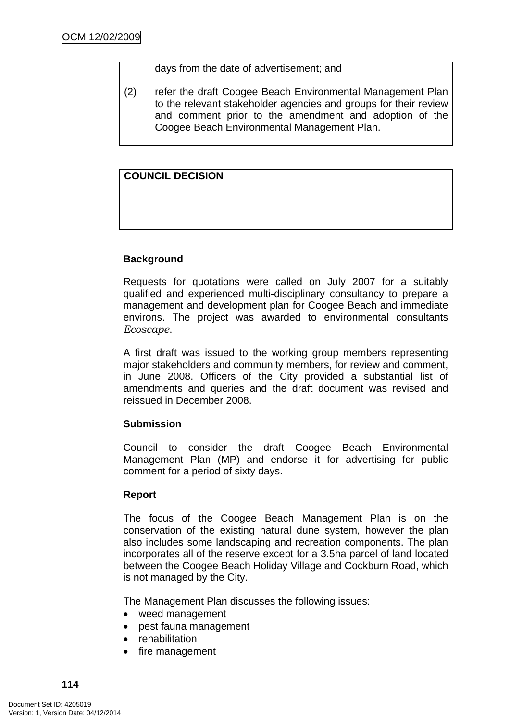days from the date of advertisement; and

(2) refer the draft Coogee Beach Environmental Management Plan to the relevant stakeholder agencies and groups for their review and comment prior to the amendment and adoption of the Coogee Beach Environmental Management Plan.

## **COUNCIL DECISION**

## **Background**

Requests for quotations were called on July 2007 for a suitably qualified and experienced multi-disciplinary consultancy to prepare a management and development plan for Coogee Beach and immediate environs. The project was awarded to environmental consultants *Ecoscape*.

A first draft was issued to the working group members representing major stakeholders and community members, for review and comment, in June 2008. Officers of the City provided a substantial list of amendments and queries and the draft document was revised and reissued in December 2008.

## **Submission**

Council to consider the draft Coogee Beach Environmental Management Plan (MP) and endorse it for advertising for public comment for a period of sixty days.

## **Report**

The focus of the Coogee Beach Management Plan is on the conservation of the existing natural dune system, however the plan also includes some landscaping and recreation components. The plan incorporates all of the reserve except for a 3.5ha parcel of land located between the Coogee Beach Holiday Village and Cockburn Road, which is not managed by the City.

The Management Plan discusses the following issues:

- weed management
- pest fauna management
- rehabilitation
- fire management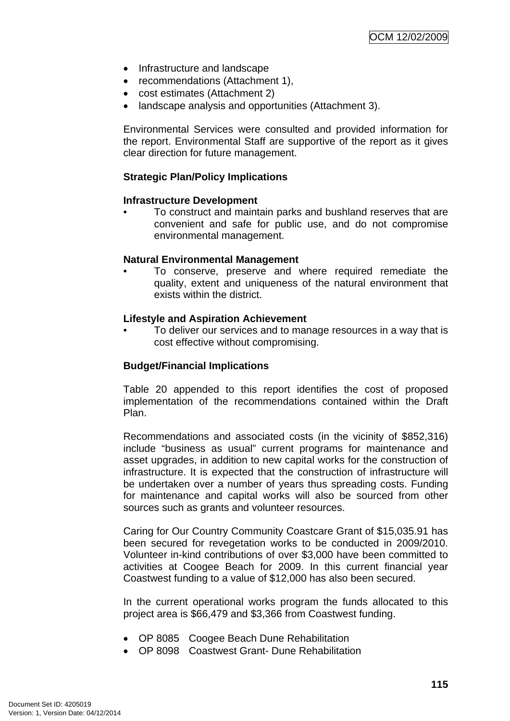- Infrastructure and landscape
- recommendations (Attachment 1),
- cost estimates (Attachment 2)
- landscape analysis and opportunities (Attachment 3).

Environmental Services were consulted and provided information for the report. Environmental Staff are supportive of the report as it gives clear direction for future management.

## **Strategic Plan/Policy Implications**

#### **Infrastructure Development**

• To construct and maintain parks and bushland reserves that are convenient and safe for public use, and do not compromise environmental management.

#### **Natural Environmental Management**

To conserve, preserve and where required remediate the quality, extent and uniqueness of the natural environment that exists within the district.

#### **Lifestyle and Aspiration Achievement**

• To deliver our services and to manage resources in a way that is cost effective without compromising.

#### **Budget/Financial Implications**

Table 20 appended to this report identifies the cost of proposed implementation of the recommendations contained within the Draft Plan.

Recommendations and associated costs (in the vicinity of \$852,316) include "business as usual" current programs for maintenance and asset upgrades, in addition to new capital works for the construction of infrastructure. It is expected that the construction of infrastructure will be undertaken over a number of years thus spreading costs. Funding for maintenance and capital works will also be sourced from other sources such as grants and volunteer resources.

Caring for Our Country Community Coastcare Grant of \$15,035.91 has been secured for revegetation works to be conducted in 2009/2010. Volunteer in-kind contributions of over \$3,000 have been committed to activities at Coogee Beach for 2009. In this current financial year Coastwest funding to a value of \$12,000 has also been secured.

In the current operational works program the funds allocated to this project area is \$66,479 and \$3,366 from Coastwest funding.

- OP 8085 Coogee Beach Dune Rehabilitation
- OP 8098 Coastwest Grant- Dune Rehabilitation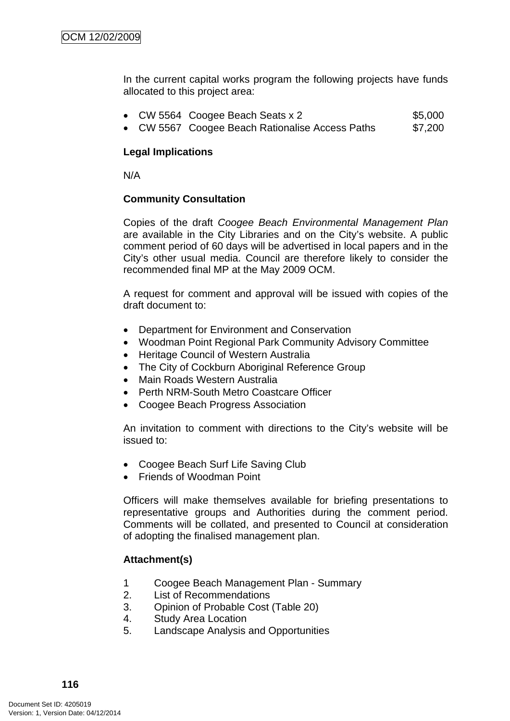In the current capital works program the following projects have funds allocated to this project area:

- CW 5564 Coogee Beach Seats  $x$  2  $$5,000$
- CW 5567 Coogee Beach Rationalise Access Paths \$7,200

## **Legal Implications**

N/A

## **Community Consultation**

Copies of the draft *Coogee Beach Environmental Management Plan* are available in the City Libraries and on the City's website. A public comment period of 60 days will be advertised in local papers and in the City's other usual media. Council are therefore likely to consider the recommended final MP at the May 2009 OCM.

A request for comment and approval will be issued with copies of the draft document to:

- Department for Environment and Conservation
- Woodman Point Regional Park Community Advisory Committee
- Heritage Council of Western Australia
- The City of Cockburn Aboriginal Reference Group
- Main Roads Western Australia
- Perth NRM-South Metro Coastcare Officer
- Coogee Beach Progress Association

An invitation to comment with directions to the City's website will be issued to:

- Coogee Beach Surf Life Saving Club
- Friends of Woodman Point

Officers will make themselves available for briefing presentations to representative groups and Authorities during the comment period. Comments will be collated, and presented to Council at consideration of adopting the finalised management plan.

## **Attachment(s)**

- 1 Coogee Beach Management Plan Summary
- 2. List of Recommendations
- 3. Opinion of Probable Cost (Table 20)
- 4. Study Area Location
- 5. Landscape Analysis and Opportunities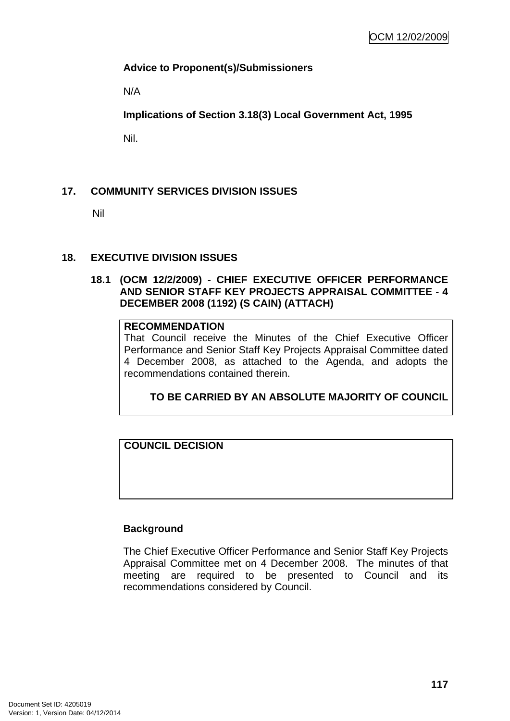## **Advice to Proponent(s)/Submissioners**

N/A

**Implications of Section 3.18(3) Local Government Act, 1995**

Nil.

# **17. COMMUNITY SERVICES DIVISION ISSUES**

Nil

## **18. EXECUTIVE DIVISION ISSUES**

## **18.1 (OCM 12/2/2009) - CHIEF EXECUTIVE OFFICER PERFORMANCE AND SENIOR STAFF KEY PROJECTS APPRAISAL COMMITTEE - 4 DECEMBER 2008 (1192) (S CAIN) (ATTACH)**

## **RECOMMENDATION**

That Council receive the Minutes of the Chief Executive Officer Performance and Senior Staff Key Projects Appraisal Committee dated 4 December 2008, as attached to the Agenda, and adopts the recommendations contained therein.

# **TO BE CARRIED BY AN ABSOLUTE MAJORITY OF COUNCIL**

**COUNCIL DECISION** 

## **Background**

The Chief Executive Officer Performance and Senior Staff Key Projects Appraisal Committee met on 4 December 2008. The minutes of that meeting are required to be presented to Council and its recommendations considered by Council.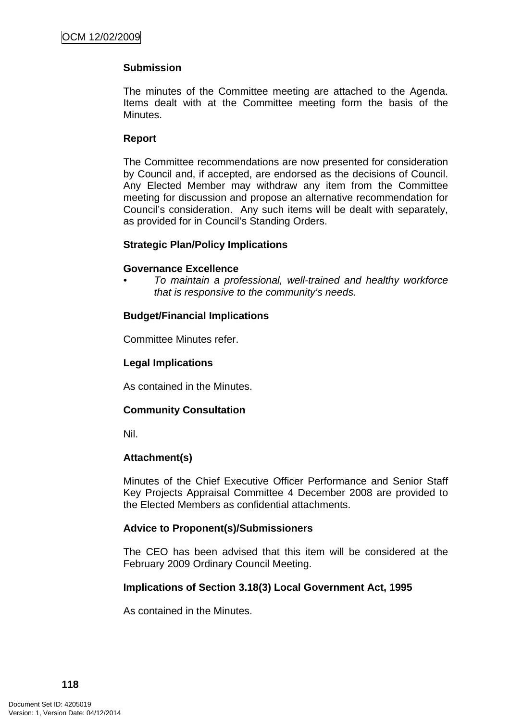## **Submission**

The minutes of the Committee meeting are attached to the Agenda. Items dealt with at the Committee meeting form the basis of the Minutes.

## **Report**

The Committee recommendations are now presented for consideration by Council and, if accepted, are endorsed as the decisions of Council. Any Elected Member may withdraw any item from the Committee meeting for discussion and propose an alternative recommendation for Council's consideration. Any such items will be dealt with separately, as provided for in Council's Standing Orders.

#### **Strategic Plan/Policy Implications**

#### **Governance Excellence**

*• To maintain a professional, well-trained and healthy workforce that is responsive to the community's needs.* 

#### **Budget/Financial Implications**

Committee Minutes refer.

## **Legal Implications**

As contained in the Minutes.

#### **Community Consultation**

Nil.

## **Attachment(s)**

Minutes of the Chief Executive Officer Performance and Senior Staff Key Projects Appraisal Committee 4 December 2008 are provided to the Elected Members as confidential attachments.

#### **Advice to Proponent(s)/Submissioners**

The CEO has been advised that this item will be considered at the February 2009 Ordinary Council Meeting.

## **Implications of Section 3.18(3) Local Government Act, 1995**

As contained in the Minutes.